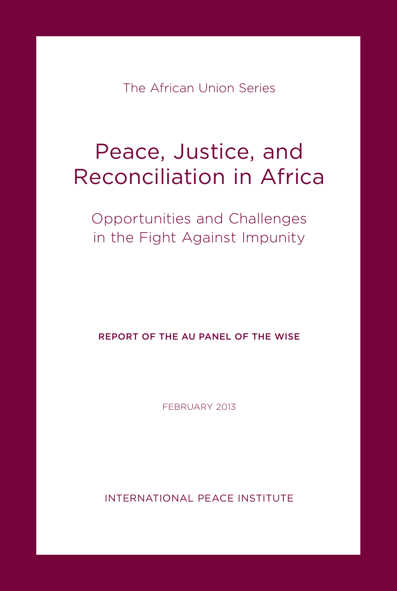The African Union Series

# Peace, Justice, and Reconciliation in Africa

Opportunities and Challenges in the Fight Against Impunity

REPORT OF THE AU PANEL OF THE WISE

FEBRUARY 2013

INTERNATIONAL PEACE INSTITUTE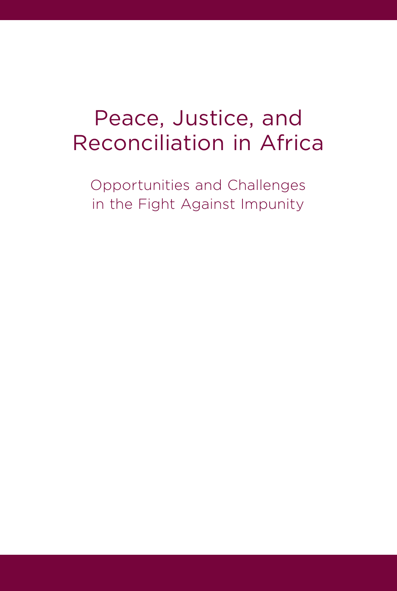# Peace, Justice, and Reconciliation in Africa

Opportunities and Challenges in the Fight Against Impunity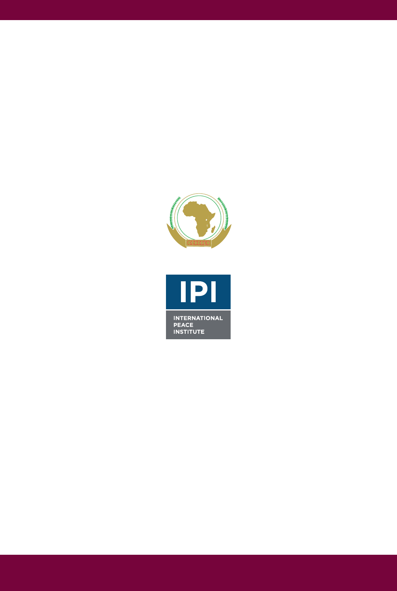

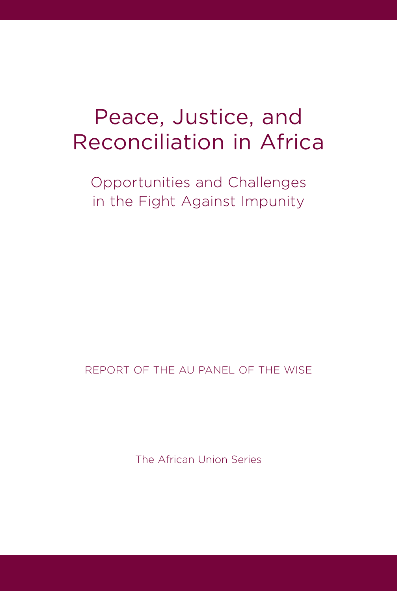### Peace, Justice, and Reconciliation in Africa

Opportunities and Challenges in the Fight Against Impunity

REPORT OF THE AU PANEL OF THE WISE

The African Union Series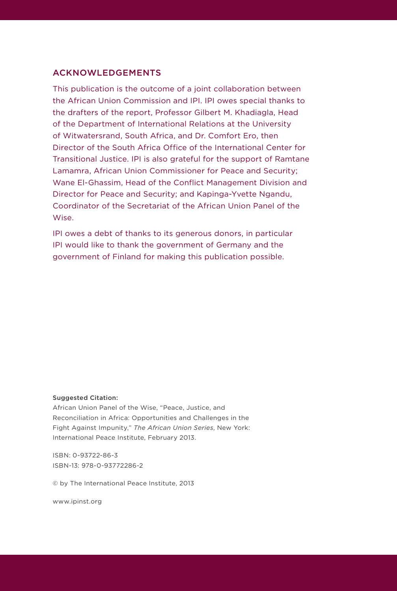#### ACKNOWLEDGEMENTS

This publication is the outcome of a joint collaboration between the African Union Commission and IPI. IPI owes special thanks to the drafters of the report, Professor Gilbert M. Khadiagla, Head of the Department of International Relations at the University of Witwatersrand, South Africa, and Dr. Comfort Ero, then Director of the South Africa Office of the International Center for Transitional Justice. IPI is also grateful for the support of Ramtane Lamamra, African Union Commissioner for Peace and Security; Wane El-Ghassim, Head of the Conflict Management Division and Director for Peace and Security; and Kapinga-Yvette Ngandu, Coordinator of the Secretariat of the African Union Panel of the Wise.

IPI owes a debt of thanks to its generous donors, in particular IPI would like to thank the government of Germany and the government of Finland for making this publication possible.

#### Suggested Citation:

African Union Panel of the Wise, "Peace, Justice, and Reconciliation in Africa: Opportunities and Challenges in the Fight Against Impunity," *The African Union Series*, New York: International Peace Institute, February 2013.

ISBN: 0-93722-86-3 ISBN-13: 978-0-93772286-2

© by The International Peace Institute, 2013

www.ipinst.org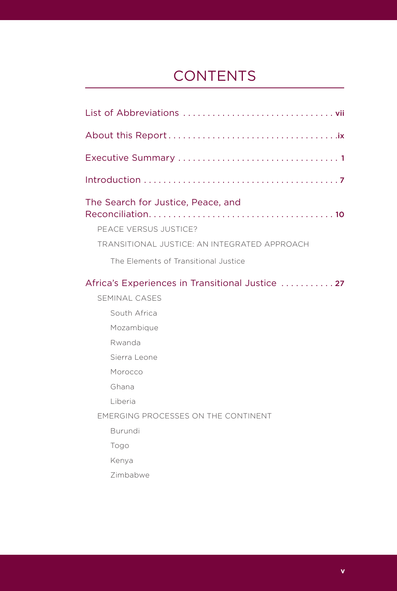### **CONTENTS**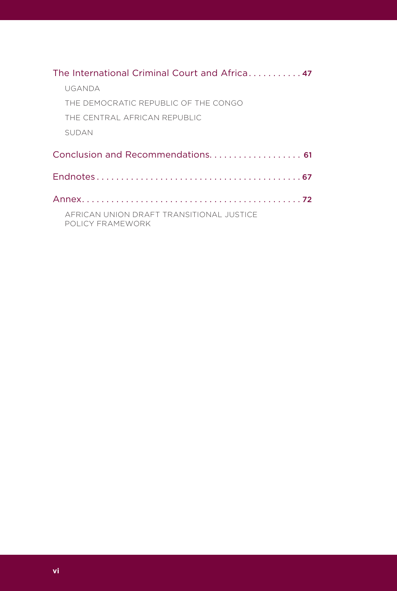| The International Criminal Court and Africa 47               |
|--------------------------------------------------------------|
| UGANDA                                                       |
| THE DEMOCRATIC REPUBLIC OF THE CONGO                         |
| THE CENTRAL AFRICAN REPUBLIC                                 |
| <b>SUDAN</b>                                                 |
|                                                              |
|                                                              |
|                                                              |
| AFRICAN UNION DRAFT TRANSITIONAL JUSTICE<br>POLICY FRAMEWORK |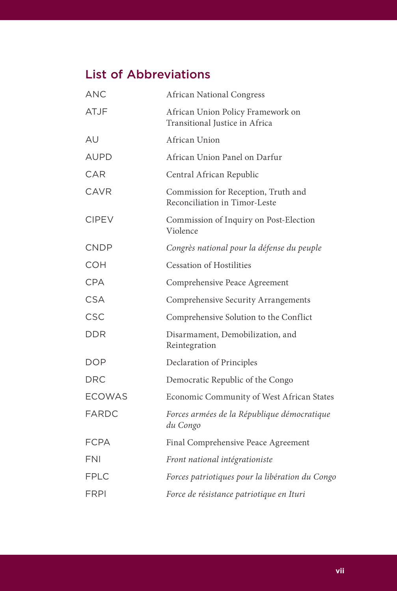### List of Abbreviations

| <b>ANC</b>    | <b>African National Congress</b>                                     |
|---------------|----------------------------------------------------------------------|
| <b>ATJF</b>   | African Union Policy Framework on<br>Transitional Justice in Africa  |
| AU            | African Union                                                        |
| <b>AUPD</b>   | African Union Panel on Darfur                                        |
| CAR           | Central African Republic                                             |
| <b>CAVR</b>   | Commission for Reception, Truth and<br>Reconciliation in Timor-Leste |
| <b>CIPEV</b>  | Commission of Inquiry on Post-Election<br>Violence                   |
| <b>CNDP</b>   | Congrès national pour la défense du peuple                           |
| <b>COH</b>    | <b>Cessation of Hostilities</b>                                      |
| <b>CPA</b>    | Comprehensive Peace Agreement                                        |
| <b>CSA</b>    | Comprehensive Security Arrangements                                  |
| CSC           | Comprehensive Solution to the Conflict                               |
| DDR           | Disarmament, Demobilization, and<br>Reintegration                    |
| <b>DOP</b>    | Declaration of Principles                                            |
| DRC           | Democratic Republic of the Congo                                     |
| <b>ECOWAS</b> | Economic Community of West African States                            |
| FARDC         | Forces armées de la République démocratique<br>du Congo              |
| <b>FCPA</b>   | Final Comprehensive Peace Agreement                                  |
| <b>FNI</b>    | Front national intégrationiste                                       |
| <b>FPLC</b>   | Forces patriotiques pour la libération du Congo                      |
| <b>FRPI</b>   | Force de résistance patriotique en Ituri                             |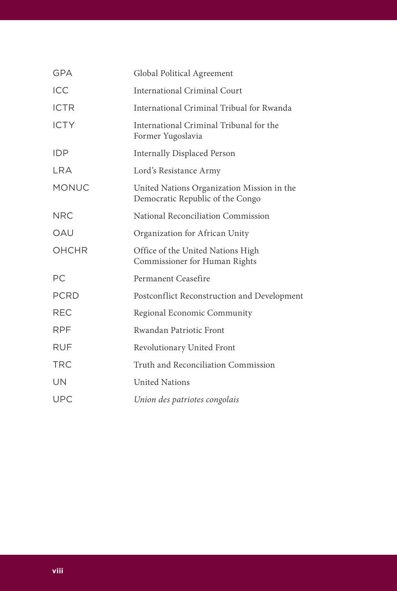| <b>GPA</b>   | Global Political Agreement                                                     |
|--------------|--------------------------------------------------------------------------------|
| <b>ICC</b>   | International Criminal Court                                                   |
| <b>ICTR</b>  | International Criminal Tribual for Rwanda                                      |
| <b>ICTY</b>  | International Criminal Tribunal for the<br>Former Yugoslavia                   |
| <b>IDP</b>   | <b>Internally Displaced Person</b>                                             |
| I RA         | Lord's Resistance Army                                                         |
| <b>MONUC</b> | United Nations Organization Mission in the<br>Democratic Republic of the Congo |
| <b>NRC</b>   | National Reconciliation Commission                                             |
| OAU          | Organization for African Unity                                                 |
| OHCHR        | Office of the United Nations High<br>Commissioner for Human Rights             |
| <b>PC</b>    | Permanent Ceasefire                                                            |
| <b>PCRD</b>  | Postconflict Reconstruction and Development                                    |
| <b>REC</b>   | Regional Economic Community                                                    |
| <b>RPF</b>   | Rwandan Patriotic Front                                                        |
| <b>RUF</b>   | Revolutionary United Front                                                     |
| <b>TRC</b>   | Truth and Reconciliation Commission                                            |
| UN           | <b>United Nations</b>                                                          |
| <b>UPC</b>   | Union des patriotes congolais                                                  |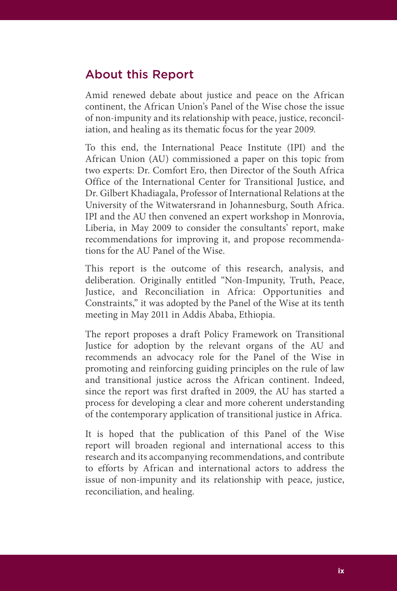#### About this Report

Amid renewed debate about justice and peace on the African continent, the African Union's Panel of the Wise chose the issue of non-impunity and its relationship with peace, justice, reconciliation, and healing as its thematic focus for the year 2009.

To this end, the International Peace Institute (IPI) and the African Union (AU) commissioned a paper on this topic from two experts: Dr. Comfort Ero, then Director of the South Africa Office of the International Center for Transitional Justice, and Dr. Gilbert Khadiagala, Professor of International Relations at the University of the Witwatersrand in Johannesburg, South Africa. IPI and the AU then convened an expert workshop in Monrovia, Liberia, in May 2009 to consider the consultants' report, make recommendations for improving it, and propose recommendations for the AU Panel of the Wise.

This report is the outcome of this research, analysis, and deliberation. Originally entitled "Non-Impunity, Truth, Peace, Justice, and Reconciliation in Africa: Opportunities and Constraints," it was adopted by the Panel of the Wise at its tenth meeting in May 2011 in Addis Ababa, Ethiopia.

The report proposes a draft Policy Framework on Transitional Justice for adoption by the relevant organs of the AU and recommends an advocacy role for the Panel of the Wise in promoting and reinforcing guiding principles on the rule of law and transitional justice across the African continent. Indeed, since the report was first drafted in 2009, the AU has started a process for developing a clear and more coherent understanding of the contemporary application of transitional justice in Africa.

It is hoped that the publication of this Panel of the Wise report will broaden regional and international access to this research and its accompanying recommendations, and contribute to efforts by African and international actors to address the issue of non-impunity and its relationship with peace, justice, reconciliation, and healing.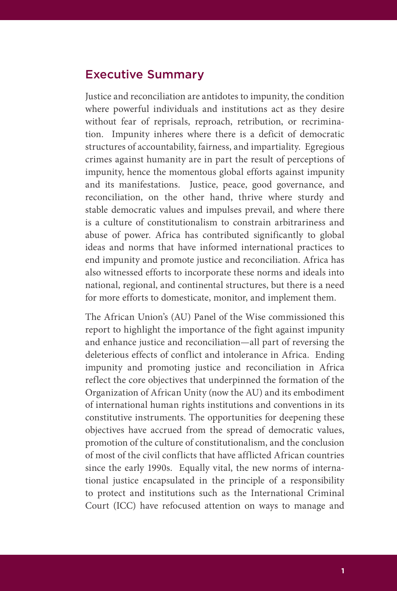#### Executive Summary

Justice and reconciliation are antidotes to impunity, the condition where powerful individuals and institutions act as they desire without fear of reprisals, reproach, retribution, or recrimination. Impunity inheres where there is a deficit of democratic structures of accountability, fairness, and impartiality. Egregious crimes against humanity are in part the result of perceptions of impunity, hence the momentous global efforts against impunity and its manifestations. Justice, peace, good governance, and reconciliation, on the other hand, thrive where sturdy and stable democratic values and impulses prevail, and where there is a culture of constitutionalism to constrain arbitrariness and abuse of power. Africa has contributed significantly to global ideas and norms that have informed international practices to end impunity and promote justice and reconciliation. Africa has also witnessed efforts to incorporate these norms and ideals into national, regional, and continental structures, but there is a need for more efforts to domesticate, monitor, and implement them.

The African Union's (AU) Panel of the Wise commissioned this report to highlight the importance of the fight against impunity and enhance justice and reconciliation—all part of reversing the deleterious effects of conflict and intolerance in Africa. Ending impunity and promoting justice and reconciliation in Africa reflect the core objectives that underpinned the formation of the Organization of African Unity (now the AU) and its embodiment of international human rights institutions and conventions in its constitutive instruments. The opportunities for deepening these objectives have accrued from the spread of democratic values, promotion of the culture of constitutionalism, and the conclusion of most of the civil conflicts that have afflicted African countries since the early 1990s. Equally vital, the new norms of international justice encapsulated in the principle of a responsibility to protect and institutions such as the International Criminal Court (ICC) have refocused attention on ways to manage and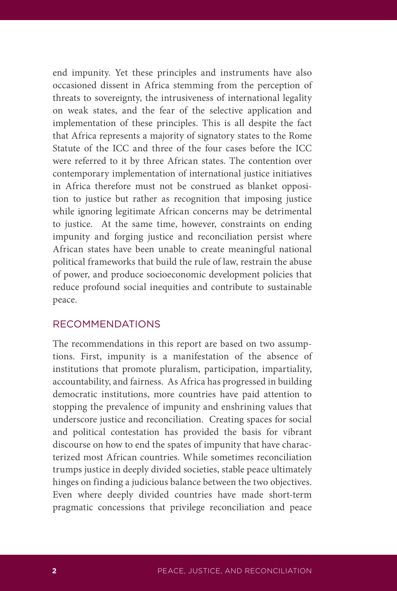end impunity. Yet these principles and instruments have also occasioned dissent in Africa stemming from the perception of threats to sovereignty, the intrusiveness of international legality on weak states, and the fear of the selective application and implementation of these principles. This is all despite the fact that Africa represents a majority of signatory states to the Rome Statute of the ICC and three of the four cases before the ICC were referred to it by three African states. The contention over contemporary implementation of international justice initiatives in Africa therefore must not be construed as blanket opposition to justice but rather as recognition that imposing justice while ignoring legitimate African concerns may be detrimental to justice. At the same time, however, constraints on ending impunity and forging justice and reconciliation persist where African states have been unable to create meaningful national political frameworks that build the rule of law, restrain the abuse of power, and produce socioeconomic development policies that reduce profound social inequities and contribute to sustainable peace.

#### RECOMMENDATIONS

The recommendations in this report are based on two assumptions. First, impunity is a manifestation of the absence of institutions that promote pluralism, participation, impartiality, accountability, and fairness. As Africa has progressed in building democratic institutions, more countries have paid attention to stopping the prevalence of impunity and enshrining values that underscore justice and reconciliation. Creating spaces for social and political contestation has provided the basis for vibrant discourse on how to end the spates of impunity that have characterized most African countries. While sometimes reconciliation trumps justice in deeply divided societies, stable peace ultimately hinges on finding a judicious balance between the two objectives. Even where deeply divided countries have made short-term pragmatic concessions that privilege reconciliation and peace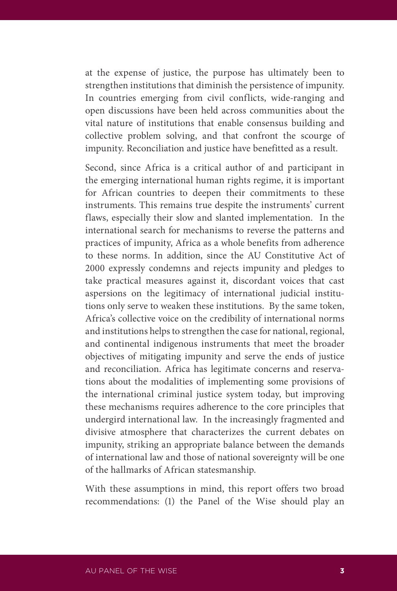at the expense of justice, the purpose has ultimately been to strengthen institutions that diminish the persistence of impunity. In countries emerging from civil conflicts, wide-ranging and open discussions have been held across communities about the vital nature of institutions that enable consensus building and collective problem solving, and that confront the scourge of impunity. Reconciliation and justice have benefitted as a result.

Second, since Africa is a critical author of and participant in the emerging international human rights regime, it is important for African countries to deepen their commitments to these instruments. This remains true despite the instruments' current flaws, especially their slow and slanted implementation. In the international search for mechanisms to reverse the patterns and practices of impunity, Africa as a whole benefits from adherence to these norms. In addition, since the AU Constitutive Act of 2000 expressly condemns and rejects impunity and pledges to take practical measures against it, discordant voices that cast aspersions on the legitimacy of international judicial institutions only serve to weaken these institutions. By the same token, Africa's collective voice on the credibility of international norms and institutions helps to strengthen the case for national, regional, and continental indigenous instruments that meet the broader objectives of mitigating impunity and serve the ends of justice and reconciliation. Africa has legitimate concerns and reservations about the modalities of implementing some provisions of the international criminal justice system today, but improving these mechanisms requires adherence to the core principles that undergird international law. In the increasingly fragmented and divisive atmosphere that characterizes the current debates on impunity, striking an appropriate balance between the demands of international law and those of national sovereignty will be one of the hallmarks of African statesmanship.

With these assumptions in mind, this report offers two broad recommendations: (1) the Panel of the Wise should play an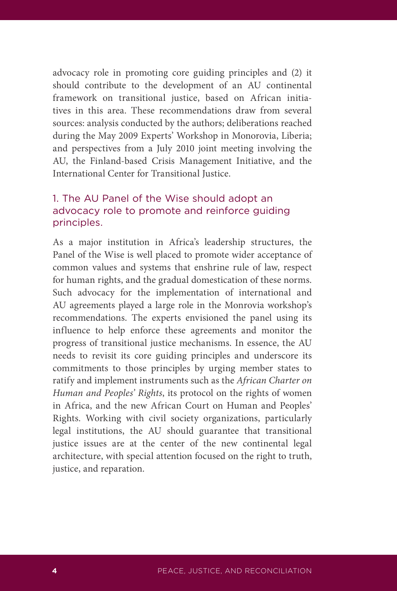advocacy role in promoting core guiding principles and (2) it should contribute to the development of an AU continental framework on transitional justice, based on African initiatives in this area. These recommendations draw from several sources: analysis conducted by the authors; deliberations reached during the May 2009 Experts' Workshop in Monorovia, Liberia; and perspectives from a July 2010 joint meeting involving the AU, the Finland-based Crisis Management Initiative, and the International Center for Transitional Justice.

#### 1. The AU Panel of the Wise should adopt an advocacy role to promote and reinforce guiding principles.

As a major institution in Africa's leadership structures, the Panel of the Wise is well placed to promote wider acceptance of common values and systems that enshrine rule of law, respect for human rights, and the gradual domestication of these norms. Such advocacy for the implementation of international and AU agreements played a large role in the Monrovia workshop's recommendations. The experts envisioned the panel using its influence to help enforce these agreements and monitor the progress of transitional justice mechanisms. In essence, the AU needs to revisit its core guiding principles and underscore its commitments to those principles by urging member states to ratify and implement instruments such as the *African Charter on Human and Peoples' Rights*, its protocol on the rights of women in Africa, and the new African Court on Human and Peoples' Rights. Working with civil society organizations, particularly legal institutions, the AU should guarantee that transitional justice issues are at the center of the new continental legal architecture, with special attention focused on the right to truth, justice, and reparation.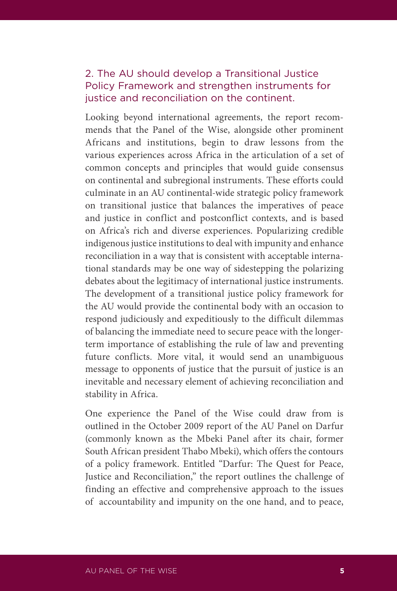#### 2. The AU should develop a Transitional Justice Policy Framework and strengthen instruments for justice and reconciliation on the continent.

Looking beyond international agreements, the report recommends that the Panel of the Wise, alongside other prominent Africans and institutions, begin to draw lessons from the various experiences across Africa in the articulation of a set of common concepts and principles that would guide consensus on continental and subregional instruments. These efforts could culminate in an AU continental-wide strategic policy framework on transitional justice that balances the imperatives of peace and justice in conflict and postconflict contexts, and is based on Africa's rich and diverse experiences. Popularizing credible indigenous justice institutions to deal with impunity and enhance reconciliation in a way that is consistent with acceptable international standards may be one way of sidestepping the polarizing debates about the legitimacy of international justice instruments. The development of a transitional justice policy framework for the AU would provide the continental body with an occasion to respond judiciously and expeditiously to the difficult dilemmas of balancing the immediate need to secure peace with the longerterm importance of establishing the rule of law and preventing future conflicts. More vital, it would send an unambiguous message to opponents of justice that the pursuit of justice is an inevitable and necessary element of achieving reconciliation and stability in Africa.

One experience the Panel of the Wise could draw from is outlined in the October 2009 report of the AU Panel on Darfur (commonly known as the Mbeki Panel after its chair, former South African president Thabo Mbeki), which offers the contours of a policy framework. Entitled "Darfur: The Quest for Peace, Justice and Reconciliation," the report outlines the challenge of finding an effective and comprehensive approach to the issues of accountability and impunity on the one hand, and to peace,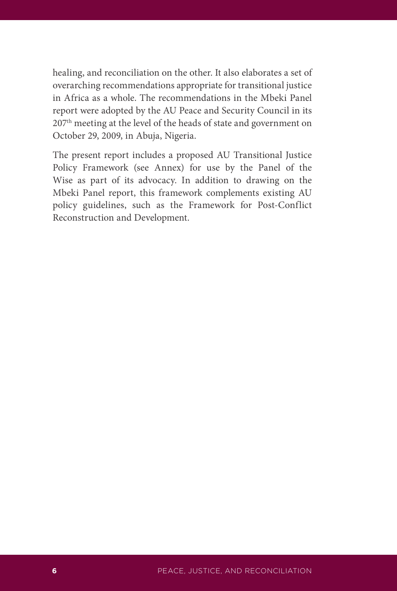healing, and reconciliation on the other. It also elaborates a set of overarching recommendations appropriate for transitional justice in Africa as a whole. The recommendations in the Mbeki Panel report were adopted by the AU Peace and Security Council in its 207th meeting at the level of the heads of state and government on October 29, 2009, in Abuja, Nigeria.

The present report includes a proposed AU Transitional Justice Policy Framework (see Annex) for use by the Panel of the Wise as part of its advocacy. In addition to drawing on the Mbeki Panel report, this framework complements existing AU policy guidelines, such as the Framework for Post-Conflict Reconstruction and Development.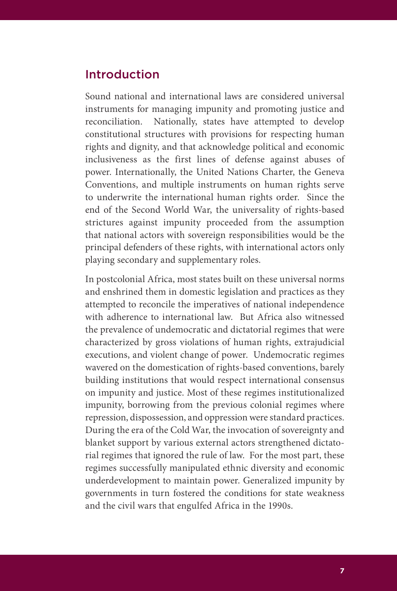#### Introduction

Sound national and international laws are considered universal instruments for managing impunity and promoting justice and reconciliation. Nationally, states have attempted to develop constitutional structures with provisions for respecting human rights and dignity, and that acknowledge political and economic inclusiveness as the first lines of defense against abuses of power. Internationally, the United Nations Charter, the Geneva Conventions, and multiple instruments on human rights serve to underwrite the international human rights order. Since the end of the Second World War, the universality of rights-based strictures against impunity proceeded from the assumption that national actors with sovereign responsibilities would be the principal defenders of these rights, with international actors only playing secondary and supplementary roles.

In postcolonial Africa, most states built on these universal norms and enshrined them in domestic legislation and practices as they attempted to reconcile the imperatives of national independence with adherence to international law. But Africa also witnessed the prevalence of undemocratic and dictatorial regimes that were characterized by gross violations of human rights, extrajudicial executions, and violent change of power. Undemocratic regimes wavered on the domestication of rights-based conventions, barely building institutions that would respect international consensus on impunity and justice. Most of these regimes institutionalized impunity, borrowing from the previous colonial regimes where repression, dispossession, and oppression were standard practices. During the era of the Cold War, the invocation of sovereignty and blanket support by various external actors strengthened dictatorial regimes that ignored the rule of law. For the most part, these regimes successfully manipulated ethnic diversity and economic underdevelopment to maintain power. Generalized impunity by governments in turn fostered the conditions for state weakness and the civil wars that engulfed Africa in the 1990s.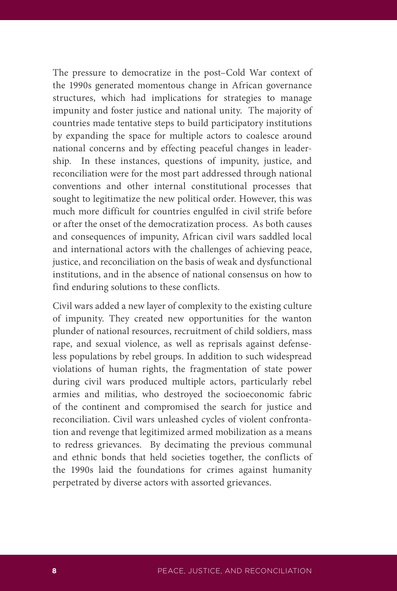The pressure to democratize in the post–Cold War context of the 1990s generated momentous change in African governance structures, which had implications for strategies to manage impunity and foster justice and national unity. The majority of countries made tentative steps to build participatory institutions by expanding the space for multiple actors to coalesce around national concerns and by effecting peaceful changes in leadership. In these instances, questions of impunity, justice, and reconciliation were for the most part addressed through national conventions and other internal constitutional processes that sought to legitimatize the new political order. However, this was much more difficult for countries engulfed in civil strife before or after the onset of the democratization process. As both causes and consequences of impunity, African civil wars saddled local and international actors with the challenges of achieving peace, justice, and reconciliation on the basis of weak and dysfunctional institutions, and in the absence of national consensus on how to find enduring solutions to these conflicts.

Civil wars added a new layer of complexity to the existing culture of impunity. They created new opportunities for the wanton plunder of national resources, recruitment of child soldiers, mass rape, and sexual violence, as well as reprisals against defenseless populations by rebel groups. In addition to such widespread violations of human rights, the fragmentation of state power during civil wars produced multiple actors, particularly rebel armies and militias, who destroyed the socioeconomic fabric of the continent and compromised the search for justice and reconciliation. Civil wars unleashed cycles of violent confrontation and revenge that legitimized armed mobilization as a means to redress grievances. By decimating the previous communal and ethnic bonds that held societies together, the conflicts of the 1990s laid the foundations for crimes against humanity perpetrated by diverse actors with assorted grievances.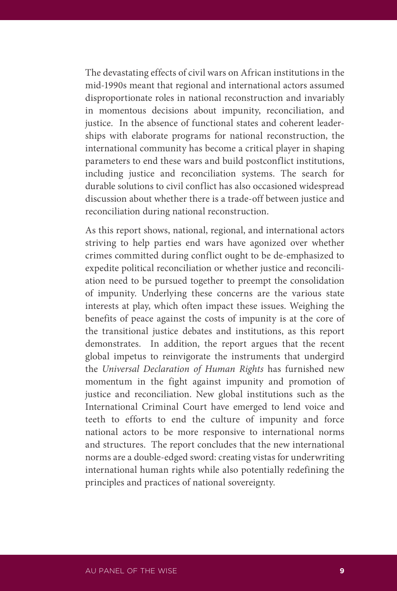The devastating effects of civil wars on African institutions in the mid-1990s meant that regional and international actors assumed disproportionate roles in national reconstruction and invariably in momentous decisions about impunity, reconciliation, and justice. In the absence of functional states and coherent leaderships with elaborate programs for national reconstruction, the international community has become a critical player in shaping parameters to end these wars and build postconflict institutions, including justice and reconciliation systems. The search for durable solutions to civil conflict has also occasioned widespread discussion about whether there is a trade-off between justice and reconciliation during national reconstruction.

As this report shows, national, regional, and international actors striving to help parties end wars have agonized over whether crimes committed during conflict ought to be de-emphasized to expedite political reconciliation or whether justice and reconciliation need to be pursued together to preempt the consolidation of impunity. Underlying these concerns are the various state interests at play, which often impact these issues. Weighing the benefits of peace against the costs of impunity is at the core of the transitional justice debates and institutions, as this report demonstrates. In addition, the report argues that the recent global impetus to reinvigorate the instruments that undergird the *Universal Declaration of Human Rights* has furnished new momentum in the fight against impunity and promotion of justice and reconciliation. New global institutions such as the International Criminal Court have emerged to lend voice and teeth to efforts to end the culture of impunity and force national actors to be more responsive to international norms and structures. The report concludes that the new international norms are a double-edged sword: creating vistas for underwriting international human rights while also potentially redefining the principles and practices of national sovereignty.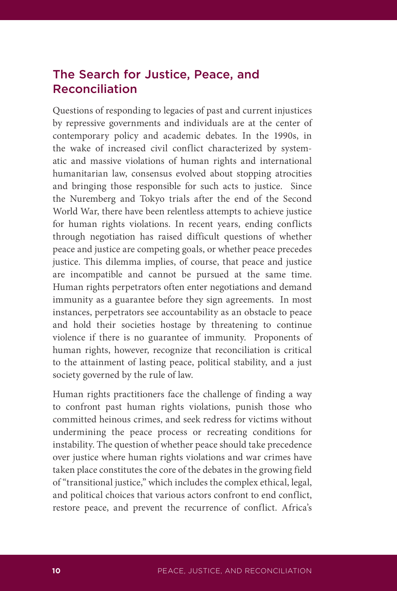#### The Search for Justice, Peace, and Reconciliation

Questions of responding to legacies of past and current injustices by repressive governments and individuals are at the center of contemporary policy and academic debates. In the 1990s, in the wake of increased civil conflict characterized by systematic and massive violations of human rights and international humanitarian law, consensus evolved about stopping atrocities and bringing those responsible for such acts to justice. Since the Nuremberg and Tokyo trials after the end of the Second World War, there have been relentless attempts to achieve justice for human rights violations. In recent years, ending conflicts through negotiation has raised difficult questions of whether peace and justice are competing goals, or whether peace precedes justice. This dilemma implies, of course, that peace and justice are incompatible and cannot be pursued at the same time. Human rights perpetrators often enter negotiations and demand immunity as a guarantee before they sign agreements. In most instances, perpetrators see accountability as an obstacle to peace and hold their societies hostage by threatening to continue violence if there is no guarantee of immunity. Proponents of human rights, however, recognize that reconciliation is critical to the attainment of lasting peace, political stability, and a just society governed by the rule of law.

Human rights practitioners face the challenge of finding a way to confront past human rights violations, punish those who committed heinous crimes, and seek redress for victims without undermining the peace process or recreating conditions for instability. The question of whether peace should take precedence over justice where human rights violations and war crimes have taken place constitutes the core of the debates in the growing field of "transitional justice," which includes the complex ethical, legal, and political choices that various actors confront to end conflict, restore peace, and prevent the recurrence of conflict. Africa's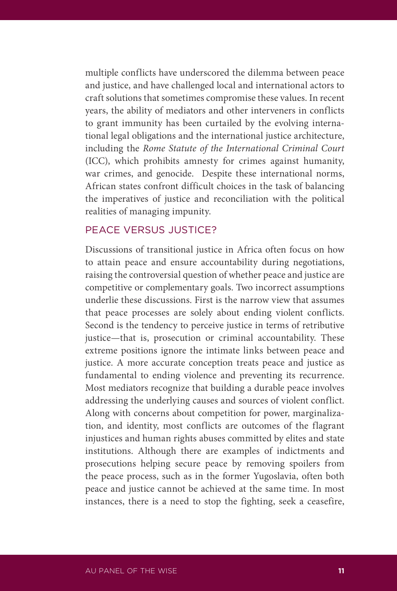multiple conflicts have underscored the dilemma between peace and justice, and have challenged local and international actors to craft solutions that sometimes compromise these values. In recent years, the ability of mediators and other interveners in conflicts to grant immunity has been curtailed by the evolving international legal obligations and the international justice architecture, including the *Rome Statute of the International Criminal Court* (ICC), which prohibits amnesty for crimes against humanity, war crimes, and genocide. Despite these international norms, African states confront difficult choices in the task of balancing the imperatives of justice and reconciliation with the political realities of managing impunity.

#### PEACE VERSUS JUSTICE?

Discussions of transitional justice in Africa often focus on how to attain peace and ensure accountability during negotiations, raising the controversial question of whether peace and justice are competitive or complementary goals. Two incorrect assumptions underlie these discussions. First is the narrow view that assumes that peace processes are solely about ending violent conflicts. Second is the tendency to perceive justice in terms of retributive justice—that is, prosecution or criminal accountability. These extreme positions ignore the intimate links between peace and justice. A more accurate conception treats peace and justice as fundamental to ending violence and preventing its recurrence. Most mediators recognize that building a durable peace involves addressing the underlying causes and sources of violent conflict. Along with concerns about competition for power, marginalization, and identity, most conflicts are outcomes of the flagrant injustices and human rights abuses committed by elites and state institutions. Although there are examples of indictments and prosecutions helping secure peace by removing spoilers from the peace process, such as in the former Yugoslavia, often both peace and justice cannot be achieved at the same time. In most instances, there is a need to stop the fighting, seek a ceasefire,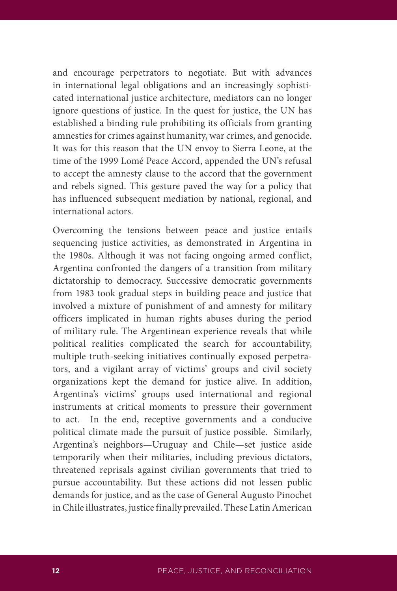and encourage perpetrators to negotiate. But with advances in international legal obligations and an increasingly sophisticated international justice architecture, mediators can no longer ignore questions of justice. In the quest for justice, the UN has established a binding rule prohibiting its officials from granting amnesties for crimes against humanity, war crimes, and genocide. It was for this reason that the UN envoy to Sierra Leone, at the time of the 1999 Lomé Peace Accord, appended the UN's refusal to accept the amnesty clause to the accord that the government and rebels signed. This gesture paved the way for a policy that has influenced subsequent mediation by national, regional, and international actors.

Overcoming the tensions between peace and justice entails sequencing justice activities, as demonstrated in Argentina in the 1980s. Although it was not facing ongoing armed conflict, Argentina confronted the dangers of a transition from military dictatorship to democracy. Successive democratic governments from 1983 took gradual steps in building peace and justice that involved a mixture of punishment of and amnesty for military officers implicated in human rights abuses during the period of military rule. The Argentinean experience reveals that while political realities complicated the search for accountability, multiple truth-seeking initiatives continually exposed perpetrators, and a vigilant array of victims' groups and civil society organizations kept the demand for justice alive. In addition, Argentina's victims' groups used international and regional instruments at critical moments to pressure their government to act. In the end, receptive governments and a conducive political climate made the pursuit of justice possible. Similarly, Argentina's neighbors—Uruguay and Chile—set justice aside temporarily when their militaries, including previous dictators, threatened reprisals against civilian governments that tried to pursue accountability. But these actions did not lessen public demands for justice, and as the case of General Augusto Pinochet in Chile illustrates, justice finally prevailed. These Latin American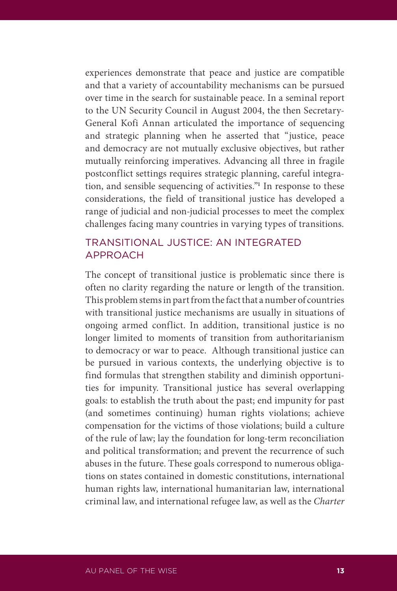experiences demonstrate that peace and justice are compatible and that a variety of accountability mechanisms can be pursued over time in the search for sustainable peace. In a seminal report to the UN Security Council in August 2004, the then Secretary-General Kofi Annan articulated the importance of sequencing and strategic planning when he asserted that "justice, peace and democracy are not mutually exclusive objectives, but rather mutually reinforcing imperatives. Advancing all three in fragile postconflict settings requires strategic planning, careful integration, and sensible sequencing of activities."**<sup>1</sup>** In response to these considerations, the field of transitional justice has developed a range of judicial and non-judicial processes to meet the complex challenges facing many countries in varying types of transitions.

#### TRANSITIONAL JUSTICE: AN INTEGRATED APPROACH

The concept of transitional justice is problematic since there is often no clarity regarding the nature or length of the transition. This problem stems in part from the fact that a number of countries with transitional justice mechanisms are usually in situations of ongoing armed conflict. In addition, transitional justice is no longer limited to moments of transition from authoritarianism to democracy or war to peace. Although transitional justice can be pursued in various contexts, the underlying objective is to find formulas that strengthen stability and diminish opportunities for impunity. Transitional justice has several overlapping goals: to establish the truth about the past; end impunity for past (and sometimes continuing) human rights violations; achieve compensation for the victims of those violations; build a culture of the rule of law; lay the foundation for long-term reconciliation and political transformation; and prevent the recurrence of such abuses in the future. These goals correspond to numerous obligations on states contained in domestic constitutions, international human rights law, international humanitarian law, international criminal law, and international refugee law, as well as the *Charter*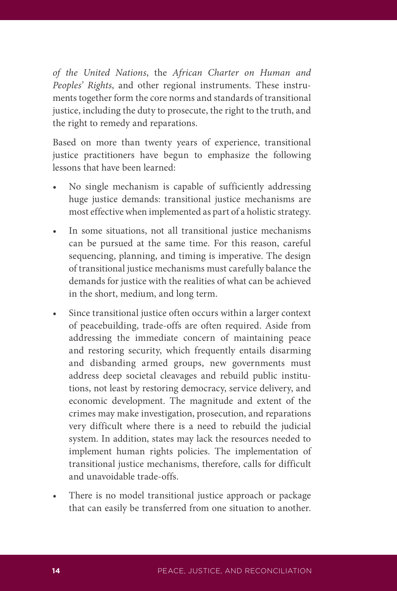*of the United Nations*, the *African Charter on Human and Peoples' Rights*, and other regional instruments. These instruments together form the core norms and standards of transitional justice, including the duty to prosecute, the right to the truth, and the right to remedy and reparations.

Based on more than twenty years of experience, transitional justice practitioners have begun to emphasize the following lessons that have been learned:

- No single mechanism is capable of sufficiently addressing huge justice demands: transitional justice mechanisms are most effective when implemented as part of a holistic strategy.
- In some situations, not all transitional justice mechanisms can be pursued at the same time. For this reason, careful sequencing, planning, and timing is imperative. The design of transitional justice mechanisms must carefully balance the demands for justice with the realities of what can be achieved in the short, medium, and long term.
- • Since transitional justice often occurs within a larger context of peacebuilding, trade-offs are often required. Aside from addressing the immediate concern of maintaining peace and restoring security, which frequently entails disarming and disbanding armed groups, new governments must address deep societal cleavages and rebuild public institutions, not least by restoring democracy, service delivery, and economic development. The magnitude and extent of the crimes may make investigation, prosecution, and reparations very difficult where there is a need to rebuild the judicial system. In addition, states may lack the resources needed to implement human rights policies. The implementation of transitional justice mechanisms, therefore, calls for difficult and unavoidable trade-offs.
- There is no model transitional justice approach or package that can easily be transferred from one situation to another.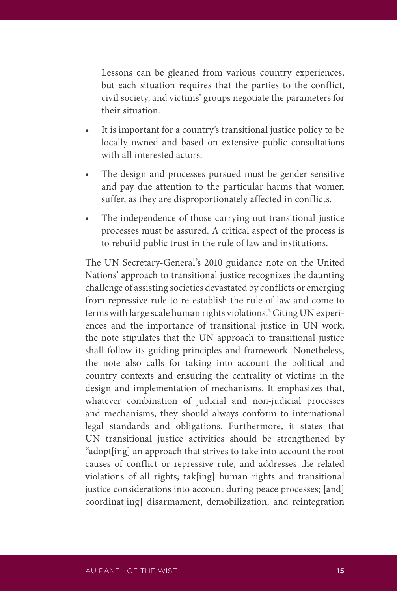Lessons can be gleaned from various country experiences, but each situation requires that the parties to the conflict, civil society, and victims' groups negotiate the parameters for their situation.

- • It is important for a country's transitional justice policy to be locally owned and based on extensive public consultations with all interested actors.
- The design and processes pursued must be gender sensitive and pay due attention to the particular harms that women suffer, as they are disproportionately affected in conflicts.
- • The independence of those carrying out transitional justice processes must be assured. A critical aspect of the process is to rebuild public trust in the rule of law and institutions.

The UN Secretary-General's 2010 guidance note on the United Nations' approach to transitional justice recognizes the daunting challenge of assisting societies devastated by conflicts or emerging from repressive rule to re-establish the rule of law and come to terms with large scale human rights violations.**<sup>2</sup>** Citing UN experiences and the importance of transitional justice in UN work, the note stipulates that the UN approach to transitional justice shall follow its guiding principles and framework. Nonetheless, the note also calls for taking into account the political and country contexts and ensuring the centrality of victims in the design and implementation of mechanisms. It emphasizes that, whatever combination of judicial and non-judicial processes and mechanisms, they should always conform to international legal standards and obligations. Furthermore, it states that UN transitional justice activities should be strengthened by "adopt[ing] an approach that strives to take into account the root causes of conflict or repressive rule, and addresses the related violations of all rights; tak[ing] human rights and transitional justice considerations into account during peace processes; [and] coordinat[ing] disarmament, demobilization, and reintegration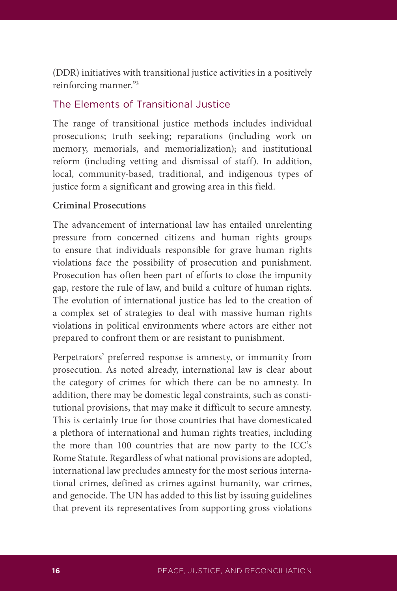(DDR) initiatives with transitional justice activities in a positively reinforcing manner."**<sup>3</sup>**

#### The Elements of Transitional Justice

The range of transitional justice methods includes individual prosecutions; truth seeking; reparations (including work on memory, memorials, and memorialization); and institutional reform (including vetting and dismissal of staff). In addition, local, community-based, traditional, and indigenous types of justice form a significant and growing area in this field.

#### **Criminal Prosecutions**

The advancement of international law has entailed unrelenting pressure from concerned citizens and human rights groups to ensure that individuals responsible for grave human rights violations face the possibility of prosecution and punishment. Prosecution has often been part of efforts to close the impunity gap, restore the rule of law, and build a culture of human rights. The evolution of international justice has led to the creation of a complex set of strategies to deal with massive human rights violations in political environments where actors are either not prepared to confront them or are resistant to punishment.

Perpetrators' preferred response is amnesty, or immunity from prosecution. As noted already, international law is clear about the category of crimes for which there can be no amnesty. In addition, there may be domestic legal constraints, such as constitutional provisions, that may make it difficult to secure amnesty. This is certainly true for those countries that have domesticated a plethora of international and human rights treaties, including the more than 100 countries that are now party to the ICC's Rome Statute. Regardless of what national provisions are adopted, international law precludes amnesty for the most serious international crimes, defined as crimes against humanity, war crimes, and genocide. The UN has added to this list by issuing guidelines that prevent its representatives from supporting gross violations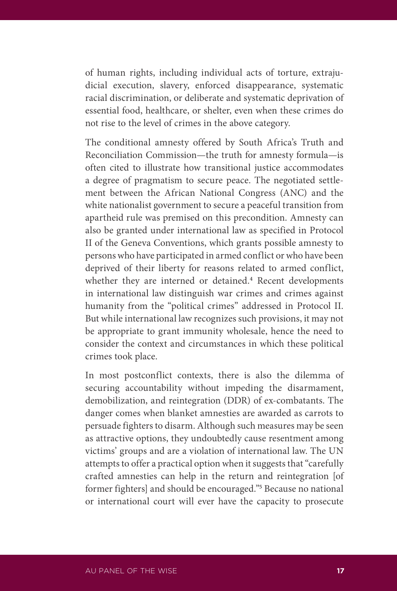of human rights, including individual acts of torture, extrajudicial execution, slavery, enforced disappearance, systematic racial discrimination, or deliberate and systematic deprivation of essential food, healthcare, or shelter, even when these crimes do not rise to the level of crimes in the above category.

The conditional amnesty offered by South Africa's Truth and Reconciliation Commission—the truth for amnesty formula—is often cited to illustrate how transitional justice accommodates a degree of pragmatism to secure peace. The negotiated settlement between the African National Congress (ANC) and the white nationalist government to secure a peaceful transition from apartheid rule was premised on this precondition. Amnesty can also be granted under international law as specified in Protocol II of the Geneva Conventions, which grants possible amnesty to persons who have participated in armed conflict or who have been deprived of their liberty for reasons related to armed conflict, whether they are interned or detained.**<sup>4</sup>** Recent developments in international law distinguish war crimes and crimes against humanity from the "political crimes" addressed in Protocol II. But while international law recognizes such provisions, it may not be appropriate to grant immunity wholesale, hence the need to consider the context and circumstances in which these political crimes took place.

In most postconflict contexts, there is also the dilemma of securing accountability without impeding the disarmament, demobilization, and reintegration (DDR) of ex-combatants. The danger comes when blanket amnesties are awarded as carrots to persuade fighters to disarm. Although such measures may be seen as attractive options, they undoubtedly cause resentment among victims' groups and are a violation of international law. The UN attempts to offer a practical option when it suggests that "carefully crafted amnesties can help in the return and reintegration [of former fighters] and should be encouraged."**<sup>5</sup>** Because no national or international court will ever have the capacity to prosecute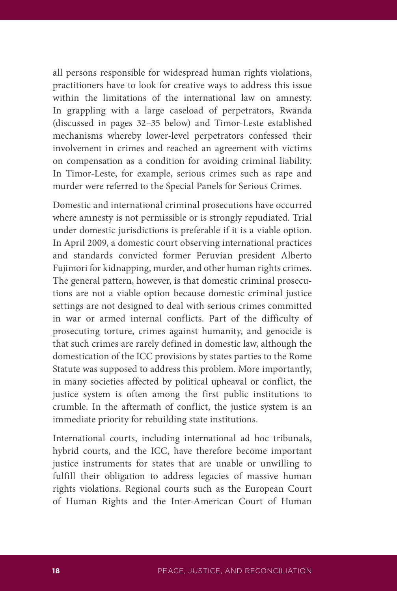all persons responsible for widespread human rights violations, practitioners have to look for creative ways to address this issue within the limitations of the international law on amnesty. In grappling with a large caseload of perpetrators, Rwanda (discussed in pages 32–35 below) and Timor-Leste established mechanisms whereby lower-level perpetrators confessed their involvement in crimes and reached an agreement with victims on compensation as a condition for avoiding criminal liability. In Timor-Leste, for example, serious crimes such as rape and murder were referred to the Special Panels for Serious Crimes.

Domestic and international criminal prosecutions have occurred where amnesty is not permissible or is strongly repudiated. Trial under domestic jurisdictions is preferable if it is a viable option. In April 2009, a domestic court observing international practices and standards convicted former Peruvian president Alberto Fujimori for kidnapping, murder, and other human rights crimes. The general pattern, however, is that domestic criminal prosecutions are not a viable option because domestic criminal justice settings are not designed to deal with serious crimes committed in war or armed internal conflicts. Part of the difficulty of prosecuting torture, crimes against humanity, and genocide is that such crimes are rarely defined in domestic law, although the domestication of the ICC provisions by states parties to the Rome Statute was supposed to address this problem. More importantly, in many societies affected by political upheaval or conflict, the justice system is often among the first public institutions to crumble. In the aftermath of conflict, the justice system is an immediate priority for rebuilding state institutions.

International courts, including international ad hoc tribunals, hybrid courts, and the ICC, have therefore become important justice instruments for states that are unable or unwilling to fulfill their obligation to address legacies of massive human rights violations. Regional courts such as the European Court of Human Rights and the Inter-American Court of Human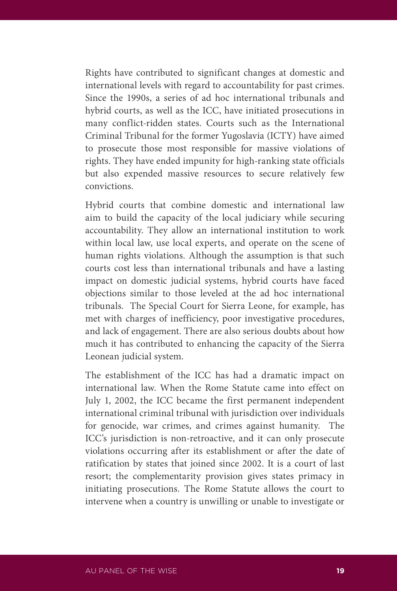Rights have contributed to significant changes at domestic and international levels with regard to accountability for past crimes. Since the 1990s, a series of ad hoc international tribunals and hybrid courts, as well as the ICC, have initiated prosecutions in many conflict-ridden states. Courts such as the International Criminal Tribunal for the former Yugoslavia (ICTY) have aimed to prosecute those most responsible for massive violations of rights. They have ended impunity for high-ranking state officials but also expended massive resources to secure relatively few convictions.

Hybrid courts that combine domestic and international law aim to build the capacity of the local judiciary while securing accountability. They allow an international institution to work within local law, use local experts, and operate on the scene of human rights violations. Although the assumption is that such courts cost less than international tribunals and have a lasting impact on domestic judicial systems, hybrid courts have faced objections similar to those leveled at the ad hoc international tribunals. The Special Court for Sierra Leone, for example, has met with charges of inefficiency, poor investigative procedures, and lack of engagement. There are also serious doubts about how much it has contributed to enhancing the capacity of the Sierra Leonean judicial system.

The establishment of the ICC has had a dramatic impact on international law. When the Rome Statute came into effect on July 1, 2002, the ICC became the first permanent independent international criminal tribunal with jurisdiction over individuals for genocide, war crimes, and crimes against humanity. The ICC's jurisdiction is non-retroactive, and it can only prosecute violations occurring after its establishment or after the date of ratification by states that joined since 2002. It is a court of last resort; the complementarity provision gives states primacy in initiating prosecutions. The Rome Statute allows the court to intervene when a country is unwilling or unable to investigate or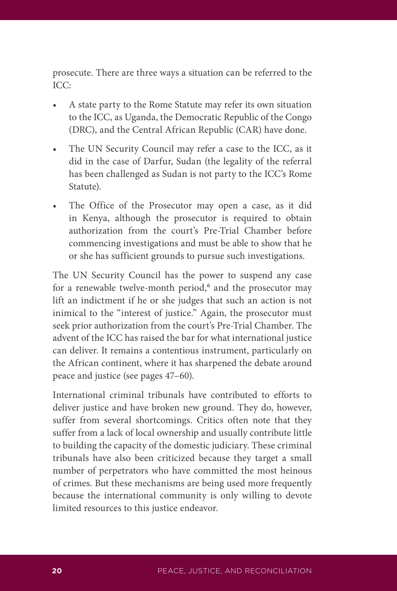prosecute. There are three ways a situation can be referred to the ICC:

- A state party to the Rome Statute may refer its own situation to the ICC, as Uganda, the Democratic Republic of the Congo (DRC), and the Central African Republic (CAR) have done.
- The UN Security Council may refer a case to the ICC, as it did in the case of Darfur, Sudan (the legality of the referral has been challenged as Sudan is not party to the ICC's Rome Statute).
- The Office of the Prosecutor may open a case, as it did in Kenya, although the prosecutor is required to obtain authorization from the court's Pre-Trial Chamber before commencing investigations and must be able to show that he or she has sufficient grounds to pursue such investigations.

The UN Security Council has the power to suspend any case for a renewable twelve-month period,<sup>6</sup> and the prosecutor may lift an indictment if he or she judges that such an action is not inimical to the "interest of justice." Again, the prosecutor must seek prior authorization from the court's Pre-Trial Chamber. The advent of the ICC has raised the bar for what international justice can deliver. It remains a contentious instrument, particularly on the African continent, where it has sharpened the debate around peace and justice (see pages 47–60).

International criminal tribunals have contributed to efforts to deliver justice and have broken new ground. They do, however, suffer from several shortcomings. Critics often note that they suffer from a lack of local ownership and usually contribute little to building the capacity of the domestic judiciary. These criminal tribunals have also been criticized because they target a small number of perpetrators who have committed the most heinous of crimes. But these mechanisms are being used more frequently because the international community is only willing to devote limited resources to this justice endeavor.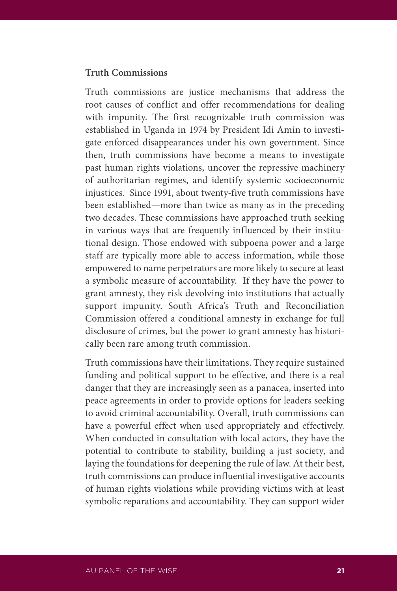#### **Truth Commissions**

Truth commissions are justice mechanisms that address the root causes of conflict and offer recommendations for dealing with impunity. The first recognizable truth commission was established in Uganda in 1974 by President Idi Amin to investigate enforced disappearances under his own government. Since then, truth commissions have become a means to investigate past human rights violations, uncover the repressive machinery of authoritarian regimes, and identify systemic socioeconomic injustices. Since 1991, about twenty-five truth commissions have been established—more than twice as many as in the preceding two decades. These commissions have approached truth seeking in various ways that are frequently influenced by their institutional design. Those endowed with subpoena power and a large staff are typically more able to access information, while those empowered to name perpetrators are more likely to secure at least a symbolic measure of accountability. If they have the power to grant amnesty, they risk devolving into institutions that actually support impunity. South Africa's Truth and Reconciliation Commission offered a conditional amnesty in exchange for full disclosure of crimes, but the power to grant amnesty has historically been rare among truth commission.

Truth commissions have their limitations. They require sustained funding and political support to be effective, and there is a real danger that they are increasingly seen as a panacea, inserted into peace agreements in order to provide options for leaders seeking to avoid criminal accountability. Overall, truth commissions can have a powerful effect when used appropriately and effectively. When conducted in consultation with local actors, they have the potential to contribute to stability, building a just society, and laying the foundations for deepening the rule of law. At their best, truth commissions can produce influential investigative accounts of human rights violations while providing victims with at least symbolic reparations and accountability. They can support wider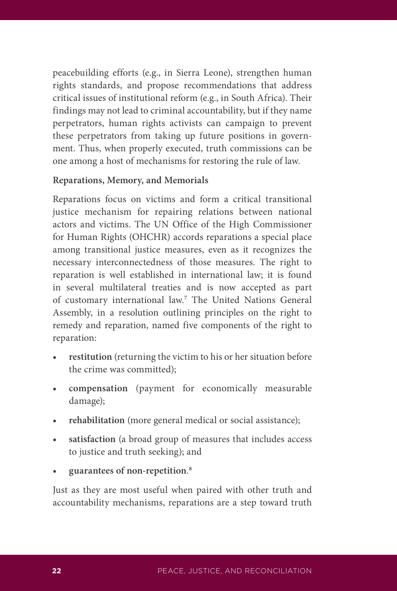peacebuilding efforts (e.g., in Sierra Leone), strengthen human rights standards, and propose recommendations that address critical issues of institutional reform (e.g., in South Africa). Their findings may not lead to criminal accountability, but if they name perpetrators, human rights activists can campaign to prevent these perpetrators from taking up future positions in government. Thus, when properly executed, truth commissions can be one among a host of mechanisms for restoring the rule of law.

#### **Reparations, Memory, and Memorials**

Reparations focus on victims and form a critical transitional justice mechanism for repairing relations between national actors and victims. The UN Office of the High Commissioner for Human Rights (OHCHR) accords reparations a special place among transitional justice measures, even as it recognizes the necessary interconnectedness of those measures. The right to reparation is well established in international law; it is found in several multilateral treaties and is now accepted as part of customary international law.**<sup>7</sup>** The United Nations General Assembly, in a resolution outlining principles on the right to remedy and reparation, named five components of the right to reparation:

- **restitution** (returning the victim to his or her situation before the crime was committed);
- **• compensation** (payment for economically measurable damage);
- **rehabilitation** (more general medical or social assistance);
- **satisfaction** (a broad group of measures that includes access to justice and truth seeking); and
- **• guarantees of non-repetition**. **8**

Just as they are most useful when paired with other truth and accountability mechanisms, reparations are a step toward truth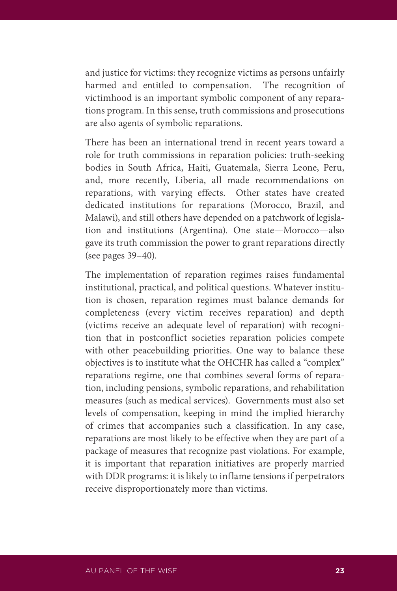and justice for victims: they recognize victims as persons unfairly harmed and entitled to compensation. The recognition of victimhood is an important symbolic component of any reparations program. In this sense, truth commissions and prosecutions are also agents of symbolic reparations.

There has been an international trend in recent years toward a role for truth commissions in reparation policies: truth-seeking bodies in South Africa, Haiti, Guatemala, Sierra Leone, Peru, and, more recently, Liberia, all made recommendations on reparations, with varying effects. Other states have created dedicated institutions for reparations (Morocco, Brazil, and Malawi), and still others have depended on a patchwork of legislation and institutions (Argentina). One state—Morocco—also gave its truth commission the power to grant reparations directly (see pages 39–40).

The implementation of reparation regimes raises fundamental institutional, practical, and political questions. Whatever institution is chosen, reparation regimes must balance demands for completeness (every victim receives reparation) and depth (victims receive an adequate level of reparation) with recognition that in postconflict societies reparation policies compete with other peacebuilding priorities. One way to balance these objectives is to institute what the OHCHR has called a "complex" reparations regime, one that combines several forms of reparation, including pensions, symbolic reparations, and rehabilitation measures (such as medical services). Governments must also set levels of compensation, keeping in mind the implied hierarchy of crimes that accompanies such a classification. In any case, reparations are most likely to be effective when they are part of a package of measures that recognize past violations. For example, it is important that reparation initiatives are properly married with DDR programs: it is likely to inflame tensions if perpetrators receive disproportionately more than victims.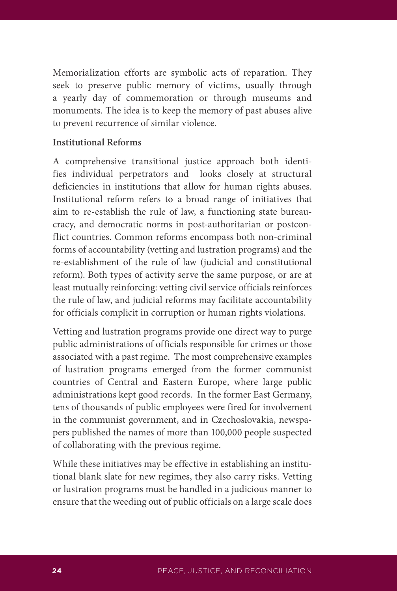Memorialization efforts are symbolic acts of reparation. They seek to preserve public memory of victims, usually through a yearly day of commemoration or through museums and monuments. The idea is to keep the memory of past abuses alive to prevent recurrence of similar violence.

#### **Institutional Reforms**

A comprehensive transitional justice approach both identifies individual perpetrators and looks closely at structural deficiencies in institutions that allow for human rights abuses. Institutional reform refers to a broad range of initiatives that aim to re-establish the rule of law, a functioning state bureaucracy, and democratic norms in post-authoritarian or postconflict countries. Common reforms encompass both non-criminal forms of accountability (vetting and lustration programs) and the re-establishment of the rule of law (judicial and constitutional reform). Both types of activity serve the same purpose, or are at least mutually reinforcing: vetting civil service officials reinforces the rule of law, and judicial reforms may facilitate accountability for officials complicit in corruption or human rights violations.

Vetting and lustration programs provide one direct way to purge public administrations of officials responsible for crimes or those associated with a past regime. The most comprehensive examples of lustration programs emerged from the former communist countries of Central and Eastern Europe, where large public administrations kept good records. In the former East Germany, tens of thousands of public employees were fired for involvement in the communist government, and in Czechoslovakia, newspapers published the names of more than 100,000 people suspected of collaborating with the previous regime.

While these initiatives may be effective in establishing an institutional blank slate for new regimes, they also carry risks. Vetting or lustration programs must be handled in a judicious manner to ensure that the weeding out of public officials on a large scale does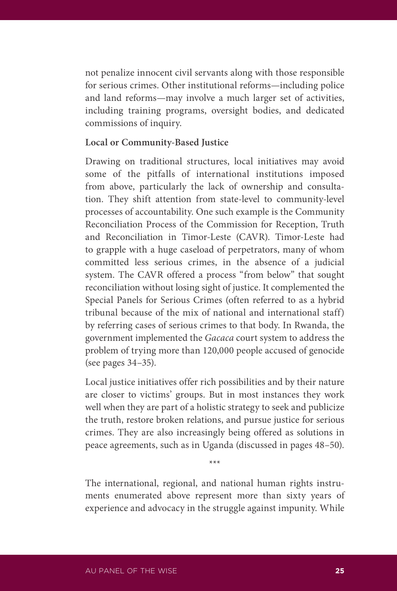not penalize innocent civil servants along with those responsible for serious crimes. Other institutional reforms—including police and land reforms—may involve a much larger set of activities, including training programs, oversight bodies, and dedicated commissions of inquiry.

#### **Local or Community-Based Justice**

Drawing on traditional structures, local initiatives may avoid some of the pitfalls of international institutions imposed from above, particularly the lack of ownership and consultation. They shift attention from state-level to community-level processes of accountability. One such example is the Community Reconciliation Process of the Commission for Reception, Truth and Reconciliation in Timor-Leste (CAVR). Timor-Leste had to grapple with a huge caseload of perpetrators, many of whom committed less serious crimes, in the absence of a judicial system. The CAVR offered a process "from below" that sought reconciliation without losing sight of justice. It complemented the Special Panels for Serious Crimes (often referred to as a hybrid tribunal because of the mix of national and international staff) by referring cases of serious crimes to that body. In Rwanda, the government implemented the *Gacaca* court system to address the problem of trying more than 120,000 people accused of genocide (see pages 34–35).

Local justice initiatives offer rich possibilities and by their nature are closer to victims' groups. But in most instances they work well when they are part of a holistic strategy to seek and publicize the truth, restore broken relations, and pursue justice for serious crimes. They are also increasingly being offered as solutions in peace agreements, such as in Uganda (discussed in pages 48–50).

The international, regional, and national human rights instruments enumerated above represent more than sixty years of experience and advocacy in the struggle against impunity. While

\*\*\*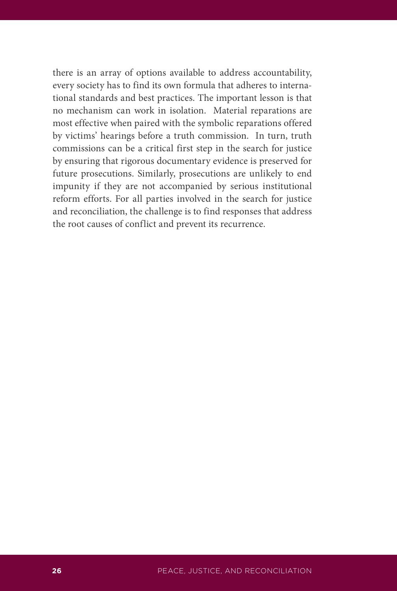there is an array of options available to address accountability, every society has to find its own formula that adheres to international standards and best practices. The important lesson is that no mechanism can work in isolation. Material reparations are most effective when paired with the symbolic reparations offered by victims' hearings before a truth commission. In turn, truth commissions can be a critical first step in the search for justice by ensuring that rigorous documentary evidence is preserved for future prosecutions. Similarly, prosecutions are unlikely to end impunity if they are not accompanied by serious institutional reform efforts. For all parties involved in the search for justice and reconciliation, the challenge is to find responses that address the root causes of conflict and prevent its recurrence.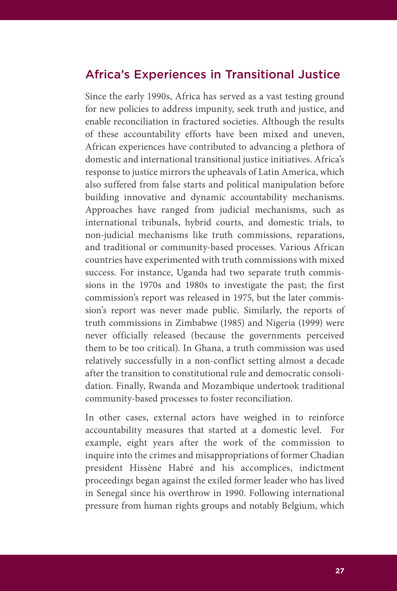# Africa's Experiences in Transitional Justice

Since the early 1990s, Africa has served as a vast testing ground for new policies to address impunity, seek truth and justice, and enable reconciliation in fractured societies. Although the results of these accountability efforts have been mixed and uneven, African experiences have contributed to advancing a plethora of domestic and international transitional justice initiatives. Africa's response to justice mirrors the upheavals of Latin America, which also suffered from false starts and political manipulation before building innovative and dynamic accountability mechanisms. Approaches have ranged from judicial mechanisms, such as international tribunals, hybrid courts, and domestic trials, to non-judicial mechanisms like truth commissions, reparations, and traditional or community-based processes. Various African countries have experimented with truth commissions with mixed success. For instance, Uganda had two separate truth commissions in the 1970s and 1980s to investigate the past; the first commission's report was released in 1975, but the later commission's report was never made public. Similarly, the reports of truth commissions in Zimbabwe (1985) and Nigeria (1999) were never officially released (because the governments perceived them to be too critical). In Ghana, a truth commission was used relatively successfully in a non-conflict setting almost a decade after the transition to constitutional rule and democratic consolidation. Finally, Rwanda and Mozambique undertook traditional community-based processes to foster reconciliation.

In other cases, external actors have weighed in to reinforce accountability measures that started at a domestic level. For example, eight years after the work of the commission to inquire into the crimes and misappropriations of former Chadian president Hissène Habré and his accomplices, indictment proceedings began against the exiled former leader who has lived in Senegal since his overthrow in 1990. Following international pressure from human rights groups and notably Belgium, which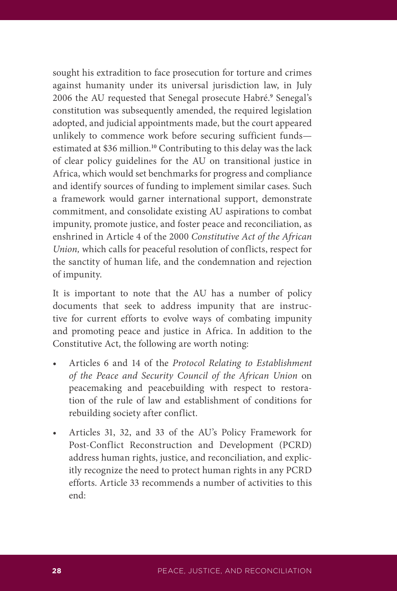sought his extradition to face prosecution for torture and crimes against humanity under its universal jurisdiction law, in July 2006 the AU requested that Senegal prosecute Habré.**<sup>9</sup>** Senegal's constitution was subsequently amended, the required legislation adopted, and judicial appointments made, but the court appeared unlikely to commence work before securing sufficient funds estimated at \$36 million.**<sup>10</sup>** Contributing to this delay was the lack of clear policy guidelines for the AU on transitional justice in Africa, which would set benchmarks for progress and compliance and identify sources of funding to implement similar cases. Such a framework would garner international support, demonstrate commitment, and consolidate existing AU aspirations to combat impunity, promote justice, and foster peace and reconciliation, as enshrined in Article 4 of the 2000 *Constitutive Act of the African Union,* which calls for peaceful resolution of conflicts, respect for the sanctity of human life, and the condemnation and rejection of impunity.

It is important to note that the AU has a number of policy documents that seek to address impunity that are instructive for current efforts to evolve ways of combating impunity and promoting peace and justice in Africa. In addition to the Constitutive Act, the following are worth noting:

- Articles 6 and 14 of the *Protocol Relating to Establishment of the Peace and Security Council of the African Union* on peacemaking and peacebuilding with respect to restoration of the rule of law and establishment of conditions for rebuilding society after conflict.
- Articles 31, 32, and 33 of the AU's Policy Framework for Post-Conflict Reconstruction and Development (PCRD) address human rights, justice, and reconciliation, and explicitly recognize the need to protect human rights in any PCRD efforts. Article 33 recommends a number of activities to this end: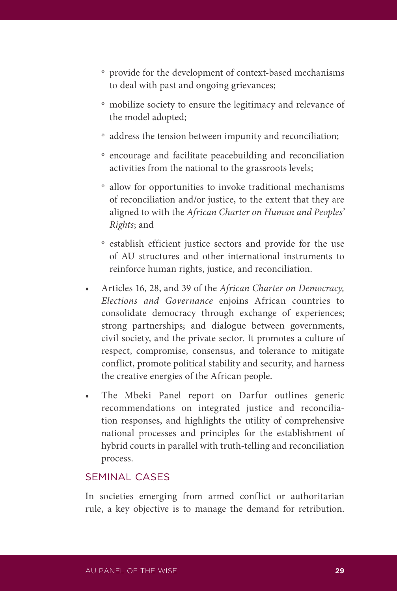- º provide for the development of context-based mechanisms to deal with past and ongoing grievances;
- º mobilize society to ensure the legitimacy and relevance of the model adopted;
- º address the tension between impunity and reconciliation;
- º encourage and facilitate peacebuilding and reconciliation activities from the national to the grassroots levels;
- º allow for opportunities to invoke traditional mechanisms of reconciliation and/or justice, to the extent that they are aligned to with the *African Charter on Human and Peoples' Rights*; and
- º establish efficient justice sectors and provide for the use of AU structures and other international instruments to reinforce human rights, justice, and reconciliation.
- • Articles 16, 28, and 39 of the *African Charter on Democracy, Elections and Governance* enjoins African countries to consolidate democracy through exchange of experiences; strong partnerships; and dialogue between governments, civil society, and the private sector. It promotes a culture of respect, compromise, consensus, and tolerance to mitigate conflict, promote political stability and security, and harness the creative energies of the African people.
- The Mbeki Panel report on Darfur outlines generic recommendations on integrated justice and reconciliation responses, and highlights the utility of comprehensive national processes and principles for the establishment of hybrid courts in parallel with truth-telling and reconciliation process.

# SEMINAL CASES

In societies emerging from armed conflict or authoritarian rule, a key objective is to manage the demand for retribution.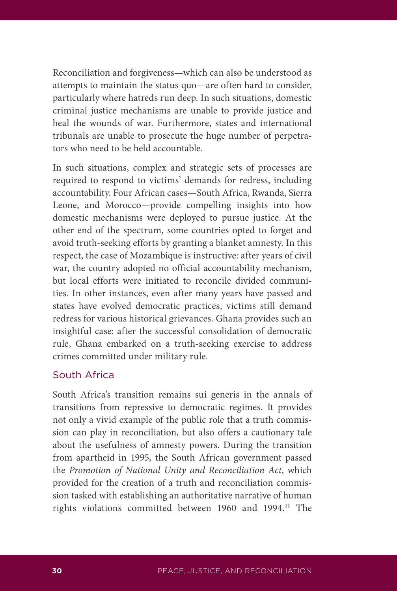Reconciliation and forgiveness—which can also be understood as attempts to maintain the status quo—are often hard to consider, particularly where hatreds run deep. In such situations, domestic criminal justice mechanisms are unable to provide justice and heal the wounds of war. Furthermore, states and international tribunals are unable to prosecute the huge number of perpetrators who need to be held accountable.

In such situations, complex and strategic sets of processes are required to respond to victims' demands for redress, including accountability. Four African cases—South Africa, Rwanda, Sierra Leone, and Morocco—provide compelling insights into how domestic mechanisms were deployed to pursue justice. At the other end of the spectrum, some countries opted to forget and avoid truth-seeking efforts by granting a blanket amnesty. In this respect, the case of Mozambique is instructive: after years of civil war, the country adopted no official accountability mechanism, but local efforts were initiated to reconcile divided communities. In other instances, even after many years have passed and states have evolved democratic practices, victims still demand redress for various historical grievances. Ghana provides such an insightful case: after the successful consolidation of democratic rule, Ghana embarked on a truth-seeking exercise to address crimes committed under military rule.

## South Africa

South Africa's transition remains sui generis in the annals of transitions from repressive to democratic regimes. It provides not only a vivid example of the public role that a truth commission can play in reconciliation, but also offers a cautionary tale about the usefulness of amnesty powers. During the transition from apartheid in 1995, the South African government passed the *Promotion of National Unity and Reconciliation Act*, which provided for the creation of a truth and reconciliation commission tasked with establishing an authoritative narrative of human rights violations committed between 1960 and 1994.**11** The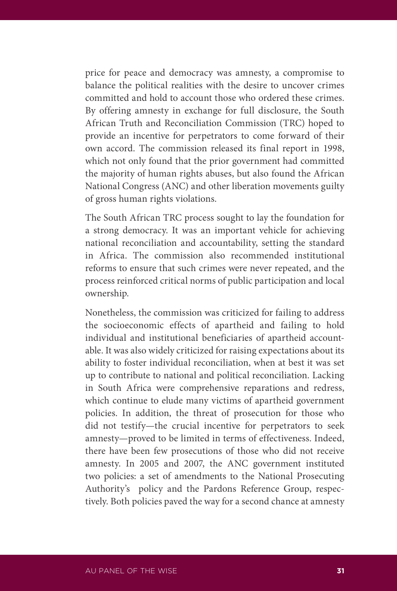price for peace and democracy was amnesty, a compromise to balance the political realities with the desire to uncover crimes committed and hold to account those who ordered these crimes. By offering amnesty in exchange for full disclosure, the South African Truth and Reconciliation Commission (TRC) hoped to provide an incentive for perpetrators to come forward of their own accord. The commission released its final report in 1998, which not only found that the prior government had committed the majority of human rights abuses, but also found the African National Congress (ANC) and other liberation movements guilty of gross human rights violations.

The South African TRC process sought to lay the foundation for a strong democracy. It was an important vehicle for achieving national reconciliation and accountability, setting the standard in Africa. The commission also recommended institutional reforms to ensure that such crimes were never repeated, and the process reinforced critical norms of public participation and local ownership.

Nonetheless, the commission was criticized for failing to address the socioeconomic effects of apartheid and failing to hold individual and institutional beneficiaries of apartheid accountable. It was also widely criticized for raising expectations about its ability to foster individual reconciliation, when at best it was set up to contribute to national and political reconciliation. Lacking in South Africa were comprehensive reparations and redress, which continue to elude many victims of apartheid government policies. In addition, the threat of prosecution for those who did not testify—the crucial incentive for perpetrators to seek amnesty—proved to be limited in terms of effectiveness. Indeed, there have been few prosecutions of those who did not receive amnesty. In 2005 and 2007, the ANC government instituted two policies: a set of amendments to the National Prosecuting Authority's policy and the Pardons Reference Group, respectively. Both policies paved the way for a second chance at amnesty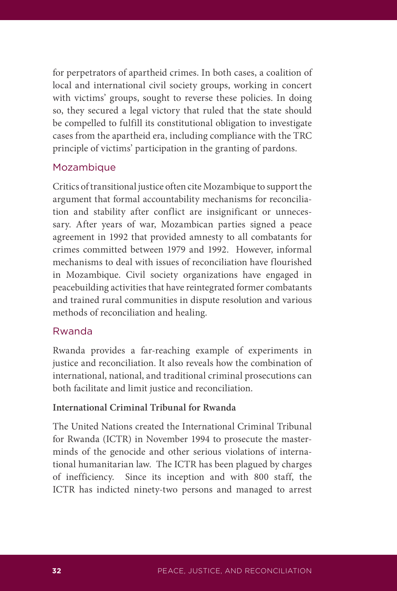for perpetrators of apartheid crimes. In both cases, a coalition of local and international civil society groups, working in concert with victims' groups, sought to reverse these policies. In doing so, they secured a legal victory that ruled that the state should be compelled to fulfill its constitutional obligation to investigate cases from the apartheid era, including compliance with the TRC principle of victims' participation in the granting of pardons.

## Mozambique

Critics of transitional justice often cite Mozambique to support the argument that formal accountability mechanisms for reconciliation and stability after conflict are insignificant or unnecessary. After years of war, Mozambican parties signed a peace agreement in 1992 that provided amnesty to all combatants for crimes committed between 1979 and 1992. However, informal mechanisms to deal with issues of reconciliation have flourished in Mozambique. Civil society organizations have engaged in peacebuilding activities that have reintegrated former combatants and trained rural communities in dispute resolution and various methods of reconciliation and healing.

### Rwanda

Rwanda provides a far-reaching example of experiments in justice and reconciliation. It also reveals how the combination of international, national, and traditional criminal prosecutions can both facilitate and limit justice and reconciliation.

## **International Criminal Tribunal for Rwanda**

The United Nations created the International Criminal Tribunal for Rwanda (ICTR) in November 1994 to prosecute the masterminds of the genocide and other serious violations of international humanitarian law. The ICTR has been plagued by charges of inefficiency. Since its inception and with 800 staff, the ICTR has indicted ninety-two persons and managed to arrest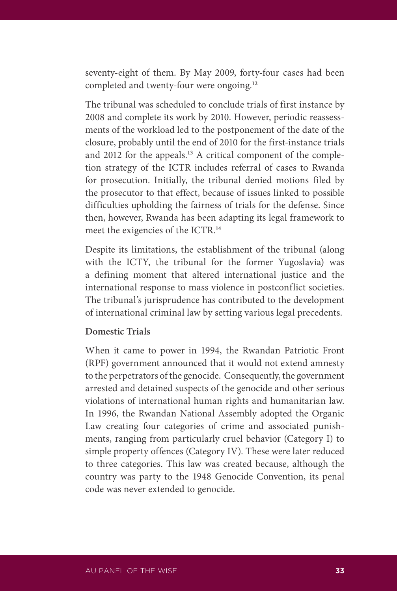seventy-eight of them. By May 2009, forty-four cases had been completed and twenty-four were ongoing.**<sup>12</sup>**

The tribunal was scheduled to conclude trials of first instance by 2008 and complete its work by 2010. However, periodic reassessments of the workload led to the postponement of the date of the closure, probably until the end of 2010 for the first-instance trials and 2012 for the appeals.**13** A critical component of the completion strategy of the ICTR includes referral of cases to Rwanda for prosecution. Initially, the tribunal denied motions filed by the prosecutor to that effect, because of issues linked to possible difficulties upholding the fairness of trials for the defense. Since then, however, Rwanda has been adapting its legal framework to meet the exigencies of the ICTR.**<sup>14</sup>**

Despite its limitations, the establishment of the tribunal (along with the ICTY, the tribunal for the former Yugoslavia) was a defining moment that altered international justice and the international response to mass violence in postconflict societies. The tribunal's jurisprudence has contributed to the development of international criminal law by setting various legal precedents.

### **Domestic Trials**

When it came to power in 1994, the Rwandan Patriotic Front (RPF) government announced that it would not extend amnesty to the perpetrators of the genocide. Consequently, the government arrested and detained suspects of the genocide and other serious violations of international human rights and humanitarian law. In 1996, the Rwandan National Assembly adopted the Organic Law creating four categories of crime and associated punishments, ranging from particularly cruel behavior (Category I) to simple property offences (Category IV). These were later reduced to three categories. This law was created because, although the country was party to the 1948 Genocide Convention, its penal code was never extended to genocide.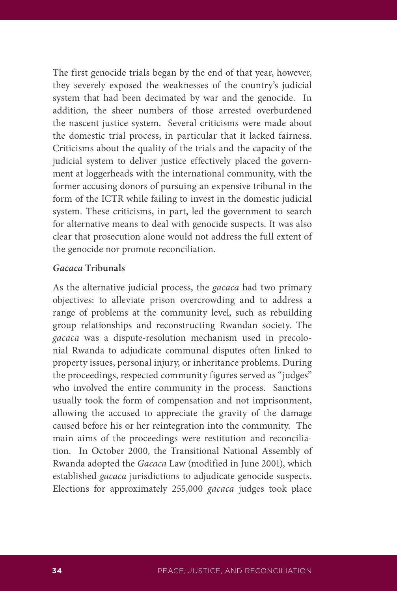The first genocide trials began by the end of that year, however, they severely exposed the weaknesses of the country's judicial system that had been decimated by war and the genocide. In addition, the sheer numbers of those arrested overburdened the nascent justice system. Several criticisms were made about the domestic trial process, in particular that it lacked fairness. Criticisms about the quality of the trials and the capacity of the judicial system to deliver justice effectively placed the government at loggerheads with the international community, with the former accusing donors of pursuing an expensive tribunal in the form of the ICTR while failing to invest in the domestic judicial system. These criticisms, in part, led the government to search for alternative means to deal with genocide suspects. It was also clear that prosecution alone would not address the full extent of the genocide nor promote reconciliation.

#### *Gacaca* **Tribunals**

As the alternative judicial process, the *gacaca* had two primary objectives: to alleviate prison overcrowding and to address a range of problems at the community level, such as rebuilding group relationships and reconstructing Rwandan society. The *gacaca* was a dispute-resolution mechanism used in precolonial Rwanda to adjudicate communal disputes often linked to property issues, personal injury, or inheritance problems. During the proceedings, respected community figures served as "judges" who involved the entire community in the process. Sanctions usually took the form of compensation and not imprisonment, allowing the accused to appreciate the gravity of the damage caused before his or her reintegration into the community. The main aims of the proceedings were restitution and reconciliation. In October 2000, the Transitional National Assembly of Rwanda adopted the *Gacaca* Law (modified in June 2001), which established *gacaca* jurisdictions to adjudicate genocide suspects. Elections for approximately 255,000 *gacaca* judges took place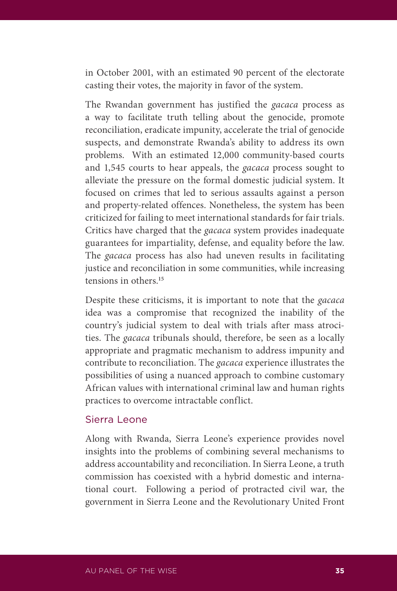in October 2001, with an estimated 90 percent of the electorate casting their votes, the majority in favor of the system.

The Rwandan government has justified the *gacaca* process as a way to facilitate truth telling about the genocide, promote reconciliation, eradicate impunity, accelerate the trial of genocide suspects, and demonstrate Rwanda's ability to address its own problems. With an estimated 12,000 community-based courts and 1,545 courts to hear appeals, the *gacaca* process sought to alleviate the pressure on the formal domestic judicial system. It focused on crimes that led to serious assaults against a person and property-related offences. Nonetheless, the system has been criticized for failing to meet international standards for fair trials. Critics have charged that the *gacaca* system provides inadequate guarantees for impartiality, defense, and equality before the law. The *gacaca* process has also had uneven results in facilitating justice and reconciliation in some communities, while increasing tensions in others.**<sup>15</sup>**

Despite these criticisms, it is important to note that the *gacaca* idea was a compromise that recognized the inability of the country's judicial system to deal with trials after mass atrocities. The *gacaca* tribunals should, therefore, be seen as a locally appropriate and pragmatic mechanism to address impunity and contribute to reconciliation. The *gacaca* experience illustrates the possibilities of using a nuanced approach to combine customary African values with international criminal law and human rights practices to overcome intractable conflict.

#### Sierra Leone

Along with Rwanda, Sierra Leone's experience provides novel insights into the problems of combining several mechanisms to address accountability and reconciliation. In Sierra Leone, a truth commission has coexisted with a hybrid domestic and international court. Following a period of protracted civil war, the government in Sierra Leone and the Revolutionary United Front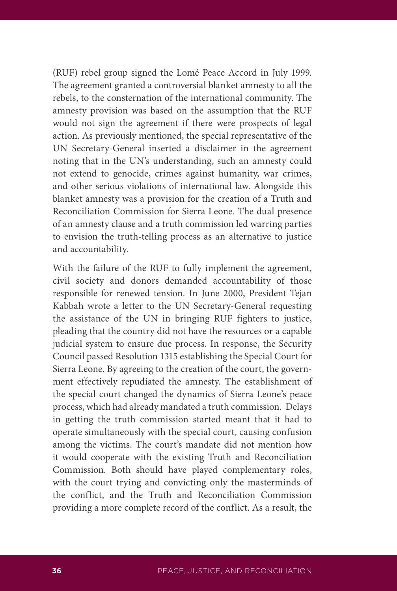(RUF) rebel group signed the Lomé Peace Accord in July 1999. The agreement granted a controversial blanket amnesty to all the rebels, to the consternation of the international community. The amnesty provision was based on the assumption that the RUF would not sign the agreement if there were prospects of legal action. As previously mentioned, the special representative of the UN Secretary-General inserted a disclaimer in the agreement noting that in the UN's understanding, such an amnesty could not extend to genocide, crimes against humanity, war crimes, and other serious violations of international law. Alongside this blanket amnesty was a provision for the creation of a Truth and Reconciliation Commission for Sierra Leone. The dual presence of an amnesty clause and a truth commission led warring parties to envision the truth-telling process as an alternative to justice and accountability.

With the failure of the RUF to fully implement the agreement, civil society and donors demanded accountability of those responsible for renewed tension. In June 2000, President Tejan Kabbah wrote a letter to the UN Secretary-General requesting the assistance of the UN in bringing RUF fighters to justice, pleading that the country did not have the resources or a capable judicial system to ensure due process. In response, the Security Council passed Resolution 1315 establishing the Special Court for Sierra Leone. By agreeing to the creation of the court, the government effectively repudiated the amnesty. The establishment of the special court changed the dynamics of Sierra Leone's peace process, which had already mandated a truth commission. Delays in getting the truth commission started meant that it had to operate simultaneously with the special court, causing confusion among the victims. The court's mandate did not mention how it would cooperate with the existing Truth and Reconciliation Commission. Both should have played complementary roles, with the court trying and convicting only the masterminds of the conflict, and the Truth and Reconciliation Commission providing a more complete record of the conflict. As a result, the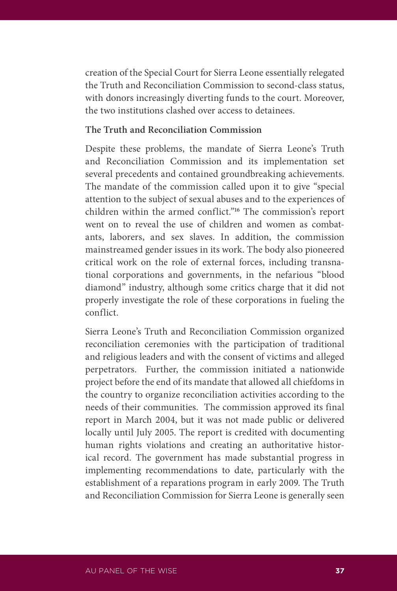creation of the Special Court for Sierra Leone essentially relegated the Truth and Reconciliation Commission to second-class status, with donors increasingly diverting funds to the court. Moreover, the two institutions clashed over access to detainees.

#### **The Truth and Reconciliation Commission**

Despite these problems, the mandate of Sierra Leone's Truth and Reconciliation Commission and its implementation set several precedents and contained groundbreaking achievements. The mandate of the commission called upon it to give "special attention to the subject of sexual abuses and to the experiences of children within the armed conflict."**<sup>16</sup>** The commission's report went on to reveal the use of children and women as combatants, laborers, and sex slaves. In addition, the commission mainstreamed gender issues in its work. The body also pioneered critical work on the role of external forces, including transnational corporations and governments, in the nefarious "blood diamond" industry, although some critics charge that it did not properly investigate the role of these corporations in fueling the conflict.

Sierra Leone's Truth and Reconciliation Commission organized reconciliation ceremonies with the participation of traditional and religious leaders and with the consent of victims and alleged perpetrators. Further, the commission initiated a nationwide project before the end of its mandate that allowed all chiefdoms in the country to organize reconciliation activities according to the needs of their communities. The commission approved its final report in March 2004, but it was not made public or delivered locally until July 2005. The report is credited with documenting human rights violations and creating an authoritative historical record. The government has made substantial progress in implementing recommendations to date, particularly with the establishment of a reparations program in early 2009. The Truth and Reconciliation Commission for Sierra Leone is generally seen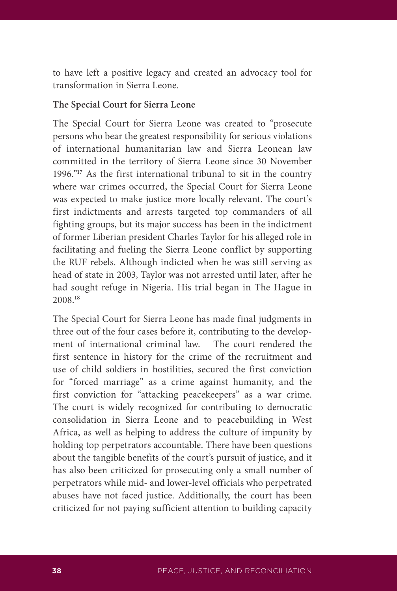to have left a positive legacy and created an advocacy tool for transformation in Sierra Leone.

#### **The Special Court for Sierra Leone**

The Special Court for Sierra Leone was created to "prosecute persons who bear the greatest responsibility for serious violations of international humanitarian law and Sierra Leonean law committed in the territory of Sierra Leone since 30 November 1996."**<sup>17</sup>** As the first international tribunal to sit in the country where war crimes occurred, the Special Court for Sierra Leone was expected to make justice more locally relevant. The court's first indictments and arrests targeted top commanders of all fighting groups, but its major success has been in the indictment of former Liberian president Charles Taylor for his alleged role in facilitating and fueling the Sierra Leone conflict by supporting the RUF rebels. Although indicted when he was still serving as head of state in 2003, Taylor was not arrested until later, after he had sought refuge in Nigeria. His trial began in The Hague in 2008.**<sup>18</sup>**

The Special Court for Sierra Leone has made final judgments in three out of the four cases before it, contributing to the development of international criminal law. The court rendered the first sentence in history for the crime of the recruitment and use of child soldiers in hostilities, secured the first conviction for "forced marriage" as a crime against humanity, and the first conviction for "attacking peacekeepers" as a war crime. The court is widely recognized for contributing to democratic consolidation in Sierra Leone and to peacebuilding in West Africa, as well as helping to address the culture of impunity by holding top perpetrators accountable. There have been questions about the tangible benefits of the court's pursuit of justice, and it has also been criticized for prosecuting only a small number of perpetrators while mid- and lower-level officials who perpetrated abuses have not faced justice. Additionally, the court has been criticized for not paying sufficient attention to building capacity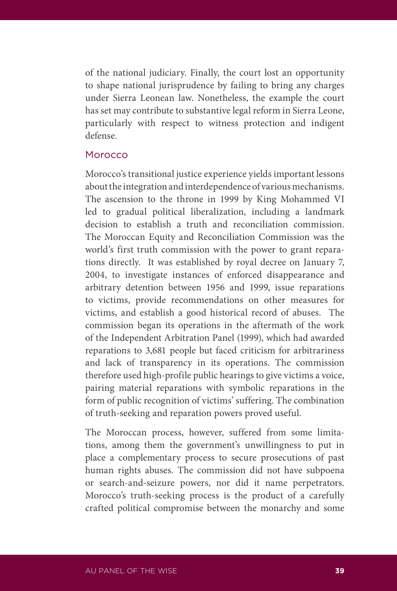of the national judiciary. Finally, the court lost an opportunity to shape national jurisprudence by failing to bring any charges under Sierra Leonean law. Nonetheless, the example the court has set may contribute to substantive legal reform in Sierra Leone, particularly with respect to witness protection and indigent defense.

### Morocco

Morocco's transitional justice experience yields important lessons about the integration and interdependence of various mechanisms. The ascension to the throne in 1999 by King Mohammed VI led to gradual political liberalization, including a landmark decision to establish a truth and reconciliation commission. The Moroccan Equity and Reconciliation Commission was the world's first truth commission with the power to grant reparations directly. It was established by royal decree on January 7, 2004, to investigate instances of enforced disappearance and arbitrary detention between 1956 and 1999, issue reparations to victims, provide recommendations on other measures for victims, and establish a good historical record of abuses. The commission began its operations in the aftermath of the work of the Independent Arbitration Panel (1999), which had awarded reparations to 3,681 people but faced criticism for arbitrariness and lack of transparency in its operations. The commission therefore used high-profile public hearings to give victims a voice, pairing material reparations with symbolic reparations in the form of public recognition of victims' suffering. The combination of truth-seeking and reparation powers proved useful.

The Moroccan process, however, suffered from some limitations, among them the government's unwillingness to put in place a complementary process to secure prosecutions of past human rights abuses. The commission did not have subpoena or search-and-seizure powers, nor did it name perpetrators. Morocco's truth-seeking process is the product of a carefully crafted political compromise between the monarchy and some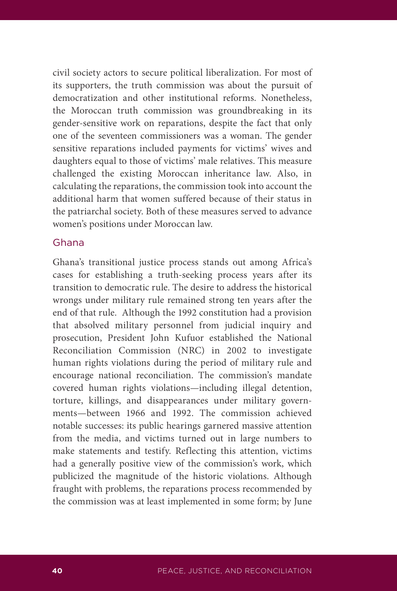civil society actors to secure political liberalization. For most of its supporters, the truth commission was about the pursuit of democratization and other institutional reforms. Nonetheless, the Moroccan truth commission was groundbreaking in its gender-sensitive work on reparations, despite the fact that only one of the seventeen commissioners was a woman. The gender sensitive reparations included payments for victims' wives and daughters equal to those of victims' male relatives. This measure challenged the existing Moroccan inheritance law. Also, in calculating the reparations, the commission took into account the additional harm that women suffered because of their status in the patriarchal society. Both of these measures served to advance women's positions under Moroccan law.

### Ghana

Ghana's transitional justice process stands out among Africa's cases for establishing a truth-seeking process years after its transition to democratic rule. The desire to address the historical wrongs under military rule remained strong ten years after the end of that rule. Although the 1992 constitution had a provision that absolved military personnel from judicial inquiry and prosecution, President John Kufuor established the National Reconciliation Commission (NRC) in 2002 to investigate human rights violations during the period of military rule and encourage national reconciliation. The commission's mandate covered human rights violations—including illegal detention, torture, killings, and disappearances under military governments—between 1966 and 1992. The commission achieved notable successes: its public hearings garnered massive attention from the media, and victims turned out in large numbers to make statements and testify. Reflecting this attention, victims had a generally positive view of the commission's work, which publicized the magnitude of the historic violations. Although fraught with problems, the reparations process recommended by the commission was at least implemented in some form; by June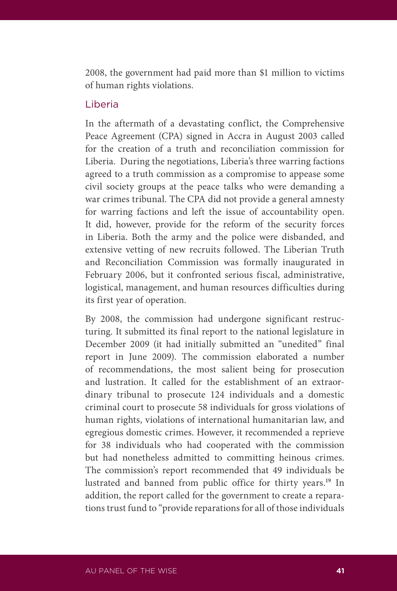2008, the government had paid more than \$1 million to victims of human rights violations.

## Liberia

In the aftermath of a devastating conflict, the Comprehensive Peace Agreement (CPA) signed in Accra in August 2003 called for the creation of a truth and reconciliation commission for Liberia. During the negotiations, Liberia's three warring factions agreed to a truth commission as a compromise to appease some civil society groups at the peace talks who were demanding a war crimes tribunal. The CPA did not provide a general amnesty for warring factions and left the issue of accountability open. It did, however, provide for the reform of the security forces in Liberia. Both the army and the police were disbanded, and extensive vetting of new recruits followed. The Liberian Truth and Reconciliation Commission was formally inaugurated in February 2006, but it confronted serious fiscal, administrative, logistical, management, and human resources difficulties during its first year of operation.

By 2008, the commission had undergone significant restructuring. It submitted its final report to the national legislature in December 2009 (it had initially submitted an "unedited" final report in June 2009). The commission elaborated a number of recommendations, the most salient being for prosecution and lustration. It called for the establishment of an extraordinary tribunal to prosecute 124 individuals and a domestic criminal court to prosecute 58 individuals for gross violations of human rights, violations of international humanitarian law, and egregious domestic crimes. However, it recommended a reprieve for 38 individuals who had cooperated with the commission but had nonetheless admitted to committing heinous crimes. The commission's report recommended that 49 individuals be lustrated and banned from public office for thirty years.**<sup>19</sup>** In addition, the report called for the government to create a reparations trust fund to "provide reparations for all of those individuals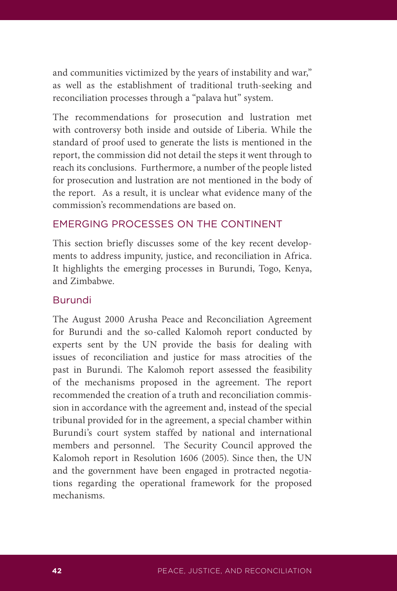and communities victimized by the years of instability and war," as well as the establishment of traditional truth-seeking and reconciliation processes through a "palava hut" system.

The recommendations for prosecution and lustration met with controversy both inside and outside of Liberia. While the standard of proof used to generate the lists is mentioned in the report, the commission did not detail the steps it went through to reach its conclusions. Furthermore, a number of the people listed for prosecution and lustration are not mentioned in the body of the report. As a result, it is unclear what evidence many of the commission's recommendations are based on.

## EMERGING PROCESSES ON THE CONTINENT

This section briefly discusses some of the key recent developments to address impunity, justice, and reconciliation in Africa. It highlights the emerging processes in Burundi, Togo, Kenya, and Zimbabwe.

## Burundi

The August 2000 Arusha Peace and Reconciliation Agreement for Burundi and the so-called Kalomoh report conducted by experts sent by the UN provide the basis for dealing with issues of reconciliation and justice for mass atrocities of the past in Burundi. The Kalomoh report assessed the feasibility of the mechanisms proposed in the agreement. The report recommended the creation of a truth and reconciliation commission in accordance with the agreement and, instead of the special tribunal provided for in the agreement, a special chamber within Burundi's court system staffed by national and international members and personnel. The Security Council approved the Kalomoh report in Resolution 1606 (2005). Since then, the UN and the government have been engaged in protracted negotiations regarding the operational framework for the proposed mechanisms.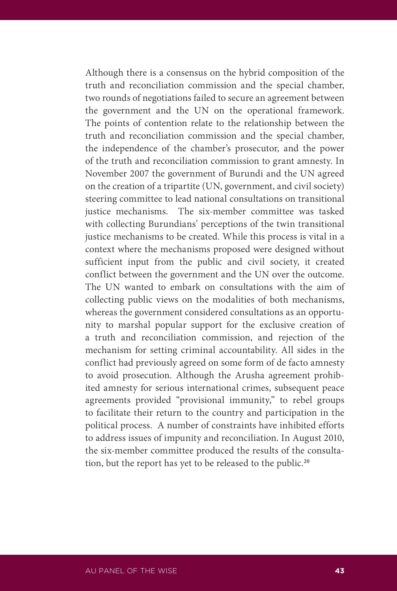Although there is a consensus on the hybrid composition of the truth and reconciliation commission and the special chamber, two rounds of negotiations failed to secure an agreement between the government and the UN on the operational framework. The points of contention relate to the relationship between the truth and reconciliation commission and the special chamber, the independence of the chamber's prosecutor, and the power of the truth and reconciliation commission to grant amnesty. In November 2007 the government of Burundi and the UN agreed on the creation of a tripartite (UN, government, and civil society) steering committee to lead national consultations on transitional justice mechanisms. The six-member committee was tasked with collecting Burundians' perceptions of the twin transitional justice mechanisms to be created. While this process is vital in a context where the mechanisms proposed were designed without sufficient input from the public and civil society, it created conflict between the government and the UN over the outcome. The UN wanted to embark on consultations with the aim of collecting public views on the modalities of both mechanisms, whereas the government considered consultations as an opportunity to marshal popular support for the exclusive creation of a truth and reconciliation commission, and rejection of the mechanism for setting criminal accountability. All sides in the conflict had previously agreed on some form of de facto amnesty to avoid prosecution. Although the Arusha agreement prohibited amnesty for serious international crimes, subsequent peace agreements provided "provisional immunity," to rebel groups to facilitate their return to the country and participation in the political process. A number of constraints have inhibited efforts to address issues of impunity and reconciliation. In August 2010, the six-member committee produced the results of the consultation, but the report has yet to be released to the public.**20**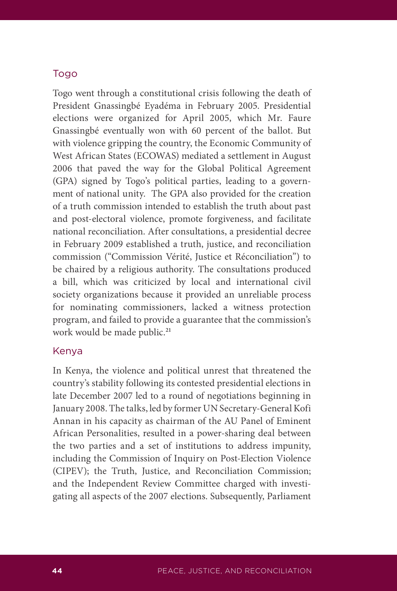## Togo

Togo went through a constitutional crisis following the death of President Gnassingbé Eyadéma in February 2005. Presidential elections were organized for April 2005, which Mr. Faure Gnassingbé eventually won with 60 percent of the ballot. But with violence gripping the country, the Economic Community of West African States (ECOWAS) mediated a settlement in August 2006 that paved the way for the Global Political Agreement (GPA) signed by Togo's political parties, leading to a government of national unity. The GPA also provided for the creation of a truth commission intended to establish the truth about past and post-electoral violence, promote forgiveness, and facilitate national reconciliation. After consultations, a presidential decree in February 2009 established a truth, justice, and reconciliation commission ("Commission Vérité, Justice et Réconciliation") to be chaired by a religious authority. The consultations produced a bill, which was criticized by local and international civil society organizations because it provided an unreliable process for nominating commissioners, lacked a witness protection program, and failed to provide a guarantee that the commission's work would be made public.**<sup>21</sup>**

### Kenya

In Kenya, the violence and political unrest that threatened the country's stability following its contested presidential elections in late December 2007 led to a round of negotiations beginning in January 2008. The talks, led by former UN Secretary-General Kofi Annan in his capacity as chairman of the AU Panel of Eminent African Personalities, resulted in a power-sharing deal between the two parties and a set of institutions to address impunity, including the Commission of Inquiry on Post-Election Violence (CIPEV); the Truth, Justice, and Reconciliation Commission; and the Independent Review Committee charged with investigating all aspects of the 2007 elections. Subsequently, Parliament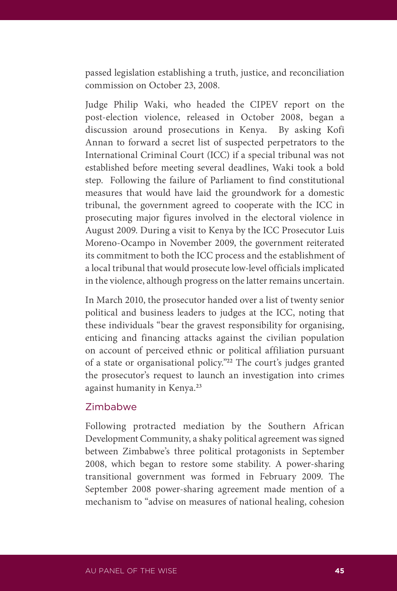passed legislation establishing a truth, justice, and reconciliation commission on October 23, 2008.

Judge Philip Waki, who headed the CIPEV report on the post-election violence, released in October 2008, began a discussion around prosecutions in Kenya. By asking Kofi Annan to forward a secret list of suspected perpetrators to the International Criminal Court (ICC) if a special tribunal was not established before meeting several deadlines, Waki took a bold step. Following the failure of Parliament to find constitutional measures that would have laid the groundwork for a domestic tribunal, the government agreed to cooperate with the ICC in prosecuting major figures involved in the electoral violence in August 2009. During a visit to Kenya by the ICC Prosecutor Luis Moreno-Ocampo in November 2009, the government reiterated its commitment to both the ICC process and the establishment of a local tribunal that would prosecute low-level officials implicated in the violence, although progress on the latter remains uncertain.

In March 2010, the prosecutor handed over a list of twenty senior political and business leaders to judges at the ICC, noting that these individuals "bear the gravest responsibility for organising, enticing and financing attacks against the civilian population on account of perceived ethnic or political affiliation pursuant of a state or organisational policy."**<sup>22</sup>** The court's judges granted the prosecutor's request to launch an investigation into crimes against humanity in Kenya.**<sup>23</sup>**

### Zimbabwe

Following protracted mediation by the Southern African Development Community, a shaky political agreement was signed between Zimbabwe's three political protagonists in September 2008, which began to restore some stability. A power-sharing transitional government was formed in February 2009. The September 2008 power-sharing agreement made mention of a mechanism to "advise on measures of national healing, cohesion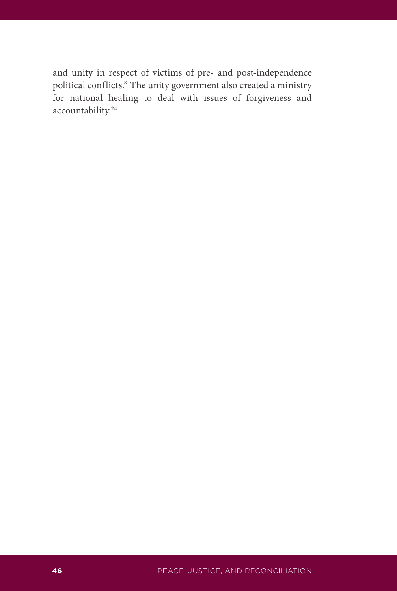and unity in respect of victims of pre- and post-independence political conflicts." The unity government also created a ministry for national healing to deal with issues of forgiveness and accountability.**24**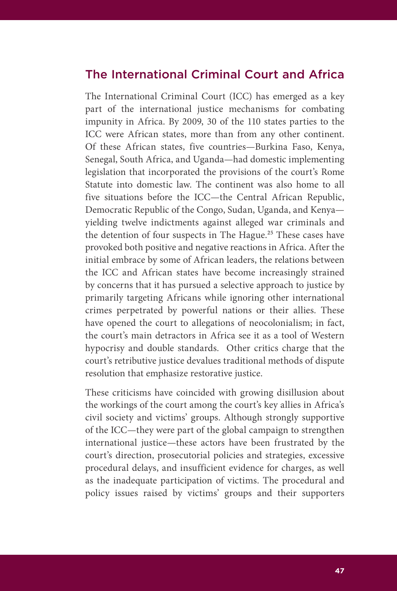# The International Criminal Court and Africa

The International Criminal Court (ICC) has emerged as a key part of the international justice mechanisms for combating impunity in Africa. By 2009, 30 of the 110 states parties to the ICC were African states, more than from any other continent. Of these African states, five countries—Burkina Faso, Kenya, Senegal, South Africa, and Uganda—had domestic implementing legislation that incorporated the provisions of the court's Rome Statute into domestic law. The continent was also home to all five situations before the ICC—the Central African Republic, Democratic Republic of the Congo, Sudan, Uganda, and Kenya yielding twelve indictments against alleged war criminals and the detention of four suspects in The Hague.**<sup>25</sup>** These cases have provoked both positive and negative reactions in Africa. After the initial embrace by some of African leaders, the relations between the ICC and African states have become increasingly strained by concerns that it has pursued a selective approach to justice by primarily targeting Africans while ignoring other international crimes perpetrated by powerful nations or their allies. These have opened the court to allegations of neocolonialism; in fact, the court's main detractors in Africa see it as a tool of Western hypocrisy and double standards. Other critics charge that the court's retributive justice devalues traditional methods of dispute resolution that emphasize restorative justice.

These criticisms have coincided with growing disillusion about the workings of the court among the court's key allies in Africa's civil society and victims' groups. Although strongly supportive of the ICC—they were part of the global campaign to strengthen international justice—these actors have been frustrated by the court's direction, prosecutorial policies and strategies, excessive procedural delays, and insufficient evidence for charges, as well as the inadequate participation of victims. The procedural and policy issues raised by victims' groups and their supporters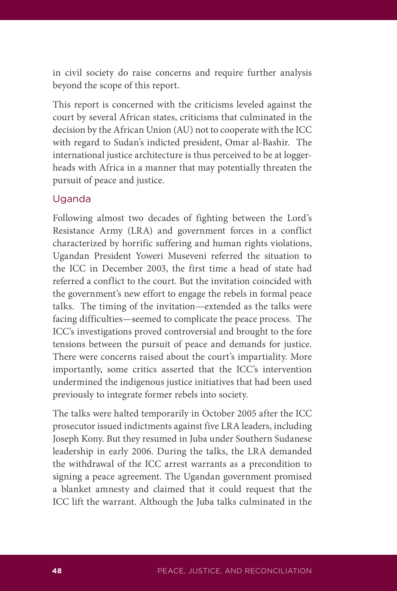in civil society do raise concerns and require further analysis beyond the scope of this report.

This report is concerned with the criticisms leveled against the court by several African states, criticisms that culminated in the decision by the African Union (AU) not to cooperate with the ICC with regard to Sudan's indicted president, Omar al-Bashir. The international justice architecture is thus perceived to be at loggerheads with Africa in a manner that may potentially threaten the pursuit of peace and justice.

## Uganda

Following almost two decades of fighting between the Lord's Resistance Army (LRA) and government forces in a conflict characterized by horrific suffering and human rights violations, Ugandan President Yoweri Museveni referred the situation to the ICC in December 2003, the first time a head of state had referred a conflict to the court. But the invitation coincided with the government's new effort to engage the rebels in formal peace talks. The timing of the invitation—extended as the talks were facing difficulties—seemed to complicate the peace process. The ICC's investigations proved controversial and brought to the fore tensions between the pursuit of peace and demands for justice. There were concerns raised about the court's impartiality. More importantly, some critics asserted that the ICC's intervention undermined the indigenous justice initiatives that had been used previously to integrate former rebels into society.

The talks were halted temporarily in October 2005 after the ICC prosecutor issued indictments against five LRA leaders, including Joseph Kony. But they resumed in Juba under Southern Sudanese leadership in early 2006. During the talks, the LRA demanded the withdrawal of the ICC arrest warrants as a precondition to signing a peace agreement. The Ugandan government promised a blanket amnesty and claimed that it could request that the ICC lift the warrant. Although the Juba talks culminated in the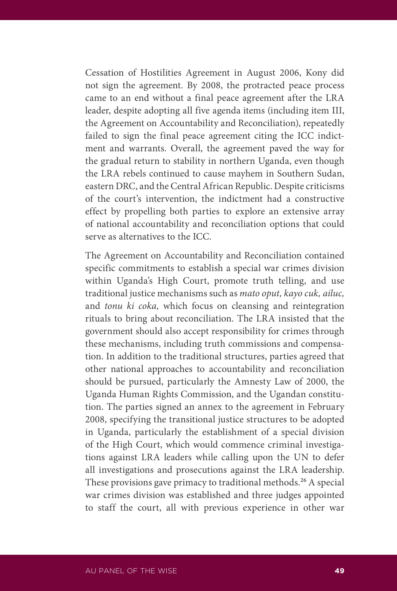Cessation of Hostilities Agreement in August 2006, Kony did not sign the agreement. By 2008, the protracted peace process came to an end without a final peace agreement after the LRA leader, despite adopting all five agenda items (including item III, the Agreement on Accountability and Reconciliation), repeatedly failed to sign the final peace agreement citing the ICC indictment and warrants. Overall, the agreement paved the way for the gradual return to stability in northern Uganda, even though the LRA rebels continued to cause mayhem in Southern Sudan, eastern DRC, and the Central African Republic. Despite criticisms of the court's intervention, the indictment had a constructive effect by propelling both parties to explore an extensive array of national accountability and reconciliation options that could serve as alternatives to the ICC.

The Agreement on Accountability and Reconciliation contained specific commitments to establish a special war crimes division within Uganda's High Court, promote truth telling, and use traditional justice mechanisms such as *mato oput, kayo cuk, ailuc,* and *tonu ki coka,* which focus on cleansing and reintegration rituals to bring about reconciliation. The LRA insisted that the government should also accept responsibility for crimes through these mechanisms, including truth commissions and compensation. In addition to the traditional structures, parties agreed that other national approaches to accountability and reconciliation should be pursued, particularly the Amnesty Law of 2000, the Uganda Human Rights Commission, and the Ugandan constitution. The parties signed an annex to the agreement in February 2008, specifying the transitional justice structures to be adopted in Uganda, particularly the establishment of a special division of the High Court, which would commence criminal investigations against LRA leaders while calling upon the UN to defer all investigations and prosecutions against the LRA leadership. These provisions gave primacy to traditional methods.**<sup>26</sup>** A special war crimes division was established and three judges appointed to staff the court, all with previous experience in other war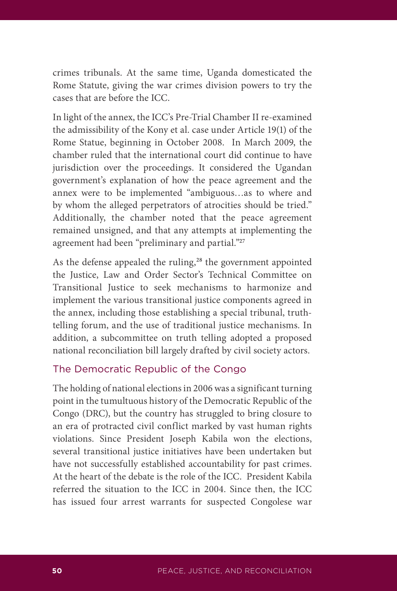crimes tribunals. At the same time, Uganda domesticated the Rome Statute, giving the war crimes division powers to try the cases that are before the ICC.

In light of the annex, the ICC's Pre-Trial Chamber II re-examined the admissibility of the Kony et al. case under Article 19(1) of the Rome Statue, beginning in October 2008. In March 2009, the chamber ruled that the international court did continue to have jurisdiction over the proceedings. It considered the Ugandan government's explanation of how the peace agreement and the annex were to be implemented "ambiguous…as to where and by whom the alleged perpetrators of atrocities should be tried." Additionally, the chamber noted that the peace agreement remained unsigned, and that any attempts at implementing the agreement had been "preliminary and partial."**<sup>27</sup>**

As the defense appealed the ruling,**<sup>28</sup>** the government appointed the Justice, Law and Order Sector's Technical Committee on Transitional Justice to seek mechanisms to harmonize and implement the various transitional justice components agreed in the annex, including those establishing a special tribunal, truthtelling forum, and the use of traditional justice mechanisms. In addition, a subcommittee on truth telling adopted a proposed national reconciliation bill largely drafted by civil society actors.

## The Democratic Republic of the Congo

The holding of national elections in 2006 was a significant turning point in the tumultuous history of the Democratic Republic of the Congo (DRC), but the country has struggled to bring closure to an era of protracted civil conflict marked by vast human rights violations. Since President Joseph Kabila won the elections, several transitional justice initiatives have been undertaken but have not successfully established accountability for past crimes. At the heart of the debate is the role of the ICC. President Kabila referred the situation to the ICC in 2004. Since then, the ICC has issued four arrest warrants for suspected Congolese war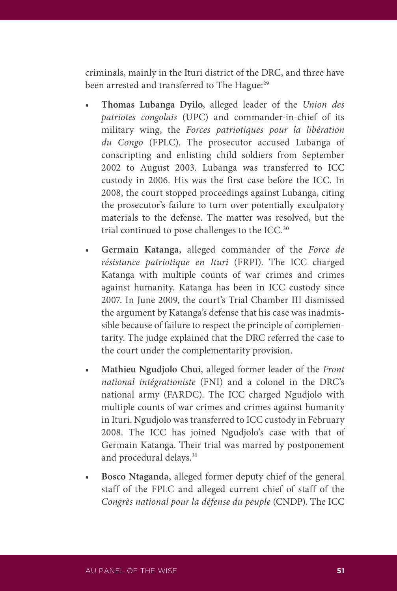criminals, mainly in the Ituri district of the DRC, and three have been arrested and transferred to The Hague:**<sup>29</sup>**

- Thomas Lubanga Dyilo, alleged leader of the *Union des patriotes congolais* (UPC) and commander-in-chief of its military wing, the *Forces patriotiques pour la libération du Congo* (FPLC). The prosecutor accused Lubanga of conscripting and enlisting child soldiers from September 2002 to August 2003. Lubanga was transferred to ICC custody in 2006. His was the first case before the ICC. In 2008, the court stopped proceedings against Lubanga, citing the prosecutor's failure to turn over potentially exculpatory materials to the defense. The matter was resolved, but the trial continued to pose challenges to the ICC.**<sup>30</sup>**
- Germain Katanga, alleged commander of the *Force de résistance patriotique en Ituri* (FRPI). The ICC charged Katanga with multiple counts of war crimes and crimes against humanity. Katanga has been in ICC custody since 2007. In June 2009, the court's Trial Chamber III dismissed the argument by Katanga's defense that his case was inadmissible because of failure to respect the principle of complementarity. The judge explained that the DRC referred the case to the court under the complementarity provision.
- Mathieu Ngudjolo Chui, alleged former leader of the *Front national intégrationiste* (FNI) and a colonel in the DRC's national army (FARDC). The ICC charged Ngudjolo with multiple counts of war crimes and crimes against humanity in Ituri. Ngudjolo was transferred to ICC custody in February 2008. The ICC has joined Ngudjolo's case with that of Germain Katanga. Their trial was marred by postponement and procedural delays.**<sup>31</sup>**
- Bosco Ntaganda, alleged former deputy chief of the general staff of the FPLC and alleged current chief of staff of the *Congrès national pour la défense du peuple* (CNDP). The ICC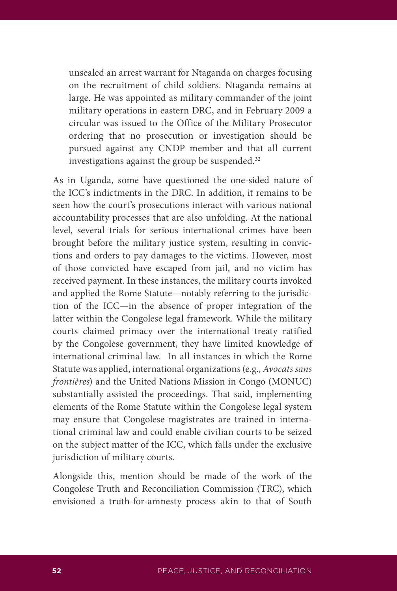unsealed an arrest warrant for Ntaganda on charges focusing on the recruitment of child soldiers. Ntaganda remains at large. He was appointed as military commander of the joint military operations in eastern DRC, and in February 2009 a circular was issued to the Office of the Military Prosecutor ordering that no prosecution or investigation should be pursued against any CNDP member and that all current investigations against the group be suspended.**<sup>32</sup>**

As in Uganda, some have questioned the one-sided nature of the ICC's indictments in the DRC. In addition, it remains to be seen how the court's prosecutions interact with various national accountability processes that are also unfolding. At the national level, several trials for serious international crimes have been brought before the military justice system, resulting in convictions and orders to pay damages to the victims. However, most of those convicted have escaped from jail, and no victim has received payment. In these instances, the military courts invoked and applied the Rome Statute—notably referring to the jurisdiction of the ICC—in the absence of proper integration of the latter within the Congolese legal framework. While the military courts claimed primacy over the international treaty ratified by the Congolese government, they have limited knowledge of international criminal law. In all instances in which the Rome Statute was applied, international organizations (e.g., *Avocats sans frontières*) and the United Nations Mission in Congo (MONUC) substantially assisted the proceedings. That said, implementing elements of the Rome Statute within the Congolese legal system may ensure that Congolese magistrates are trained in international criminal law and could enable civilian courts to be seized on the subject matter of the ICC, which falls under the exclusive jurisdiction of military courts.

Alongside this, mention should be made of the work of the Congolese Truth and Reconciliation Commission (TRC), which envisioned a truth-for-amnesty process akin to that of South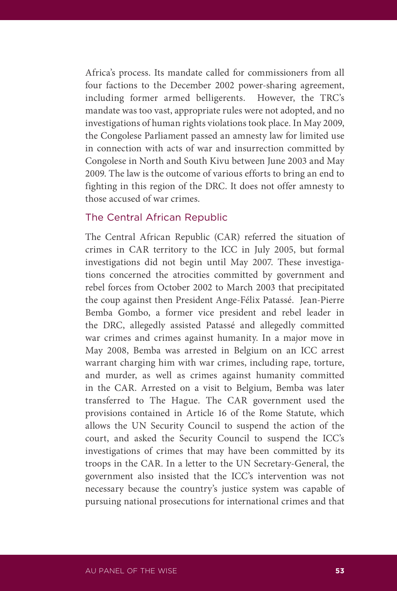Africa's process. Its mandate called for commissioners from all four factions to the December 2002 power-sharing agreement, including former armed belligerents. However, the TRC's mandate was too vast, appropriate rules were not adopted, and no investigations of human rights violations took place. In May 2009, the Congolese Parliament passed an amnesty law for limited use in connection with acts of war and insurrection committed by Congolese in North and South Kivu between June 2003 and May 2009. The law is the outcome of various efforts to bring an end to fighting in this region of the DRC. It does not offer amnesty to those accused of war crimes.

## The Central African Republic

The Central African Republic (CAR) referred the situation of crimes in CAR territory to the ICC in July 2005, but formal investigations did not begin until May 2007. These investigations concerned the atrocities committed by government and rebel forces from October 2002 to March 2003 that precipitated the coup against then President Ange-Félix Patassé. Jean-Pierre Bemba Gombo, a former vice president and rebel leader in the DRC, allegedly assisted Patassé and allegedly committed war crimes and crimes against humanity. In a major move in May 2008, Bemba was arrested in Belgium on an ICC arrest warrant charging him with war crimes, including rape, torture, and murder, as well as crimes against humanity committed in the CAR. Arrested on a visit to Belgium, Bemba was later transferred to The Hague. The CAR government used the provisions contained in Article 16 of the Rome Statute, which allows the UN Security Council to suspend the action of the court, and asked the Security Council to suspend the ICC's investigations of crimes that may have been committed by its troops in the CAR. In a letter to the UN Secretary-General, the government also insisted that the ICC's intervention was not necessary because the country's justice system was capable of pursuing national prosecutions for international crimes and that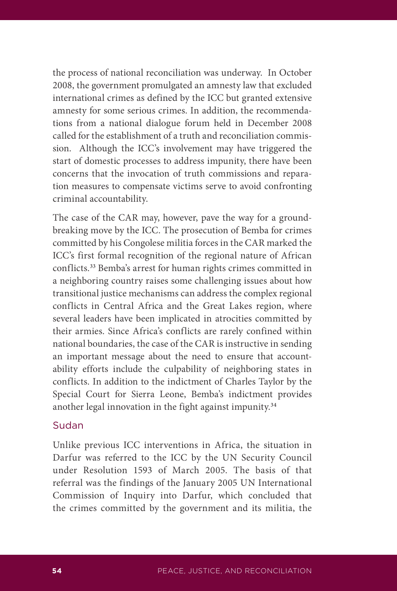the process of national reconciliation was underway. In October 2008, the government promulgated an amnesty law that excluded international crimes as defined by the ICC but granted extensive amnesty for some serious crimes. In addition, the recommendations from a national dialogue forum held in December 2008 called for the establishment of a truth and reconciliation commission. Although the ICC's involvement may have triggered the start of domestic processes to address impunity, there have been concerns that the invocation of truth commissions and reparation measures to compensate victims serve to avoid confronting criminal accountability.

The case of the CAR may, however, pave the way for a groundbreaking move by the ICC. The prosecution of Bemba for crimes committed by his Congolese militia forces in the CAR marked the ICC's first formal recognition of the regional nature of African conflicts.**<sup>33</sup>** Bemba's arrest for human rights crimes committed in a neighboring country raises some challenging issues about how transitional justice mechanisms can address the complex regional conflicts in Central Africa and the Great Lakes region, where several leaders have been implicated in atrocities committed by their armies. Since Africa's conflicts are rarely confined within national boundaries, the case of the CAR is instructive in sending an important message about the need to ensure that accountability efforts include the culpability of neighboring states in conflicts. In addition to the indictment of Charles Taylor by the Special Court for Sierra Leone, Bemba's indictment provides another legal innovation in the fight against impunity.**<sup>34</sup>**

### Sudan

Unlike previous ICC interventions in Africa, the situation in Darfur was referred to the ICC by the UN Security Council under Resolution 1593 of March 2005. The basis of that referral was the findings of the January 2005 UN International Commission of Inquiry into Darfur, which concluded that the crimes committed by the government and its militia, the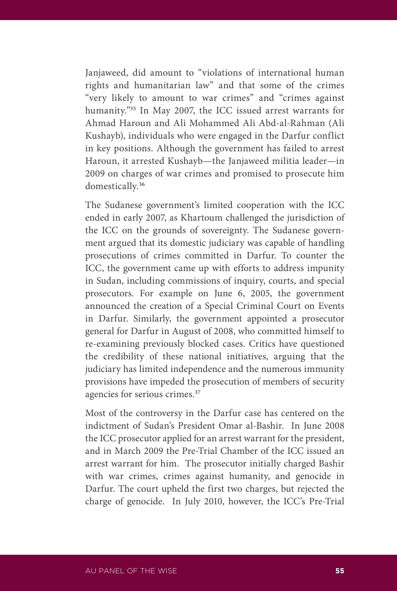Janjaweed, did amount to "violations of international human rights and humanitarian law" and that some of the crimes "very likely to amount to war crimes" and "crimes against humanity."**<sup>35</sup>** In May 2007, the ICC issued arrest warrants for Ahmad Haroun and Ali Mohammed Ali Abd-al-Rahman (Ali Kushayb), individuals who were engaged in the Darfur conflict in key positions. Although the government has failed to arrest Haroun, it arrested Kushayb—the Janjaweed militia leader—in 2009 on charges of war crimes and promised to prosecute him domestically.**<sup>36</sup>**

The Sudanese government's limited cooperation with the ICC ended in early 2007, as Khartoum challenged the jurisdiction of the ICC on the grounds of sovereignty. The Sudanese government argued that its domestic judiciary was capable of handling prosecutions of crimes committed in Darfur. To counter the ICC, the government came up with efforts to address impunity in Sudan, including commissions of inquiry, courts, and special prosecutors. For example on June 6, 2005, the government announced the creation of a Special Criminal Court on Events in Darfur. Similarly, the government appointed a prosecutor general for Darfur in August of 2008, who committed himself to re-examining previously blocked cases. Critics have questioned the credibility of these national initiatives, arguing that the judiciary has limited independence and the numerous immunity provisions have impeded the prosecution of members of security agencies for serious crimes.**<sup>37</sup>**

Most of the controversy in the Darfur case has centered on the indictment of Sudan's President Omar al-Bashir. In June 2008 the ICC prosecutor applied for an arrest warrant for the president, and in March 2009 the Pre-Trial Chamber of the ICC issued an arrest warrant for him. The prosecutor initially charged Bashir with war crimes, crimes against humanity, and genocide in Darfur. The court upheld the first two charges, but rejected the charge of genocide. In July 2010, however, the ICC's Pre-Trial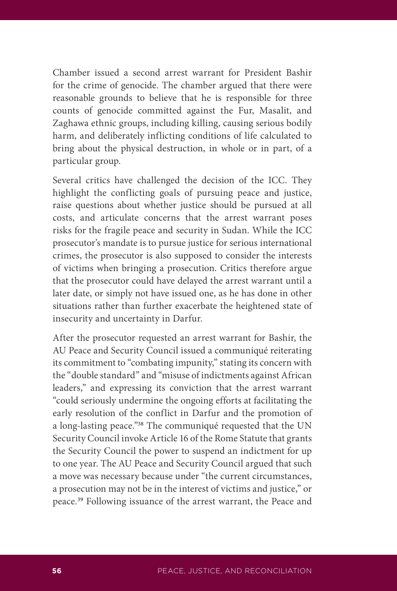Chamber issued a second arrest warrant for President Bashir for the crime of genocide. The chamber argued that there were reasonable grounds to believe that he is responsible for three counts of genocide committed against the Fur, Masalit, and Zaghawa ethnic groups, including killing, causing serious bodily harm, and deliberately inflicting conditions of life calculated to bring about the physical destruction, in whole or in part, of a particular group.

Several critics have challenged the decision of the ICC. They highlight the conflicting goals of pursuing peace and justice, raise questions about whether justice should be pursued at all costs, and articulate concerns that the arrest warrant poses risks for the fragile peace and security in Sudan. While the ICC prosecutor's mandate is to pursue justice for serious international crimes, the prosecutor is also supposed to consider the interests of victims when bringing a prosecution. Critics therefore argue that the prosecutor could have delayed the arrest warrant until a later date, or simply not have issued one, as he has done in other situations rather than further exacerbate the heightened state of insecurity and uncertainty in Darfur.

After the prosecutor requested an arrest warrant for Bashir, the AU Peace and Security Council issued a communiqué reiterating its commitment to "combating impunity," stating its concern with the "double standard" and "misuse of indictments against African leaders," and expressing its conviction that the arrest warrant "could seriously undermine the ongoing efforts at facilitating the early resolution of the conflict in Darfur and the promotion of a long-lasting peace."**<sup>38</sup>** The communiqué requested that the UN Security Council invoke Article 16 of the Rome Statute that grants the Security Council the power to suspend an indictment for up to one year. The AU Peace and Security Council argued that such a move was necessary because under "the current circumstances, a prosecution may not be in the interest of victims and justice," or peace.**39** Following issuance of the arrest warrant, the Peace and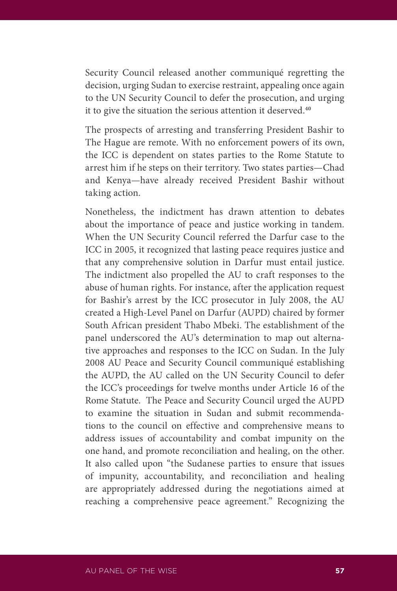Security Council released another communiqué regretting the decision, urging Sudan to exercise restraint, appealing once again to the UN Security Council to defer the prosecution, and urging it to give the situation the serious attention it deserved.**<sup>40</sup>**

The prospects of arresting and transferring President Bashir to The Hague are remote. With no enforcement powers of its own, the ICC is dependent on states parties to the Rome Statute to arrest him if he steps on their territory. Two states parties—Chad and Kenya—have already received President Bashir without taking action.

Nonetheless, the indictment has drawn attention to debates about the importance of peace and justice working in tandem. When the UN Security Council referred the Darfur case to the ICC in 2005, it recognized that lasting peace requires justice and that any comprehensive solution in Darfur must entail justice. The indictment also propelled the AU to craft responses to the abuse of human rights. For instance, after the application request for Bashir's arrest by the ICC prosecutor in July 2008, the AU created a High-Level Panel on Darfur (AUPD) chaired by former South African president Thabo Mbeki. The establishment of the panel underscored the AU's determination to map out alternative approaches and responses to the ICC on Sudan. In the July 2008 AU Peace and Security Council communiqué establishing the AUPD, the AU called on the UN Security Council to defer the ICC's proceedings for twelve months under Article 16 of the Rome Statute. The Peace and Security Council urged the AUPD to examine the situation in Sudan and submit recommendations to the council on effective and comprehensive means to address issues of accountability and combat impunity on the one hand, and promote reconciliation and healing, on the other. It also called upon "the Sudanese parties to ensure that issues of impunity, accountability, and reconciliation and healing are appropriately addressed during the negotiations aimed at reaching a comprehensive peace agreement." Recognizing the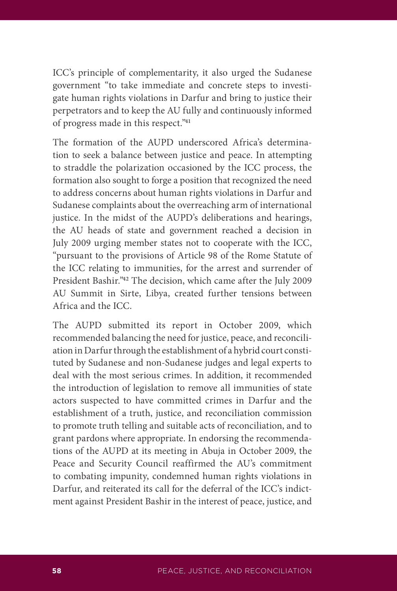ICC's principle of complementarity, it also urged the Sudanese government "to take immediate and concrete steps to investigate human rights violations in Darfur and bring to justice their perpetrators and to keep the AU fully and continuously informed of progress made in this respect."**<sup>41</sup>**

The formation of the AUPD underscored Africa's determination to seek a balance between justice and peace. In attempting to straddle the polarization occasioned by the ICC process, the formation also sought to forge a position that recognized the need to address concerns about human rights violations in Darfur and Sudanese complaints about the overreaching arm of international justice. In the midst of the AUPD's deliberations and hearings, the AU heads of state and government reached a decision in July 2009 urging member states not to cooperate with the ICC, "pursuant to the provisions of Article 98 of the Rome Statute of the ICC relating to immunities, for the arrest and surrender of President Bashir."**<sup>42</sup>** The decision, which came after the July 2009 AU Summit in Sirte, Libya, created further tensions between Africa and the ICC.

The AUPD submitted its report in October 2009, which recommended balancing the need for justice, peace, and reconciliation in Darfur through the establishment of a hybrid court constituted by Sudanese and non-Sudanese judges and legal experts to deal with the most serious crimes. In addition, it recommended the introduction of legislation to remove all immunities of state actors suspected to have committed crimes in Darfur and the establishment of a truth, justice, and reconciliation commission to promote truth telling and suitable acts of reconciliation, and to grant pardons where appropriate. In endorsing the recommendations of the AUPD at its meeting in Abuja in October 2009, the Peace and Security Council reaffirmed the AU's commitment to combating impunity, condemned human rights violations in Darfur, and reiterated its call for the deferral of the ICC's indictment against President Bashir in the interest of peace, justice, and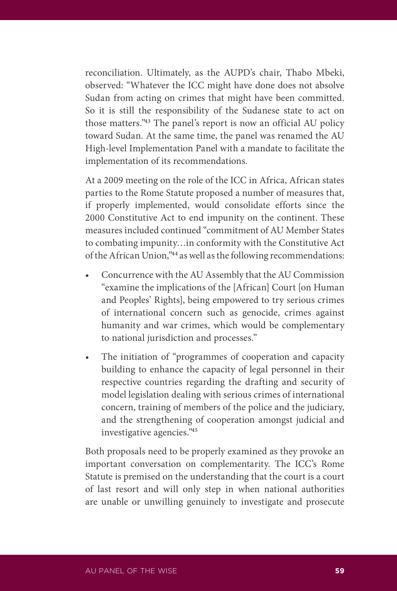reconciliation. Ultimately, as the AUPD's chair, Thabo Mbeki, observed: "Whatever the ICC might have done does not absolve Sudan from acting on crimes that might have been committed. So it is still the responsibility of the Sudanese state to act on those matters."**<sup>43</sup>** The panel's report is now an official AU policy toward Sudan. At the same time, the panel was renamed the AU High-level Implementation Panel with a mandate to facilitate the implementation of its recommendations.

At a 2009 meeting on the role of the ICC in Africa, African states parties to the Rome Statute proposed a number of measures that, if properly implemented, would consolidate efforts since the 2000 Constitutive Act to end impunity on the continent. These measures included continued "commitment of AU Member States to combating impunity…in conformity with the Constitutive Act of the African Union,"**<sup>44</sup>** as well as the following recommendations:

- Concurrence with the AU Assembly that the AU Commission "examine the implications of the [African] Court [on Human and Peoples' Rights], being empowered to try serious crimes of international concern such as genocide, crimes against humanity and war crimes, which would be complementary to national jurisdiction and processes."
- The initiation of "programmes of cooperation and capacity building to enhance the capacity of legal personnel in their respective countries regarding the drafting and security of model legislation dealing with serious crimes of international concern, training of members of the police and the judiciary, and the strengthening of cooperation amongst judicial and investigative agencies."**<sup>45</sup>**

Both proposals need to be properly examined as they provoke an important conversation on complementarity. The ICC's Rome Statute is premised on the understanding that the court is a court of last resort and will only step in when national authorities are unable or unwilling genuinely to investigate and prosecute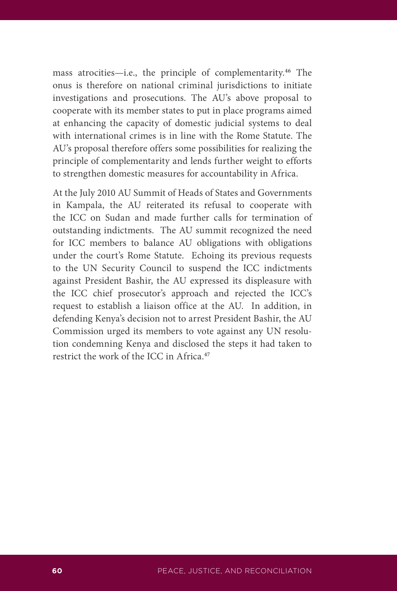mass atrocities—i.e., the principle of complementarity.**<sup>46</sup>** The onus is therefore on national criminal jurisdictions to initiate investigations and prosecutions. The AU's above proposal to cooperate with its member states to put in place programs aimed at enhancing the capacity of domestic judicial systems to deal with international crimes is in line with the Rome Statute. The AU's proposal therefore offers some possibilities for realizing the principle of complementarity and lends further weight to efforts to strengthen domestic measures for accountability in Africa.

At the July 2010 AU Summit of Heads of States and Governments in Kampala, the AU reiterated its refusal to cooperate with the ICC on Sudan and made further calls for termination of outstanding indictments. The AU summit recognized the need for ICC members to balance AU obligations with obligations under the court's Rome Statute. Echoing its previous requests to the UN Security Council to suspend the ICC indictments against President Bashir, the AU expressed its displeasure with the ICC chief prosecutor's approach and rejected the ICC's request to establish a liaison office at the AU. In addition, in defending Kenya's decision not to arrest President Bashir, the AU Commission urged its members to vote against any UN resolution condemning Kenya and disclosed the steps it had taken to restrict the work of the ICC in Africa.**47**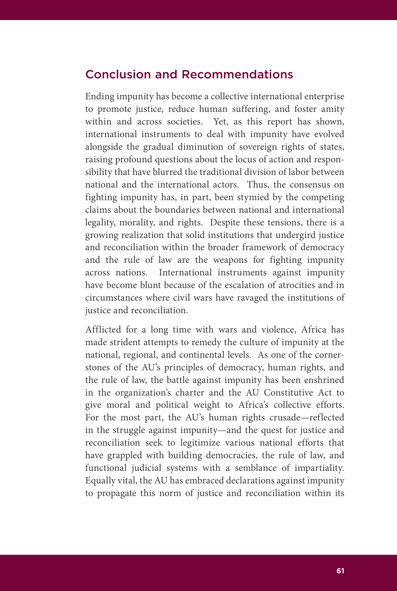## Conclusion and Recommendations

Ending impunity has become a collective international enterprise to promote justice, reduce human suffering, and foster amity within and across societies. Yet, as this report has shown, international instruments to deal with impunity have evolved alongside the gradual diminution of sovereign rights of states, raising profound questions about the locus of action and responsibility that have blurred the traditional division of labor between national and the international actors. Thus, the consensus on fighting impunity has, in part, been stymied by the competing claims about the boundaries between national and international legality, morality, and rights. Despite these tensions, there is a growing realization that solid institutions that undergird justice and reconciliation within the broader framework of democracy and the rule of law are the weapons for fighting impunity across nations. International instruments against impunity have become blunt because of the escalation of atrocities and in circumstances where civil wars have ravaged the institutions of justice and reconciliation.

Afflicted for a long time with wars and violence, Africa has made strident attempts to remedy the culture of impunity at the national, regional, and continental levels. As one of the cornerstones of the AU's principles of democracy, human rights, and the rule of law, the battle against impunity has been enshrined in the organization's charter and the AU Constitutive Act to give moral and political weight to Africa's collective efforts. For the most part, the AU's human rights crusade—reflected in the struggle against impunity—and the quest for justice and reconciliation seek to legitimize various national efforts that have grappled with building democracies, the rule of law, and functional judicial systems with a semblance of impartiality. Equally vital, the AU has embraced declarations against impunity to propagate this norm of justice and reconciliation within its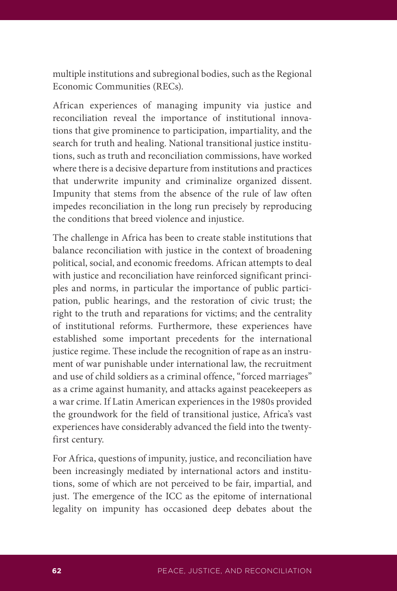multiple institutions and subregional bodies, such as the Regional Economic Communities (RECs).

African experiences of managing impunity via justice and reconciliation reveal the importance of institutional innovations that give prominence to participation, impartiality, and the search for truth and healing. National transitional justice institutions, such as truth and reconciliation commissions, have worked where there is a decisive departure from institutions and practices that underwrite impunity and criminalize organized dissent. Impunity that stems from the absence of the rule of law often impedes reconciliation in the long run precisely by reproducing the conditions that breed violence and injustice.

The challenge in Africa has been to create stable institutions that balance reconciliation with justice in the context of broadening political, social, and economic freedoms. African attempts to deal with justice and reconciliation have reinforced significant principles and norms, in particular the importance of public participation, public hearings, and the restoration of civic trust; the right to the truth and reparations for victims; and the centrality of institutional reforms. Furthermore, these experiences have established some important precedents for the international justice regime. These include the recognition of rape as an instrument of war punishable under international law, the recruitment and use of child soldiers as a criminal offence, "forced marriages" as a crime against humanity, and attacks against peacekeepers as a war crime. If Latin American experiences in the 1980s provided the groundwork for the field of transitional justice, Africa's vast experiences have considerably advanced the field into the twentyfirst century.

For Africa, questions of impunity, justice, and reconciliation have been increasingly mediated by international actors and institutions, some of which are not perceived to be fair, impartial, and just. The emergence of the ICC as the epitome of international legality on impunity has occasioned deep debates about the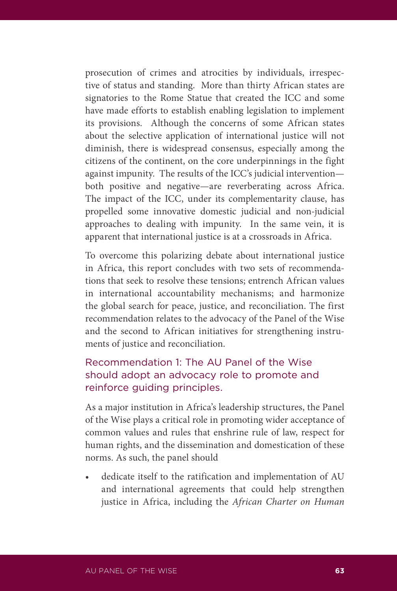prosecution of crimes and atrocities by individuals, irrespective of status and standing. More than thirty African states are signatories to the Rome Statue that created the ICC and some have made efforts to establish enabling legislation to implement its provisions. Although the concerns of some African states about the selective application of international justice will not diminish, there is widespread consensus, especially among the citizens of the continent, on the core underpinnings in the fight against impunity. The results of the ICC's judicial intervention both positive and negative—are reverberating across Africa. The impact of the ICC, under its complementarity clause, has propelled some innovative domestic judicial and non-judicial approaches to dealing with impunity. In the same vein, it is apparent that international justice is at a crossroads in Africa.

To overcome this polarizing debate about international justice in Africa, this report concludes with two sets of recommendations that seek to resolve these tensions; entrench African values in international accountability mechanisms; and harmonize the global search for peace, justice, and reconciliation. The first recommendation relates to the advocacy of the Panel of the Wise and the second to African initiatives for strengthening instruments of justice and reconciliation.

## Recommendation 1: The AU Panel of the Wise should adopt an advocacy role to promote and reinforce guiding principles.

As a major institution in Africa's leadership structures, the Panel of the Wise plays a critical role in promoting wider acceptance of common values and rules that enshrine rule of law, respect for human rights, and the dissemination and domestication of these norms. As such, the panel should

dedicate itself to the ratification and implementation of AU and international agreements that could help strengthen justice in Africa, including the *African Charter on Human*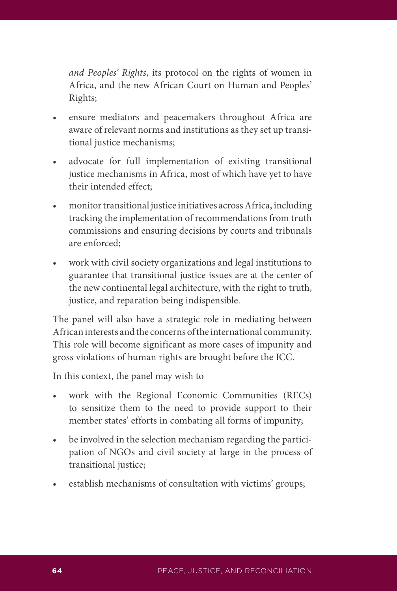*and Peoples' Rights*, its protocol on the rights of women in Africa, and the new African Court on Human and Peoples' Rights;

- ensure mediators and peacemakers throughout Africa are aware of relevant norms and institutions as they set up transitional justice mechanisms;
- advocate for full implementation of existing transitional justice mechanisms in Africa, most of which have yet to have their intended effect;
- monitor transitional justice initiatives across Africa, including tracking the implementation of recommendations from truth commissions and ensuring decisions by courts and tribunals are enforced;
- • work with civil society organizations and legal institutions to guarantee that transitional justice issues are at the center of the new continental legal architecture, with the right to truth, justice, and reparation being indispensible.

The panel will also have a strategic role in mediating between African interests and the concerns of the international community. This role will become significant as more cases of impunity and gross violations of human rights are brought before the ICC.

In this context, the panel may wish to

- work with the Regional Economic Communities (RECs) to sensitize them to the need to provide support to their member states' efforts in combating all forms of impunity;
- be involved in the selection mechanism regarding the participation of NGOs and civil society at large in the process of transitional justice;
- establish mechanisms of consultation with victims' groups;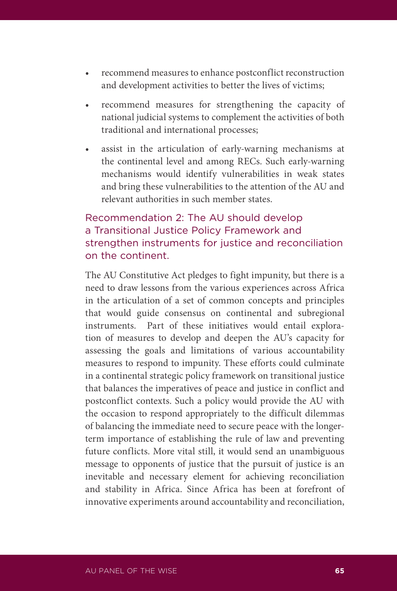- recommend measures to enhance postconflict reconstruction and development activities to better the lives of victims;
- recommend measures for strengthening the capacity of national judicial systems to complement the activities of both traditional and international processes;
- • assist in the articulation of early-warning mechanisms at the continental level and among RECs. Such early-warning mechanisms would identify vulnerabilities in weak states and bring these vulnerabilities to the attention of the AU and relevant authorities in such member states.

## Recommendation 2: The AU should develop a Transitional Justice Policy Framework and strengthen instruments for justice and reconciliation on the continent.

The AU Constitutive Act pledges to fight impunity, but there is a need to draw lessons from the various experiences across Africa in the articulation of a set of common concepts and principles that would guide consensus on continental and subregional instruments. Part of these initiatives would entail exploration of measures to develop and deepen the AU's capacity for assessing the goals and limitations of various accountability measures to respond to impunity. These efforts could culminate in a continental strategic policy framework on transitional justice that balances the imperatives of peace and justice in conflict and postconflict contexts. Such a policy would provide the AU with the occasion to respond appropriately to the difficult dilemmas of balancing the immediate need to secure peace with the longerterm importance of establishing the rule of law and preventing future conflicts. More vital still, it would send an unambiguous message to opponents of justice that the pursuit of justice is an inevitable and necessary element for achieving reconciliation and stability in Africa. Since Africa has been at forefront of innovative experiments around accountability and reconciliation,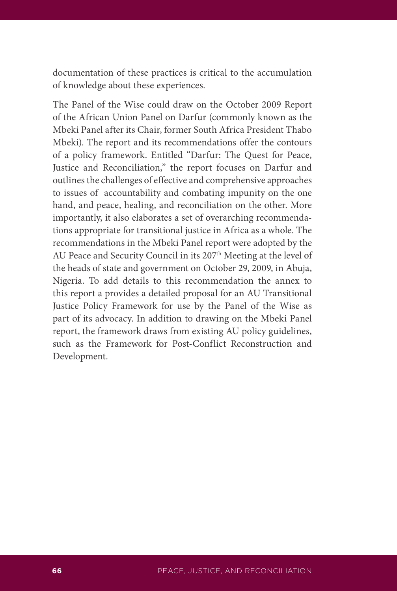documentation of these practices is critical to the accumulation of knowledge about these experiences.

The Panel of the Wise could draw on the October 2009 Report of the African Union Panel on Darfur (commonly known as the Mbeki Panel after its Chair, former South Africa President Thabo Mbeki). The report and its recommendations offer the contours of a policy framework. Entitled "Darfur: The Quest for Peace, Justice and Reconciliation," the report focuses on Darfur and outlines the challenges of effective and comprehensive approaches to issues of accountability and combating impunity on the one hand, and peace, healing, and reconciliation on the other. More importantly, it also elaborates a set of overarching recommendations appropriate for transitional justice in Africa as a whole. The recommendations in the Mbeki Panel report were adopted by the AU Peace and Security Council in its 207<sup>th</sup> Meeting at the level of the heads of state and government on October 29, 2009, in Abuja, Nigeria. To add details to this recommendation the annex to this report a provides a detailed proposal for an AU Transitional Justice Policy Framework for use by the Panel of the Wise as part of its advocacy. In addition to drawing on the Mbeki Panel report, the framework draws from existing AU policy guidelines, such as the Framework for Post-Conflict Reconstruction and Development.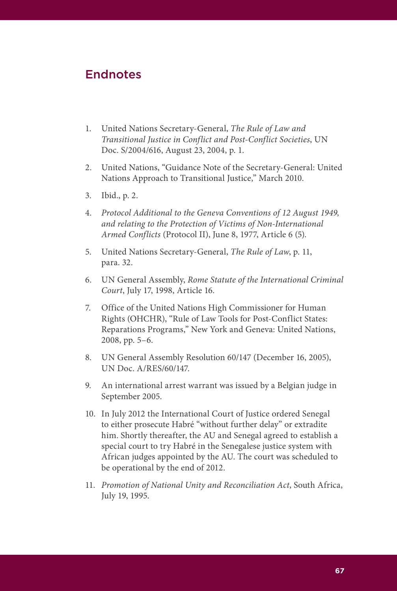# Endnotes

- 1. United Nations Secretary-General, *The Rule of Law and Transitional Justice in Conflict and Post-Conflict Societies*, UN Doc. S/2004/616, August 23, 2004, p. 1.
- 2. United Nations, "Guidance Note of the Secretary-General: United Nations Approach to Transitional Justice," March 2010.
- 3. Ibid., p. 2.
- 4. *Protocol Additional to the Geneva Conventions of 12 August 1949, and relating to the Protection of Victims of Non-International Armed Conflicts* (Protocol II), June 8, 1977, Article 6 (5).
- 5. United Nations Secretary-General, *The Rule of Law*, p. 11, para. 32.
- 6. UN General Assembly, *Rome Statute of the International Criminal Court*, July 17, 1998, Article 16.
- 7. Office of the United Nations High Commissioner for Human Rights (OHCHR), "Rule of Law Tools for Post-Conflict States: Reparations Programs," New York and Geneva: United Nations, 2008, pp. 5–6.
- 8. UN General Assembly Resolution 60/147 (December 16, 2005), UN Doc. A/RES/60/147.
- 9. An international arrest warrant was issued by a Belgian judge in September 2005.
- 10. In July 2012 the International Court of Justice ordered Senegal to either prosecute Habré "without further delay" or extradite him. Shortly thereafter, the AU and Senegal agreed to establish a special court to try Habré in the Senegalese justice system with African judges appointed by the AU. The court was scheduled to be operational by the end of 2012.
- 11. *Promotion of National Unity and Reconciliation Act*, South Africa, July 19, 1995.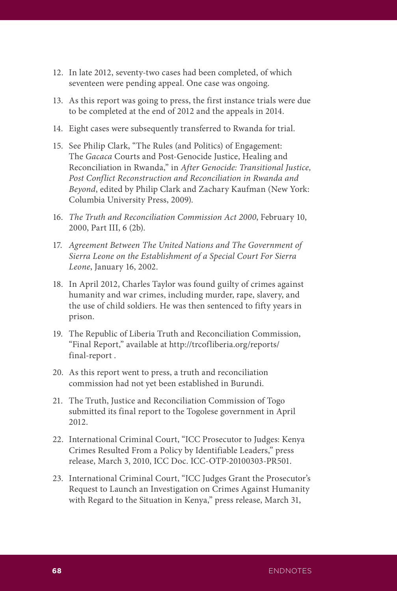- 12. In late 2012, seventy-two cases had been completed, of which seventeen were pending appeal. One case was ongoing.
- 13. As this report was going to press, the first instance trials were due to be completed at the end of 2012 and the appeals in 2014.
- 14. Eight cases were subsequently transferred to Rwanda for trial.
- 15. See Philip Clark, "The Rules (and Politics) of Engagement: The *Gacaca* Courts and Post-Genocide Justice, Healing and Reconciliation in Rwanda," in *After Genocide: Transitional Justice, Post Conflict Reconstruction and Reconciliation in Rwanda and Beyond*, edited by Philip Clark and Zachary Kaufman (New York: Columbia University Press, 2009).
- 16. *The Truth and Reconciliation Commission Act 2000*, February 10, 2000, Part III, 6 (2b).
- 17. *Agreement Between The United Nations and The Government of Sierra Leone on the Establishment of a Special Court For Sierra Leone*, January 16, 2002.
- 18. In April 2012, Charles Taylor was found guilty of crimes against humanity and war crimes, including murder, rape, slavery, and the use of child soldiers. He was then sentenced to fifty years in prison.
- 19. The Republic of Liberia Truth and Reconciliation Commission, "Final Report," available at http://trcofliberia.org/reports/ final-report .
- 20. As this report went to press, a truth and reconciliation commission had not yet been established in Burundi.
- 21. The Truth, Justice and Reconciliation Commission of Togo submitted its final report to the Togolese government in April 2012.
- 22. International Criminal Court, "ICC Prosecutor to Judges: Kenya Crimes Resulted From a Policy by Identifiable Leaders," press release, March 3, 2010, ICC Doc. ICC-OTP-20100303-PR501.
- 23. International Criminal Court, "ICC Judges Grant the Prosecutor's Request to Launch an Investigation on Crimes Against Humanity with Regard to the Situation in Kenya," press release, March 31,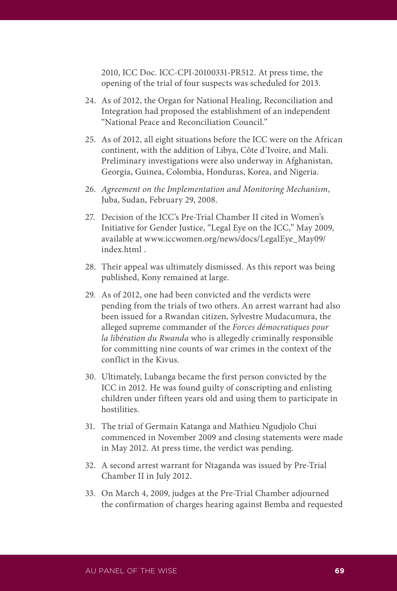2010, ICC Doc. ICC-CPI-20100331-PR512. At press time, the opening of the trial of four suspects was scheduled for 2013.

- 24. As of 2012, the Organ for National Healing, Reconciliation and Integration had proposed the establishment of an independent "National Peace and Reconciliation Council."
- 25. As of 2012, all eight situations before the ICC were on the African continent, with the addition of Libya, Côte d'Ivoire, and Mali. Preliminary investigations were also underway in Afghanistan, Georgia, Guinea, Colombia, Honduras, Korea, and Nigeria.
- 26. *Agreement on the Implementation and Monitoring Mechanism*, Juba, Sudan, February 29, 2008.
- 27. Decision of the ICC's Pre-Trial Chamber II cited in Women's Initiative for Gender Justice, "Legal Eye on the ICC," May 2009, available at www.iccwomen.org/news/docs/LegalEye\_May09/ index.html .
- 28. Their appeal was ultimately dismissed. As this report was being published, Kony remained at large.
- 29. As of 2012, one had been convicted and the verdicts were pending from the trials of two others. An arrest warrant had also been issued for a Rwandan citizen, Sylvestre Mudacumura, the alleged supreme commander of the *Forces démocratiques pour la libération du Rwanda* who is allegedly criminally responsible for committing nine counts of war crimes in the context of the conflict in the Kivus.
- 30. Ultimately, Lubanga became the first person convicted by the ICC in 2012. He was found guilty of conscripting and enlisting children under fifteen years old and using them to participate in hostilities.
- 31. The trial of Germain Katanga and Mathieu Ngudjolo Chui commenced in November 2009 and closing statements were made in May 2012. At press time, the verdict was pending.
- 32. A second arrest warrant for Ntaganda was issued by Pre-Trial Chamber II in July 2012.
- 33. On March 4, 2009, judges at the Pre-Trial Chamber adjourned the confirmation of charges hearing against Bemba and requested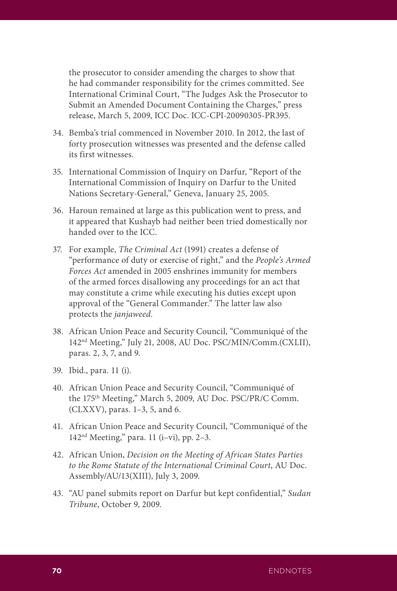the prosecutor to consider amending the charges to show that he had commander responsibility for the crimes committed. See International Criminal Court, "The Judges Ask the Prosecutor to Submit an Amended Document Containing the Charges," press release, March 5, 2009, ICC Doc. ICC-CPI-20090305-PR395.

- 34. Bemba's trial commenced in November 2010. In 2012, the last of forty prosecution witnesses was presented and the defense called its first witnesses.
- 35. International Commission of Inquiry on Darfur, "Report of the International Commission of Inquiry on Darfur to the United Nations Secretary-General," Geneva, January 25, 2005.
- 36. Haroun remained at large as this publication went to press, and it appeared that Kushayb had neither been tried domestically nor handed over to the ICC.
- 37. For example, *The Criminal Act* (1991) creates a defense of "performance of duty or exercise of right," and the *People's Armed Forces Act* amended in 2005 enshrines immunity for members of the armed forces disallowing any proceedings for an act that may constitute a crime while executing his duties except upon approval of the "General Commander." The latter law also protects the *janjaweed*.
- 38. African Union Peace and Security Council, "Communiqué of the 142nd Meeting," July 21, 2008, AU Doc. PSC/MIN/Comm.(CXLII), paras. 2, 3, 7, and 9.
- 39. Ibid., para. 11 (i).
- 40. African Union Peace and Security Council, "Communiqué of the 175th Meeting," March 5, 2009, AU Doc. PSC/PR/C Comm. (CLXXV), paras. 1–3, 5, and 6.
- 41. African Union Peace and Security Council, "Communiqué of the  $142<sup>nd</sup> Meeting, "para. 11 (i–vi), pp. 2–3.$
- 42. African Union, *Decision on the Meeting of African States Parties to the Rome Statute of the International Criminal Court*, AU Doc. Assembly/AU/13(XIII), July 3, 2009.
- 43. "AU panel submits report on Darfur but kept confidential," *Sudan Tribune*, October 9, 2009.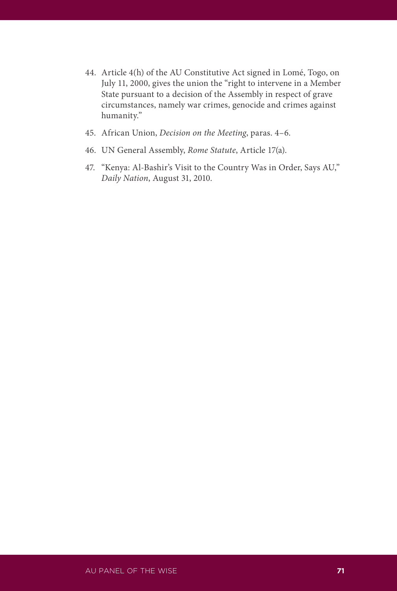- 44. Article 4(h) of the AU Constitutive Act signed in Lomé, Togo, on July 11, 2000, gives the union the "right to intervene in a Member State pursuant to a decision of the Assembly in respect of grave circumstances, namely war crimes, genocide and crimes against humanity."
- 45. African Union, *Decision on the Meeting*, paras. 4–6.
- 46. UN General Assembly, *Rome Statute*, Article 17(a).
- 47. "Kenya: Al-Bashir's Visit to the Country Was in Order, Says AU," *Daily Nation*, August 31, 2010.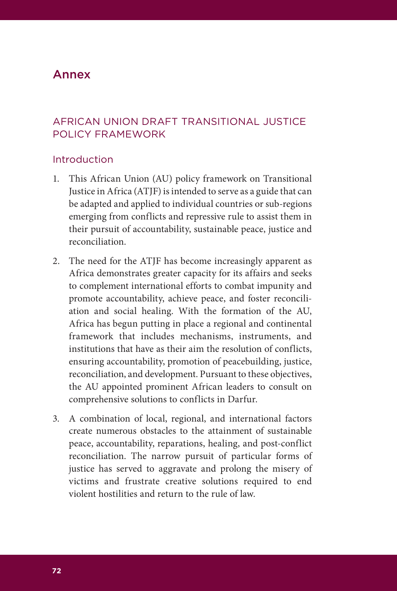# Annex

## AFRICAN UNION DRAFT TRANSITIONAL JUSTICE POLICY FRAMEWORK

#### Introduction

- 1. This African Union (AU) policy framework on Transitional Justice in Africa (ATJF) is intended to serve as a guide that can be adapted and applied to individual countries or sub-regions emerging from conflicts and repressive rule to assist them in their pursuit of accountability, sustainable peace, justice and reconciliation.
- 2. The need for the ATJF has become increasingly apparent as Africa demonstrates greater capacity for its affairs and seeks to complement international efforts to combat impunity and promote accountability, achieve peace, and foster reconciliation and social healing. With the formation of the AU, Africa has begun putting in place a regional and continental framework that includes mechanisms, instruments, and institutions that have as their aim the resolution of conflicts, ensuring accountability, promotion of peacebuilding, justice, reconciliation, and development. Pursuant to these objectives, the AU appointed prominent African leaders to consult on comprehensive solutions to conflicts in Darfur.
- 3. A combination of local, regional, and international factors create numerous obstacles to the attainment of sustainable peace, accountability, reparations, healing, and post-conflict reconciliation. The narrow pursuit of particular forms of justice has served to aggravate and prolong the misery of victims and frustrate creative solutions required to end violent hostilities and return to the rule of law.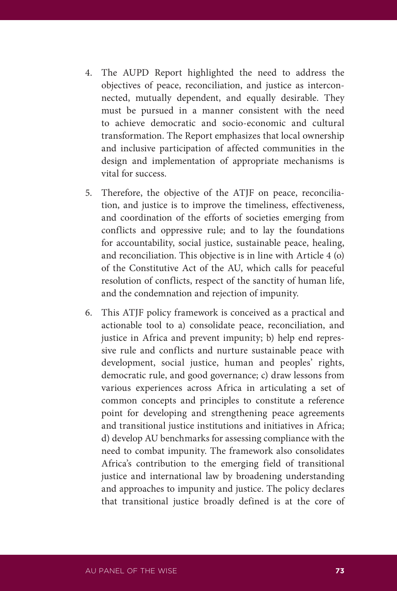- 4. The AUPD Report highlighted the need to address the objectives of peace, reconciliation, and justice as interconnected, mutually dependent, and equally desirable. They must be pursued in a manner consistent with the need to achieve democratic and socio-economic and cultural transformation. The Report emphasizes that local ownership and inclusive participation of affected communities in the design and implementation of appropriate mechanisms is vital for success.
- 5. Therefore, the objective of the ATJF on peace, reconciliation, and justice is to improve the timeliness, effectiveness, and coordination of the efforts of societies emerging from conflicts and oppressive rule; and to lay the foundations for accountability, social justice, sustainable peace, healing, and reconciliation. This objective is in line with Article 4 (o) of the Constitutive Act of the AU, which calls for peaceful resolution of conflicts, respect of the sanctity of human life, and the condemnation and rejection of impunity.
- 6. This ATJF policy framework is conceived as a practical and actionable tool to a) consolidate peace, reconciliation, and justice in Africa and prevent impunity; b) help end repressive rule and conflicts and nurture sustainable peace with development, social justice, human and peoples' rights, democratic rule, and good governance; c) draw lessons from various experiences across Africa in articulating a set of common concepts and principles to constitute a reference point for developing and strengthening peace agreements and transitional justice institutions and initiatives in Africa; d) develop AU benchmarks for assessing compliance with the need to combat impunity. The framework also consolidates Africa's contribution to the emerging field of transitional justice and international law by broadening understanding and approaches to impunity and justice. The policy declares that transitional justice broadly defined is at the core of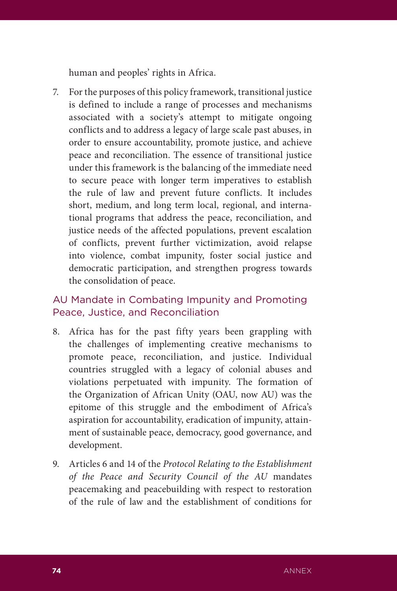human and peoples' rights in Africa.

7. For the purposes of this policy framework, transitional justice is defined to include a range of processes and mechanisms associated with a society's attempt to mitigate ongoing conflicts and to address a legacy of large scale past abuses, in order to ensure accountability, promote justice, and achieve peace and reconciliation. The essence of transitional justice under this framework is the balancing of the immediate need to secure peace with longer term imperatives to establish the rule of law and prevent future conflicts. It includes short, medium, and long term local, regional, and international programs that address the peace, reconciliation, and justice needs of the affected populations, prevent escalation of conflicts, prevent further victimization, avoid relapse into violence, combat impunity, foster social justice and democratic participation, and strengthen progress towards the consolidation of peace.

### AU Mandate in Combating Impunity and Promoting Peace, Justice, and Reconciliation

- 8. Africa has for the past fifty years been grappling with the challenges of implementing creative mechanisms to promote peace, reconciliation, and justice. Individual countries struggled with a legacy of colonial abuses and violations perpetuated with impunity. The formation of the Organization of African Unity (OAU, now AU) was the epitome of this struggle and the embodiment of Africa's aspiration for accountability, eradication of impunity, attainment of sustainable peace, democracy, good governance, and development.
- 9. Articles 6 and 14 of the *Protocol Relating to the Establishment of the Peace and Security Council of the AU* mandates peacemaking and peacebuilding with respect to restoration of the rule of law and the establishment of conditions for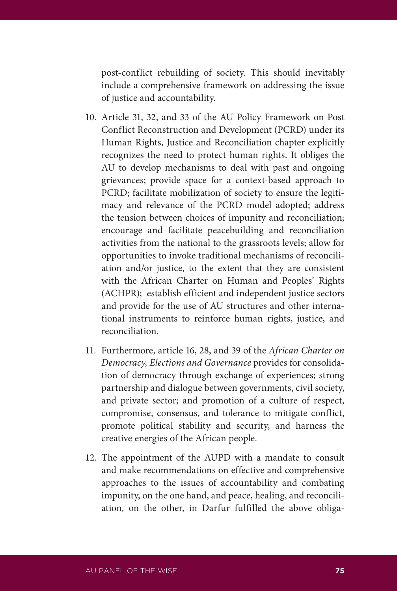post-conflict rebuilding of society. This should inevitably include a comprehensive framework on addressing the issue of justice and accountability.

- 10. Article 31, 32, and 33 of the AU Policy Framework on Post Conflict Reconstruction and Development (PCRD) under its Human Rights, Justice and Reconciliation chapter explicitly recognizes the need to protect human rights. It obliges the AU to develop mechanisms to deal with past and ongoing grievances; provide space for a context-based approach to PCRD; facilitate mobilization of society to ensure the legitimacy and relevance of the PCRD model adopted; address the tension between choices of impunity and reconciliation; encourage and facilitate peacebuilding and reconciliation activities from the national to the grassroots levels; allow for opportunities to invoke traditional mechanisms of reconciliation and/or justice, to the extent that they are consistent with the African Charter on Human and Peoples' Rights (ACHPR); establish efficient and independent justice sectors and provide for the use of AU structures and other international instruments to reinforce human rights, justice, and reconciliation.
- 11. Furthermore, article 16, 28, and 39 of the *African Charter on Democracy, Elections and Governance* provides for consolidation of democracy through exchange of experiences; strong partnership and dialogue between governments, civil society, and private sector; and promotion of a culture of respect, compromise, consensus, and tolerance to mitigate conflict, promote political stability and security, and harness the creative energies of the African people.
- 12. The appointment of the AUPD with a mandate to consult and make recommendations on effective and comprehensive approaches to the issues of accountability and combating impunity, on the one hand, and peace, healing, and reconciliation, on the other, in Darfur fulfilled the above obliga-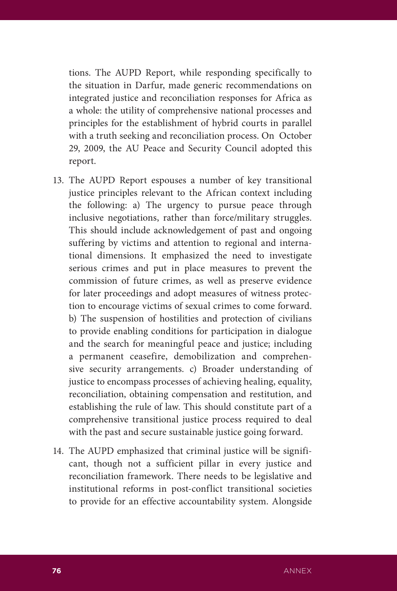tions. The AUPD Report, while responding specifically to the situation in Darfur, made generic recommendations on integrated justice and reconciliation responses for Africa as a whole: the utility of comprehensive national processes and principles for the establishment of hybrid courts in parallel with a truth seeking and reconciliation process. On October 29, 2009, the AU Peace and Security Council adopted this report.

- 13. The AUPD Report espouses a number of key transitional justice principles relevant to the African context including the following: a) The urgency to pursue peace through inclusive negotiations, rather than force/military struggles. This should include acknowledgement of past and ongoing suffering by victims and attention to regional and international dimensions. It emphasized the need to investigate serious crimes and put in place measures to prevent the commission of future crimes, as well as preserve evidence for later proceedings and adopt measures of witness protection to encourage victims of sexual crimes to come forward. b) The suspension of hostilities and protection of civilians to provide enabling conditions for participation in dialogue and the search for meaningful peace and justice; including a permanent ceasefire, demobilization and comprehensive security arrangements. c) Broader understanding of justice to encompass processes of achieving healing, equality, reconciliation, obtaining compensation and restitution, and establishing the rule of law. This should constitute part of a comprehensive transitional justice process required to deal with the past and secure sustainable justice going forward.
- 14. The AUPD emphasized that criminal justice will be significant, though not a sufficient pillar in every justice and reconciliation framework. There needs to be legislative and institutional reforms in post-conflict transitional societies to provide for an effective accountability system. Alongside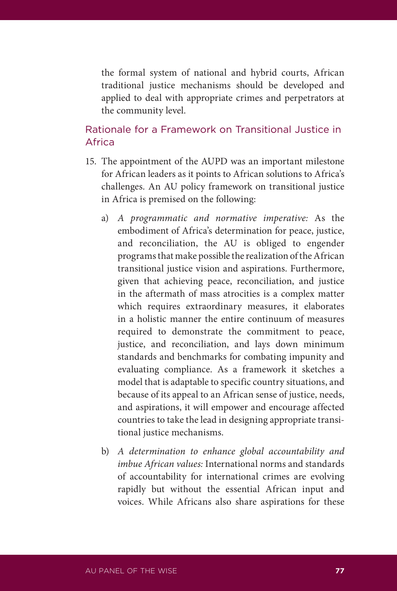the formal system of national and hybrid courts, African traditional justice mechanisms should be developed and applied to deal with appropriate crimes and perpetrators at the community level.

### Rationale for a Framework on Transitional Justice in Africa

- 15. The appointment of the AUPD was an important milestone for African leaders as it points to African solutions to Africa's challenges. An AU policy framework on transitional justice in Africa is premised on the following:
	- a) *A programmatic and normative imperative:* As the embodiment of Africa's determination for peace, justice, and reconciliation, the AU is obliged to engender programs that make possible the realization of the African transitional justice vision and aspirations. Furthermore, given that achieving peace, reconciliation, and justice in the aftermath of mass atrocities is a complex matter which requires extraordinary measures, it elaborates in a holistic manner the entire continuum of measures required to demonstrate the commitment to peace, justice, and reconciliation, and lays down minimum standards and benchmarks for combating impunity and evaluating compliance. As a framework it sketches a model that is adaptable to specific country situations, and because of its appeal to an African sense of justice, needs, and aspirations, it will empower and encourage affected countries to take the lead in designing appropriate transitional justice mechanisms.
	- b) *A determination to enhance global accountability and imbue African values:* International norms and standards of accountability for international crimes are evolving rapidly but without the essential African input and voices. While Africans also share aspirations for these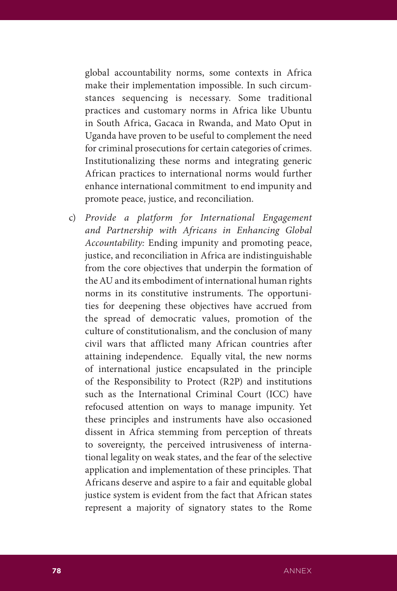global accountability norms, some contexts in Africa make their implementation impossible. In such circumstances sequencing is necessary. Some traditional practices and customary norms in Africa like Ubuntu in South Africa, Gacaca in Rwanda, and Mato Oput in Uganda have proven to be useful to complement the need for criminal prosecutions for certain categories of crimes. Institutionalizing these norms and integrating generic African practices to international norms would further enhance international commitment to end impunity and promote peace, justice, and reconciliation.

c) *Provide a platform for International Engagement and Partnership with Africans in Enhancing Global Accountability:* Ending impunity and promoting peace, justice, and reconciliation in Africa are indistinguishable from the core objectives that underpin the formation of the AU and its embodiment of international human rights norms in its constitutive instruments. The opportunities for deepening these objectives have accrued from the spread of democratic values, promotion of the culture of constitutionalism, and the conclusion of many civil wars that afflicted many African countries after attaining independence. Equally vital, the new norms of international justice encapsulated in the principle of the Responsibility to Protect (R2P) and institutions such as the International Criminal Court (ICC) have refocused attention on ways to manage impunity. Yet these principles and instruments have also occasioned dissent in Africa stemming from perception of threats to sovereignty, the perceived intrusiveness of international legality on weak states, and the fear of the selective application and implementation of these principles. That Africans deserve and aspire to a fair and equitable global justice system is evident from the fact that African states represent a majority of signatory states to the Rome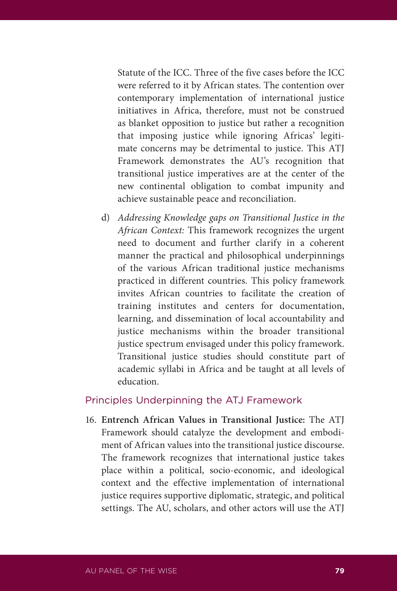Statute of the ICC. Three of the five cases before the ICC were referred to it by African states. The contention over contemporary implementation of international justice initiatives in Africa, therefore, must not be construed as blanket opposition to justice but rather a recognition that imposing justice while ignoring Africas' legitimate concerns may be detrimental to justice. This ATJ Framework demonstrates the AU's recognition that transitional justice imperatives are at the center of the new continental obligation to combat impunity and achieve sustainable peace and reconciliation.

d) *Addressing Knowledge gaps on Transitional Justice in the African Context:* This framework recognizes the urgent need to document and further clarify in a coherent manner the practical and philosophical underpinnings of the various African traditional justice mechanisms practiced in different countries. This policy framework invites African countries to facilitate the creation of training institutes and centers for documentation, learning, and dissemination of local accountability and justice mechanisms within the broader transitional justice spectrum envisaged under this policy framework. Transitional justice studies should constitute part of academic syllabi in Africa and be taught at all levels of education.

#### Principles Underpinning the ATJ Framework

16. **Entrench African Values in Transitional Justice:** The ATJ Framework should catalyze the development and embodiment of African values into the transitional justice discourse. The framework recognizes that international justice takes place within a political, socio-economic, and ideological context and the effective implementation of international justice requires supportive diplomatic, strategic, and political settings. The AU, scholars, and other actors will use the ATJ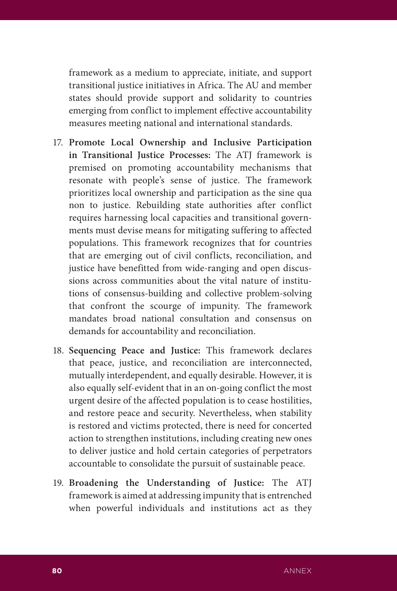framework as a medium to appreciate, initiate, and support transitional justice initiatives in Africa. The AU and member states should provide support and solidarity to countries emerging from conflict to implement effective accountability measures meeting national and international standards.

- 17. **Promote Local Ownership and Inclusive Participation in Transitional Justice Processes:** The ATJ framework is premised on promoting accountability mechanisms that resonate with people's sense of justice. The framework prioritizes local ownership and participation as the sine qua non to justice. Rebuilding state authorities after conflict requires harnessing local capacities and transitional governments must devise means for mitigating suffering to affected populations. This framework recognizes that for countries that are emerging out of civil conflicts, reconciliation, and justice have benefitted from wide-ranging and open discussions across communities about the vital nature of institutions of consensus-building and collective problem-solving that confront the scourge of impunity. The framework mandates broad national consultation and consensus on demands for accountability and reconciliation.
- 18. **Sequencing Peace and Justice:** This framework declares that peace, justice, and reconciliation are interconnected, mutually interdependent, and equally desirable. However, it is also equally self-evident that in an on-going conflict the most urgent desire of the affected population is to cease hostilities, and restore peace and security. Nevertheless, when stability is restored and victims protected, there is need for concerted action to strengthen institutions, including creating new ones to deliver justice and hold certain categories of perpetrators accountable to consolidate the pursuit of sustainable peace.
- 19. **Broadening the Understanding of Justice:** The ATJ framework is aimed at addressing impunity that is entrenched when powerful individuals and institutions act as they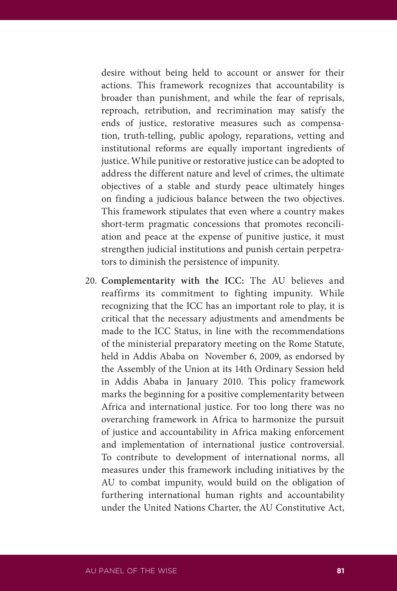desire without being held to account or answer for their actions. This framework recognizes that accountability is broader than punishment, and while the fear of reprisals, reproach, retribution, and recrimination may satisfy the ends of justice, restorative measures such as compensation, truth-telling, public apology, reparations, vetting and institutional reforms are equally important ingredients of justice. While punitive or restorative justice can be adopted to address the different nature and level of crimes, the ultimate objectives of a stable and sturdy peace ultimately hinges on finding a judicious balance between the two objectives. This framework stipulates that even where a country makes short-term pragmatic concessions that promotes reconciliation and peace at the expense of punitive justice, it must strengthen judicial institutions and punish certain perpetrators to diminish the persistence of impunity.

20. **Complementarity with the ICC:** The AU believes and reaffirms its commitment to fighting impunity. While recognizing that the ICC has an important role to play, it is critical that the necessary adjustments and amendments be made to the ICC Status, in line with the recommendations of the ministerial preparatory meeting on the Rome Statute, held in Addis Ababa on November 6, 2009, as endorsed by the Assembly of the Union at its 14th Ordinary Session held in Addis Ababa in January 2010. This policy framework marks the beginning for a positive complementarity between Africa and international justice. For too long there was no overarching framework in Africa to harmonize the pursuit of justice and accountability in Africa making enforcement and implementation of international justice controversial. To contribute to development of international norms, all measures under this framework including initiatives by the AU to combat impunity, would build on the obligation of furthering international human rights and accountability under the United Nations Charter, the AU Constitutive Act,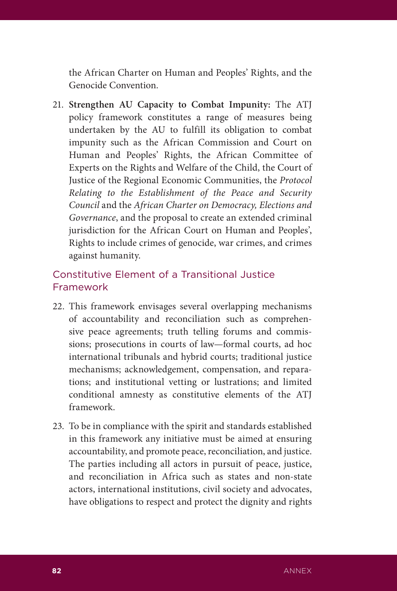the African Charter on Human and Peoples' Rights, and the Genocide Convention.

21. **Strengthen AU Capacity to Combat Impunity:** The ATJ policy framework constitutes a range of measures being undertaken by the AU to fulfill its obligation to combat impunity such as the African Commission and Court on Human and Peoples' Rights, the African Committee of Experts on the Rights and Welfare of the Child, the Court of Justice of the Regional Economic Communities, the *Protocol Relating to the Establishment of the Peace and Security Council* and the *African Charter on Democracy, Elections and Governance*, and the proposal to create an extended criminal jurisdiction for the African Court on Human and Peoples', Rights to include crimes of genocide, war crimes, and crimes against humanity.

## Constitutive Element of a Transitional Justice Framework

- 22. This framework envisages several overlapping mechanisms of accountability and reconciliation such as comprehensive peace agreements; truth telling forums and commissions; prosecutions in courts of law—formal courts, ad hoc international tribunals and hybrid courts; traditional justice mechanisms; acknowledgement, compensation, and reparations; and institutional vetting or lustrations; and limited conditional amnesty as constitutive elements of the ATJ framework.
- 23. To be in compliance with the spirit and standards established in this framework any initiative must be aimed at ensuring accountability, and promote peace, reconciliation, and justice. The parties including all actors in pursuit of peace, justice, and reconciliation in Africa such as states and non-state actors, international institutions, civil society and advocates, have obligations to respect and protect the dignity and rights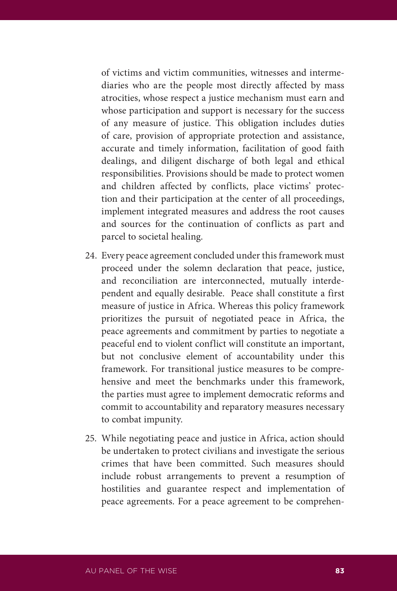of victims and victim communities, witnesses and intermediaries who are the people most directly affected by mass atrocities, whose respect a justice mechanism must earn and whose participation and support is necessary for the success of any measure of justice. This obligation includes duties of care, provision of appropriate protection and assistance, accurate and timely information, facilitation of good faith dealings, and diligent discharge of both legal and ethical responsibilities. Provisions should be made to protect women and children affected by conflicts, place victims' protection and their participation at the center of all proceedings, implement integrated measures and address the root causes and sources for the continuation of conflicts as part and parcel to societal healing.

- 24. Every peace agreement concluded under this framework must proceed under the solemn declaration that peace, justice, and reconciliation are interconnected, mutually interdependent and equally desirable. Peace shall constitute a first measure of justice in Africa. Whereas this policy framework prioritizes the pursuit of negotiated peace in Africa, the peace agreements and commitment by parties to negotiate a peaceful end to violent conflict will constitute an important, but not conclusive element of accountability under this framework. For transitional justice measures to be comprehensive and meet the benchmarks under this framework, the parties must agree to implement democratic reforms and commit to accountability and reparatory measures necessary to combat impunity.
- 25. While negotiating peace and justice in Africa, action should be undertaken to protect civilians and investigate the serious crimes that have been committed. Such measures should include robust arrangements to prevent a resumption of hostilities and guarantee respect and implementation of peace agreements. For a peace agreement to be comprehen-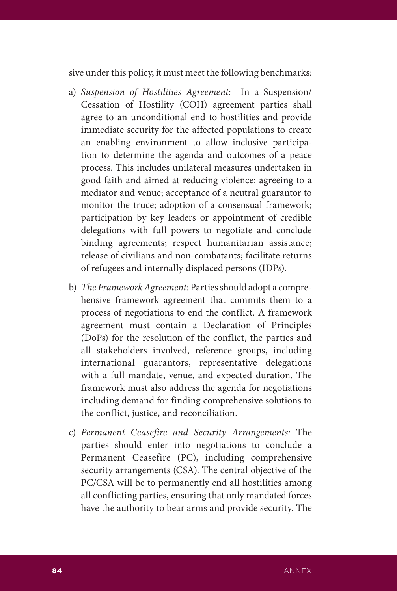sive under this policy, it must meet the following benchmarks:

- a) *Suspension of Hostilities Agreement:* In a Suspension/ Cessation of Hostility (COH) agreement parties shall agree to an unconditional end to hostilities and provide immediate security for the affected populations to create an enabling environment to allow inclusive participation to determine the agenda and outcomes of a peace process. This includes unilateral measures undertaken in good faith and aimed at reducing violence; agreeing to a mediator and venue; acceptance of a neutral guarantor to monitor the truce; adoption of a consensual framework; participation by key leaders or appointment of credible delegations with full powers to negotiate and conclude binding agreements; respect humanitarian assistance; release of civilians and non-combatants; facilitate returns of refugees and internally displaced persons (IDPs).
- b) *The Framework Agreement:* Parties should adopt a comprehensive framework agreement that commits them to a process of negotiations to end the conflict. A framework agreement must contain a Declaration of Principles (DoPs) for the resolution of the conflict, the parties and all stakeholders involved, reference groups, including international guarantors, representative delegations with a full mandate, venue, and expected duration. The framework must also address the agenda for negotiations including demand for finding comprehensive solutions to the conflict, justice, and reconciliation.
- c) *Permanent Ceasefire and Security Arrangements:* The parties should enter into negotiations to conclude a Permanent Ceasefire (PC), including comprehensive security arrangements (CSA). The central objective of the PC/CSA will be to permanently end all hostilities among all conflicting parties, ensuring that only mandated forces have the authority to bear arms and provide security. The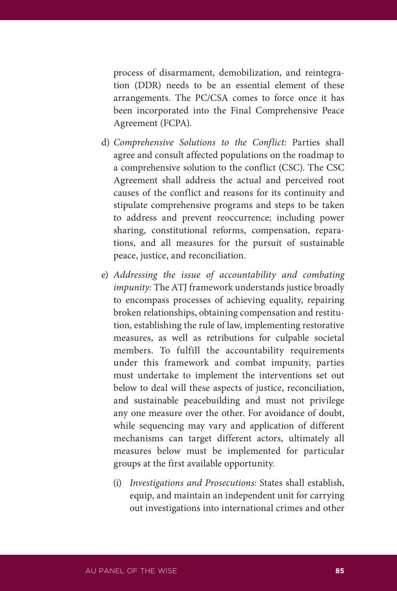process of disarmament, demobilization, and reintegration (DDR) needs to be an essential element of these arrangements. The PC/CSA comes to force once it has been incorporated into the Final Comprehensive Peace Agreement (FCPA).

- d) *Comprehensive Solutions to the Conflict:* Parties shall agree and consult affected populations on the roadmap to a comprehensive solution to the conflict (CSC). The CSC Agreement shall address the actual and perceived root causes of the conflict and reasons for its continuity and stipulate comprehensive programs and steps to be taken to address and prevent reoccurrence; including power sharing, constitutional reforms, compensation, reparations, and all measures for the pursuit of sustainable peace, justice, and reconciliation.
- e) *Addressing the issue of accountability and combating impunity:* The ATJ framework understands justice broadly to encompass processes of achieving equality, repairing broken relationships, obtaining compensation and restitution, establishing the rule of law, implementing restorative measures, as well as retributions for culpable societal members. To fulfill the accountability requirements under this framework and combat impunity, parties must undertake to implement the interventions set out below to deal will these aspects of justice, reconciliation, and sustainable peacebuilding and must not privilege any one measure over the other. For avoidance of doubt, while sequencing may vary and application of different mechanisms can target different actors, ultimately all measures below must be implemented for particular groups at the first available opportunity.
	- (i) *Investigations and Prosecutions:* States shall establish, equip, and maintain an independent unit for carrying out investigations into international crimes and other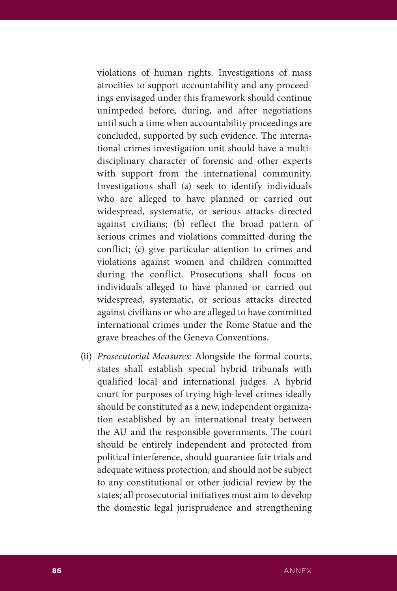violations of human rights. Investigations of mass atrocities to support accountability and any proceedings envisaged under this framework should continue unimpeded before, during, and after negotiations until such a time when accountability proceedings are concluded, supported by such evidence. The international crimes investigation unit should have a multidisciplinary character of forensic and other experts with support from the international community. Investigations shall (a) seek to identify individuals who are alleged to have planned or carried out widespread, systematic, or serious attacks directed against civilians; (b) reflect the broad pattern of serious crimes and violations committed during the conflict; (c) give particular attention to crimes and violations against women and children committed during the conflict. Prosecutions shall focus on individuals alleged to have planned or carried out widespread, systematic, or serious attacks directed against civilians or who are alleged to have committed international crimes under the Rome Statue and the grave breaches of the Geneva Conventions.

(ii) *Prosecutorial Measures:* Alongside the formal courts, states shall establish special hybrid tribunals with qualified local and international judges. A hybrid court for purposes of trying high-level crimes ideally should be constituted as a new, independent organization established by an international treaty between the AU and the responsible governments. The court should be entirely independent and protected from political interference, should guarantee fair trials and adequate witness protection, and should not be subject to any constitutional or other judicial review by the states; all prosecutorial initiatives must aim to develop the domestic legal jurisprudence and strengthening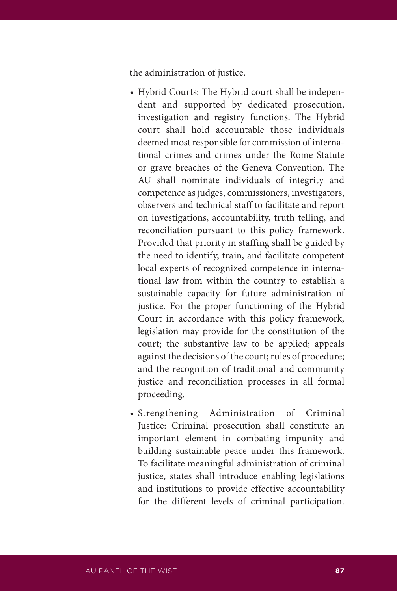the administration of justice.

- Hybrid Courts: The Hybrid court shall be independent and supported by dedicated prosecution, investigation and registry functions. The Hybrid court shall hold accountable those individuals deemed most responsible for commission of international crimes and crimes under the Rome Statute or grave breaches of the Geneva Convention. The AU shall nominate individuals of integrity and competence as judges, commissioners, investigators, observers and technical staff to facilitate and report on investigations, accountability, truth telling, and reconciliation pursuant to this policy framework. Provided that priority in staffing shall be guided by the need to identify, train, and facilitate competent local experts of recognized competence in international law from within the country to establish a sustainable capacity for future administration of justice. For the proper functioning of the Hybrid Court in accordance with this policy framework, legislation may provide for the constitution of the court; the substantive law to be applied; appeals against the decisions of the court; rules of procedure; and the recognition of traditional and community justice and reconciliation processes in all formal proceeding.
- Strengthening Administration of Criminal Justice: Criminal prosecution shall constitute an important element in combating impunity and building sustainable peace under this framework. To facilitate meaningful administration of criminal justice, states shall introduce enabling legislations and institutions to provide effective accountability for the different levels of criminal participation.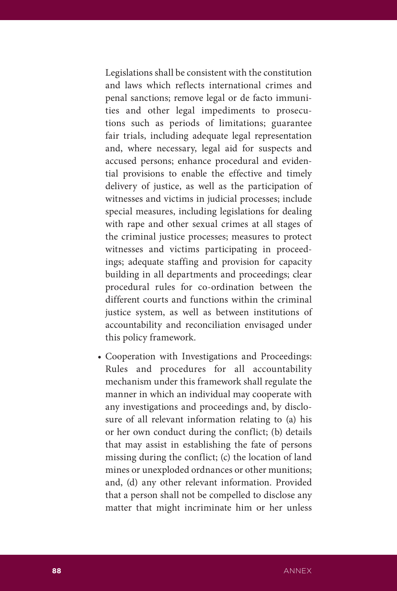Legislations shall be consistent with the constitution and laws which reflects international crimes and penal sanctions; remove legal or de facto immunities and other legal impediments to prosecutions such as periods of limitations; guarantee fair trials, including adequate legal representation and, where necessary, legal aid for suspects and accused persons; enhance procedural and evidential provisions to enable the effective and timely delivery of justice, as well as the participation of witnesses and victims in judicial processes; include special measures, including legislations for dealing with rape and other sexual crimes at all stages of the criminal justice processes; measures to protect witnesses and victims participating in proceedings; adequate staffing and provision for capacity building in all departments and proceedings; clear procedural rules for co-ordination between the different courts and functions within the criminal justice system, as well as between institutions of accountability and reconciliation envisaged under this policy framework.

• Cooperation with Investigations and Proceedings: Rules and procedures for all accountability mechanism under this framework shall regulate the manner in which an individual may cooperate with any investigations and proceedings and, by disclosure of all relevant information relating to (a) his or her own conduct during the conflict; (b) details that may assist in establishing the fate of persons missing during the conflict; (c) the location of land mines or unexploded ordnances or other munitions; and, (d) any other relevant information. Provided that a person shall not be compelled to disclose any matter that might incriminate him or her unless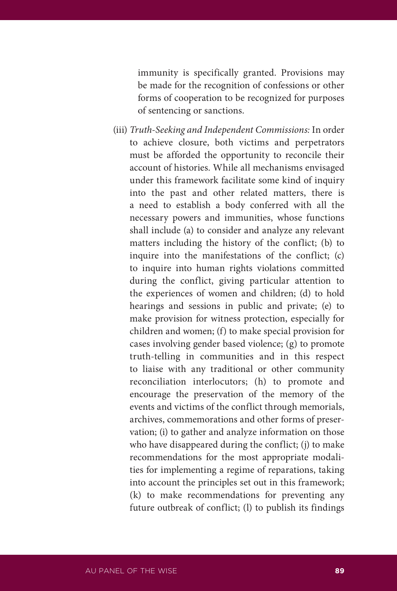immunity is specifically granted. Provisions may be made for the recognition of confessions or other forms of cooperation to be recognized for purposes of sentencing or sanctions.

(iii) *Truth-Seeking and Independent Commissions:* In order to achieve closure, both victims and perpetrators must be afforded the opportunity to reconcile their account of histories. While all mechanisms envisaged under this framework facilitate some kind of inquiry into the past and other related matters, there is a need to establish a body conferred with all the necessary powers and immunities, whose functions shall include (a) to consider and analyze any relevant matters including the history of the conflict; (b) to inquire into the manifestations of the conflict; (c) to inquire into human rights violations committed during the conflict, giving particular attention to the experiences of women and children; (d) to hold hearings and sessions in public and private; (e) to make provision for witness protection, especially for children and women; (f) to make special provision for cases involving gender based violence; (g) to promote truth-telling in communities and in this respect to liaise with any traditional or other community reconciliation interlocutors; (h) to promote and encourage the preservation of the memory of the events and victims of the conflict through memorials, archives, commemorations and other forms of preservation; (i) to gather and analyze information on those who have disappeared during the conflict; (j) to make recommendations for the most appropriate modalities for implementing a regime of reparations, taking into account the principles set out in this framework; (k) to make recommendations for preventing any future outbreak of conflict; (l) to publish its findings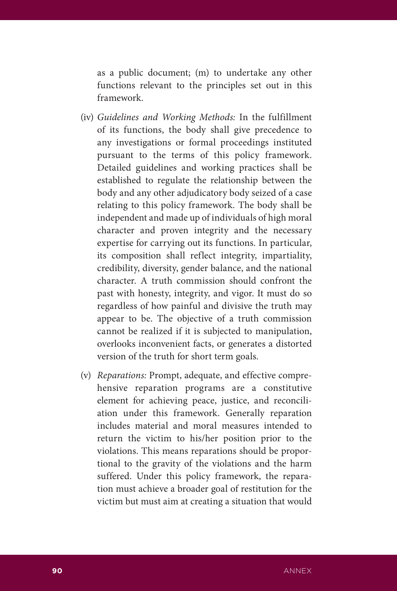as a public document; (m) to undertake any other functions relevant to the principles set out in this framework.

- (iv) *Guidelines and Working Methods:* In the fulfillment of its functions, the body shall give precedence to any investigations or formal proceedings instituted pursuant to the terms of this policy framework. Detailed guidelines and working practices shall be established to regulate the relationship between the body and any other adjudicatory body seized of a case relating to this policy framework. The body shall be independent and made up of individuals of high moral character and proven integrity and the necessary expertise for carrying out its functions. In particular, its composition shall reflect integrity, impartiality, credibility, diversity, gender balance, and the national character. A truth commission should confront the past with honesty, integrity, and vigor. It must do so regardless of how painful and divisive the truth may appear to be. The objective of a truth commission cannot be realized if it is subjected to manipulation, overlooks inconvenient facts, or generates a distorted version of the truth for short term goals.
- (v) *Reparations:* Prompt, adequate, and effective comprehensive reparation programs are a constitutive element for achieving peace, justice, and reconciliation under this framework. Generally reparation includes material and moral measures intended to return the victim to his/her position prior to the violations. This means reparations should be proportional to the gravity of the violations and the harm suffered. Under this policy framework, the reparation must achieve a broader goal of restitution for the victim but must aim at creating a situation that would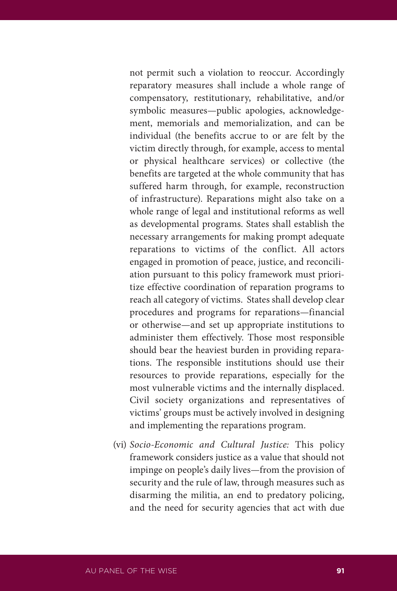not permit such a violation to reoccur. Accordingly reparatory measures shall include a whole range of compensatory, restitutionary, rehabilitative, and/or symbolic measures—public apologies, acknowledgement, memorials and memorialization, and can be individual (the benefits accrue to or are felt by the victim directly through, for example, access to mental or physical healthcare services) or collective (the benefits are targeted at the whole community that has suffered harm through, for example, reconstruction of infrastructure). Reparations might also take on a whole range of legal and institutional reforms as well as developmental programs. States shall establish the necessary arrangements for making prompt adequate reparations to victims of the conflict. All actors engaged in promotion of peace, justice, and reconciliation pursuant to this policy framework must prioritize effective coordination of reparation programs to reach all category of victims. States shall develop clear procedures and programs for reparations—financial or otherwise—and set up appropriate institutions to administer them effectively. Those most responsible should bear the heaviest burden in providing reparations. The responsible institutions should use their resources to provide reparations, especially for the most vulnerable victims and the internally displaced. Civil society organizations and representatives of victims' groups must be actively involved in designing and implementing the reparations program.

(vi) *Socio-Economic and Cultural Justice:* This policy framework considers justice as a value that should not impinge on people's daily lives—from the provision of security and the rule of law, through measures such as disarming the militia, an end to predatory policing, and the need for security agencies that act with due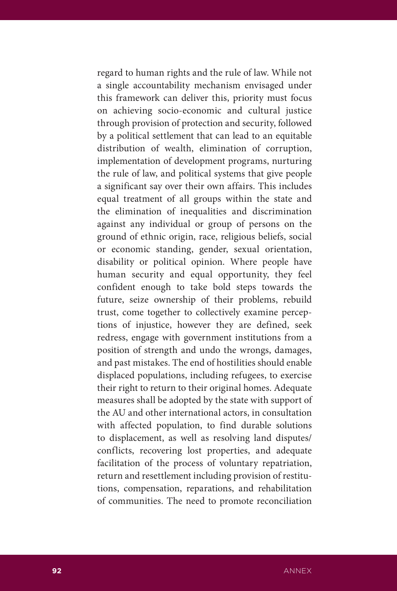regard to human rights and the rule of law. While not a single accountability mechanism envisaged under this framework can deliver this, priority must focus on achieving socio-economic and cultural justice through provision of protection and security, followed by a political settlement that can lead to an equitable distribution of wealth, elimination of corruption, implementation of development programs, nurturing the rule of law, and political systems that give people a significant say over their own affairs. This includes equal treatment of all groups within the state and the elimination of inequalities and discrimination against any individual or group of persons on the ground of ethnic origin, race, religious beliefs, social or economic standing, gender, sexual orientation, disability or political opinion. Where people have human security and equal opportunity, they feel confident enough to take bold steps towards the future, seize ownership of their problems, rebuild trust, come together to collectively examine perceptions of injustice, however they are defined, seek redress, engage with government institutions from a position of strength and undo the wrongs, damages, and past mistakes. The end of hostilities should enable displaced populations, including refugees, to exercise their right to return to their original homes. Adequate measures shall be adopted by the state with support of the AU and other international actors, in consultation with affected population, to find durable solutions to displacement, as well as resolving land disputes/ conflicts, recovering lost properties, and adequate facilitation of the process of voluntary repatriation, return and resettlement including provision of restitutions, compensation, reparations, and rehabilitation of communities. The need to promote reconciliation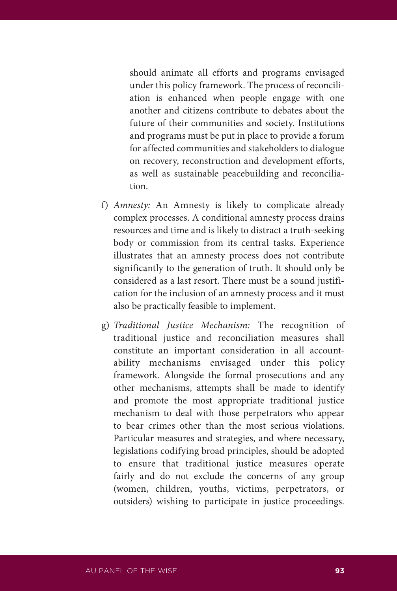should animate all efforts and programs envisaged under this policy framework. The process of reconciliation is enhanced when people engage with one another and citizens contribute to debates about the future of their communities and society. Institutions and programs must be put in place to provide a forum for affected communities and stakeholders to dialogue on recovery, reconstruction and development efforts, as well as sustainable peacebuilding and reconciliation.

- f) *Amnesty:* An Amnesty is likely to complicate already complex processes. A conditional amnesty process drains resources and time and is likely to distract a truth-seeking body or commission from its central tasks. Experience illustrates that an amnesty process does not contribute significantly to the generation of truth. It should only be considered as a last resort. There must be a sound justification for the inclusion of an amnesty process and it must also be practically feasible to implement.
- g) *Traditional Justice Mechanism:* The recognition of traditional justice and reconciliation measures shall constitute an important consideration in all accountability mechanisms envisaged under this policy framework. Alongside the formal prosecutions and any other mechanisms, attempts shall be made to identify and promote the most appropriate traditional justice mechanism to deal with those perpetrators who appear to bear crimes other than the most serious violations. Particular measures and strategies, and where necessary, legislations codifying broad principles, should be adopted to ensure that traditional justice measures operate fairly and do not exclude the concerns of any group (women, children, youths, victims, perpetrators, or outsiders) wishing to participate in justice proceedings.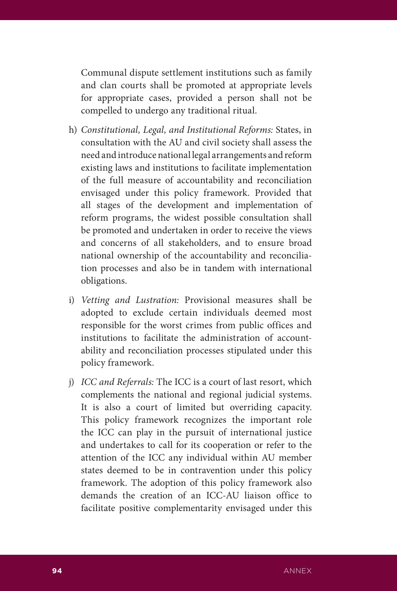Communal dispute settlement institutions such as family and clan courts shall be promoted at appropriate levels for appropriate cases, provided a person shall not be compelled to undergo any traditional ritual.

- h) *Constitutional, Legal, and Institutional Reforms:* States, in consultation with the AU and civil society shall assess the need and introduce national legal arrangements and reform existing laws and institutions to facilitate implementation of the full measure of accountability and reconciliation envisaged under this policy framework. Provided that all stages of the development and implementation of reform programs, the widest possible consultation shall be promoted and undertaken in order to receive the views and concerns of all stakeholders, and to ensure broad national ownership of the accountability and reconciliation processes and also be in tandem with international obligations.
- i) *Vetting and Lustration:* Provisional measures shall be adopted to exclude certain individuals deemed most responsible for the worst crimes from public offices and institutions to facilitate the administration of accountability and reconciliation processes stipulated under this policy framework.
- j) *ICC and Referrals:* The ICC is a court of last resort, which complements the national and regional judicial systems. It is also a court of limited but overriding capacity. This policy framework recognizes the important role the ICC can play in the pursuit of international justice and undertakes to call for its cooperation or refer to the attention of the ICC any individual within AU member states deemed to be in contravention under this policy framework. The adoption of this policy framework also demands the creation of an ICC-AU liaison office to facilitate positive complementarity envisaged under this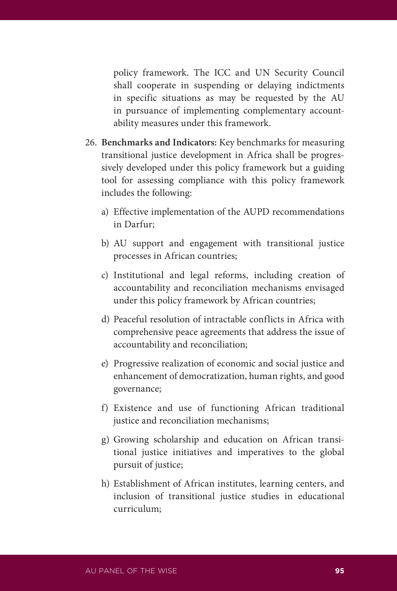policy framework. The ICC and UN Security Council shall cooperate in suspending or delaying indictments in specific situations as may be requested by the AU in pursuance of implementing complementary accountability measures under this framework.

- 26. **Benchmarks and Indicators:** Key benchmarks for measuring transitional justice development in Africa shall be progressively developed under this policy framework but a guiding tool for assessing compliance with this policy framework includes the following:
	- a) Effective implementation of the AUPD recommendations in Darfur;
	- b) AU support and engagement with transitional justice processes in African countries;
	- c) Institutional and legal reforms, including creation of accountability and reconciliation mechanisms envisaged under this policy framework by African countries;
	- d) Peaceful resolution of intractable conflicts in Africa with comprehensive peace agreements that address the issue of accountability and reconciliation;
	- e) Progressive realization of economic and social justice and enhancement of democratization, human rights, and good governance;
	- f) Existence and use of functioning African traditional justice and reconciliation mechanisms;
	- g) Growing scholarship and education on African transitional justice initiatives and imperatives to the global pursuit of justice;
	- h) Establishment of African institutes, learning centers, and inclusion of transitional justice studies in educational curriculum;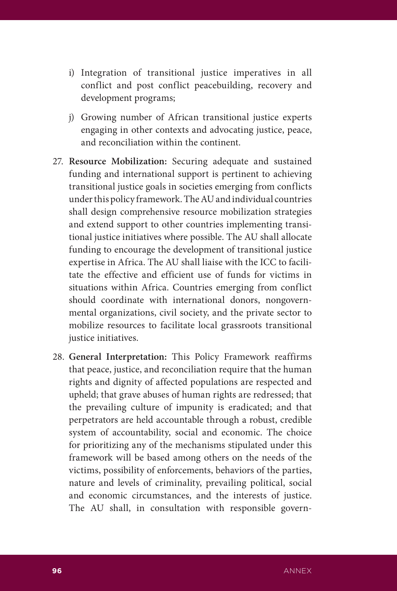- i) Integration of transitional justice imperatives in all conflict and post conflict peacebuilding, recovery and development programs;
- j) Growing number of African transitional justice experts engaging in other contexts and advocating justice, peace, and reconciliation within the continent.
- 27. **Resource Mobilization:** Securing adequate and sustained funding and international support is pertinent to achieving transitional justice goals in societies emerging from conflicts under this policy framework. The AU and individual countries shall design comprehensive resource mobilization strategies and extend support to other countries implementing transitional justice initiatives where possible. The AU shall allocate funding to encourage the development of transitional justice expertise in Africa. The AU shall liaise with the ICC to facilitate the effective and efficient use of funds for victims in situations within Africa. Countries emerging from conflict should coordinate with international donors, nongovernmental organizations, civil society, and the private sector to mobilize resources to facilitate local grassroots transitional justice initiatives.
- 28. **General Interpretation:** This Policy Framework reaffirms that peace, justice, and reconciliation require that the human rights and dignity of affected populations are respected and upheld; that grave abuses of human rights are redressed; that the prevailing culture of impunity is eradicated; and that perpetrators are held accountable through a robust, credible system of accountability, social and economic. The choice for prioritizing any of the mechanisms stipulated under this framework will be based among others on the needs of the victims, possibility of enforcements, behaviors of the parties, nature and levels of criminality, prevailing political, social and economic circumstances, and the interests of justice. The AU shall, in consultation with responsible govern-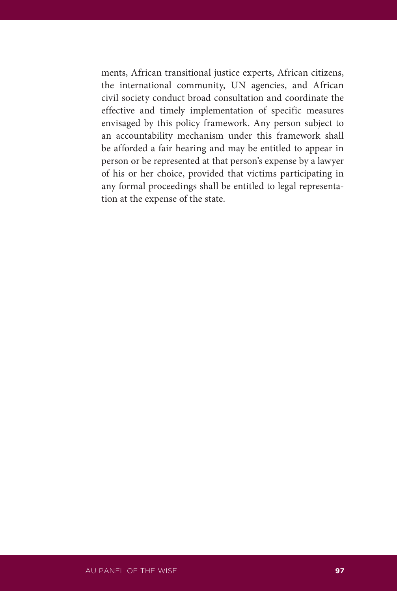ments, African transitional justice experts, African citizens, the international community, UN agencies, and African civil society conduct broad consultation and coordinate the effective and timely implementation of specific measures envisaged by this policy framework. Any person subject to an accountability mechanism under this framework shall be afforded a fair hearing and may be entitled to appear in person or be represented at that person's expense by a lawyer of his or her choice, provided that victims participating in any formal proceedings shall be entitled to legal representation at the expense of the state.